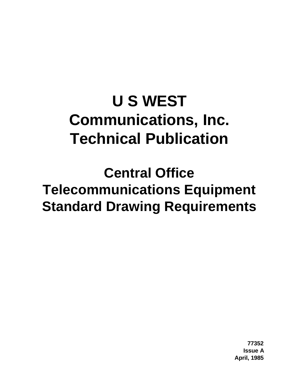# **U S WEST Communications, Inc. Technical Publication**

**Central Office Telecommunications Equipment Standard Drawing Requirements**

> **77352 Issue A April, 1985**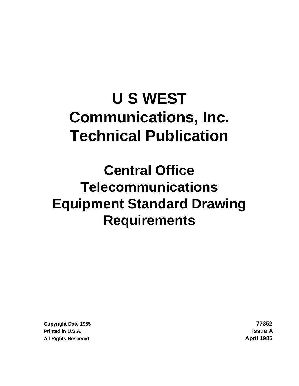## **U S WEST Communications, Inc. Technical Publication**

## **Central Office Telecommunications Equipment Standard Drawing Requirements**

**Copyright Date 1985 77352 Printed in U.S.A. Issue A All Rights Reserved April 1985**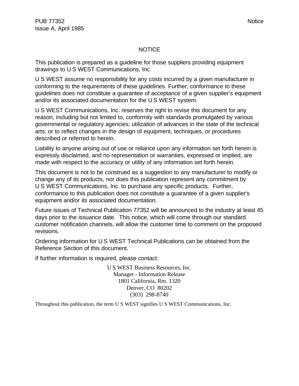## NOTICE

This publication is prepared as a guideline for those suppliers providing equipment drawings to U S WEST Communications, Inc.

U S WEST assume no responsibility for any costs incurred by a given manufacturer in conforming to the requirements of these guidelines. Further, conformance to these guidelines does not constitute a guarantee of acceptance of a given supplier's equipment and/or its associated documentation for the U S WEST system.

U S WEST Communications, Inc. reserves the right to revise this document for any reason, including but not limited to, conformity with standards promulgated by various governmental or regulatory agencies; utilization of advances in the state of the technical arts; or to reflect changes in the design of equipment, techniques, or procedures described or referred to herein.

Liability to anyone arising out of use or reliance upon any information set forth herein is expressly disclaimed, and no representation or warranties, expressed or implied, are made with respect to the accuracy or utility of any information set forth herein.

This document is not to be construed as a suggestion to any manufacturer to modify or change any of its products, nor does this publication represent any commitment by U S WEST Communications, Inc. to purchase any specific products. Further, conformance to this publication does not constitute a guarantee of a given supplier's equipment and/or its associated documentation.

Future issues of Technical Publication 77352 will be announced to the industry at least 45 days prior to the issuance date. This notice, which will come through our standard customer notification channels, will allow the customer time to comment on the proposed revisions.

Ordering information for U S WEST Technical Publications can be obtained from the Reference Section of this document.

If further information is required, please contact:

U S WEST Business Resources, Inc. Manager - Information Release 1801 California, Rm. 1320 Denver, CO 80202 (303) 298-8740

Throughout this publication, the term U S WEST signifies U S WEST Communications, Inc.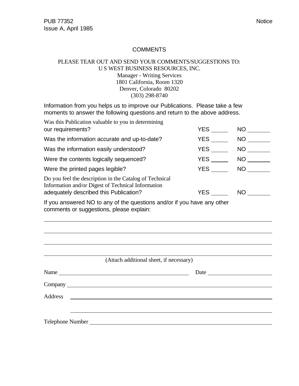$\overline{a}$ 

## **COMMENTS**

## PLEASE TEAR OUT AND SEND YOUR COMMENTS/SUGGESTIONS TO: U S WEST BUSINESS RESOURCES, INC. Manager - Writing Services 1801 California, Room 1320 Denver, Colorado 80202 (303) 298-8740

Information from you helps us to improve our Publications. Please take a few moments to answer the following questions and return to the above address.

| Was this Publication valuable to you in determining<br>our requirements?                                                                                | YES        | NO        |
|---------------------------------------------------------------------------------------------------------------------------------------------------------|------------|-----------|
| Was the information accurate and up-to-date?                                                                                                            | <b>YES</b> | NO        |
| Was the information easily understood?                                                                                                                  | YES        | NO.       |
| Were the contents logically sequenced?                                                                                                                  | YES        | NO.       |
| Were the printed pages legible?                                                                                                                         | YES        | NO        |
| Do you feel the description in the Catalog of Technical<br>Information and/or Digest of Technical Information<br>adequately described this Publication? | YES.       | <b>NO</b> |
| If you answered $NO$ to any of the questions and/or if you have any other                                                                               |            |           |

If you answered NO to any of the questions and/or if you have any other comments or suggestions, please explain:

| (Attach additional sheet, if necessary)        |      |
|------------------------------------------------|------|
|                                                | Date |
|                                                |      |
|                                                |      |
|                                                |      |
| Telephone Number Lawrence and Telephone Number |      |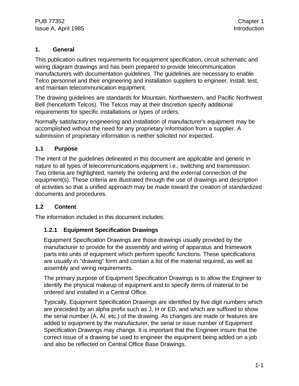## **1. General**

This publication outlines requirements for equipment specification, circuit schematic and wiring diagram drawings and has been prepared to provide telecommunication manufacturers with documentation guidelines. The guidelines are necessary to enable Telco personnel and their engineering and installation suppliers to engineer, install, test, and maintain telecommunication equipment.

The drawing guidelines are standards for Mountain, Northwestern, and Pacific Northwest Bell (henceforth Telcos). The Telcos may at their discretion specify additional requirements for specific installations or types of orders.

Normally satisfactory engineering and installation of manufacturer's equipment may be accomplished without the need for any proprietary information from a supplier. A submission of proprietary information is neither solicited nor expected.

## **1.1 Purpose**

The intent of the guidelines delineated in this document are applicable and generic in nature to all types of telecommunications equipment i.e., switching and transmission. Two criteria are highlighted, namely the ordering and the external connection of the equipment(s). These criteria are illustrated through the use of drawings and description of activities so that a unified approach may be made toward the creation of standardized documents and procedures.

## **1.2 Content**

The information included in this document includes:

## **1.2.1 Equipment Specification Drawings**

Equipment Specification Drawings are those drawings usually provided by the manufacturer to provide for the assembly and wiring of apparatus and framework parts into units of equipment which perform specific functions. These specifications are usually in "drawing" form and contain a list of the material required, as well as assembly and wiring requirements.

The primary purpose of Equipment Specification Drawings is to allow the Engineer to identify the physical makeup of equipment and to specify items of material to be ordered and installed in a Central Office.

Typically, Equipment Specification Drawings are identified by five digit numbers which are preceded by an alpha prefix such as J, H or ED, and which are suffixed to show the serial number (A, Al, etc.) of the drawing. As changes are made or features are added to equipment by the manufacturer, the serial or issue number of Equipment Specification Drawings may change. It is important that the Engineer insure that the correct issue of a drawing be used to engineer the equipment being added on a job and also be reflected on Central Office Base Drawings.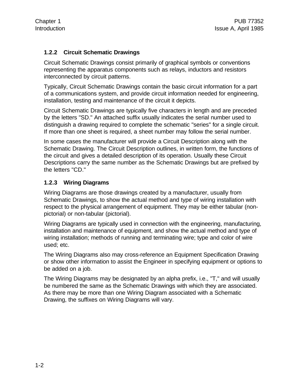## **1.2.2 Circuit Schematic Drawings**

Circuit Schematic Drawings consist primarily of graphical symbols or conventions representing the apparatus components such as relays, inductors and resistors interconnected by circuit patterns.

Typically, Circuit Schematic Drawings contain the basic circuit information for a part of a communications system, and provide circuit information needed for engineering, installation, testing and maintenance of the circuit it depicts.

Circuit Schematic Drawings are typically five characters in length and are preceded by the letters "SD." An attached suffix usually indicates the serial number used to distinguish a drawing required to complete the schematic "series" for a single circuit. If more than one sheet is required, a sheet number may follow the serial number.

In some cases the manufacturer will provide a Circuit Description along with the Schematic Drawing. The Circuit Description outlines, in written form, the functions of the circuit and gives a detailed description of its operation. Usually these Circuit Descriptions carry the same number as the Schematic Drawings but are prefixed by the letters "CD."

## **1.2.3 Wiring Diagrams**

Wiring Diagrams are those drawings created by a manufacturer, usually from Schematic Drawings, to show the actual method and type of wiring installation with respect to the physical arrangement of equipment. They may be either tabular (nonpictorial) or non-tabular (pictorial).

Wiring Diagrams are typically used in connection with the engineering, manufacturing, installation and maintenance of equipment, and show the actual method and type of wiring installation; methods of running and terminating wire; type and color of wire used; etc.

The Wiring Diagrams also may cross-reference an Equipment Specification Drawing or show other information to assist the Engineer in specifying equipment or options to be added on a job.

The Wiring Diagrams may be designated by an alpha prefix, i.e., "T," and will usually be numbered the same as the Schematic Drawings with which they are associated. As there may be more than one Wiring Diagram associated with a Schematic Drawing, the suffixes on Wiring Diagrams will vary.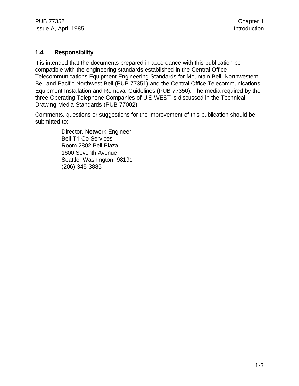## **1.4 Responsibility**

It is intended that the documents prepared in accordance with this publication be compatible with the engineering standards established in the Central Office Telecommunications Equipment Engineering Standards for Mountain Bell, Northwestern Bell and Pacific Northwest Bell (PUB 77351) and the Central Office Telecommunications Equipment Installation and Removal Guidelines (PUB 77350). The media required by the three Operating Telephone Companies of U S WEST is discussed in the Technical Drawing Media Standards (PUB 77002).

Comments, questions or suggestions for the improvement of this publication should be submitted to:

> Director, Network Engineer Bell Tri-Co Services Room 2802 Bell Plaza 1600 Seventh Avenue Seattle, Washington 98191 (206) 345-3885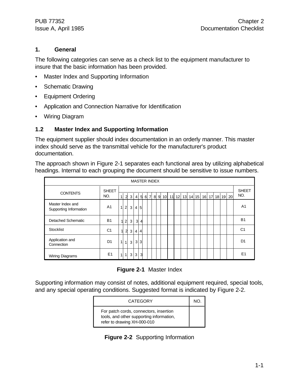## **1. General**

The following categories can serve as a check list to the equipment manufacturer to insure that the basic information has been provided.

- Master Index and Supporting Information
- Schematic Drawing
- Equipment Ordering
- Application and Connection Narrative for Identification
- Wiring Diagram

## **1.2 Master Index and Supporting Information**

The equipment supplier should index documentation in an orderly manner. This master index should serve as the transmittal vehicle for the manufacturer's product documentation.

The approach shown in Figure 2-1 separates each functional area by utilizing alphabetical headings. Internal to each grouping the document should be sensitive to issue numbers.

| <b>MASTER INDEX</b>                        |                     |          |                |              |                |   |  |  |  |  |                  |    |    |                 |       |    |    |       |    |                     |
|--------------------------------------------|---------------------|----------|----------------|--------------|----------------|---|--|--|--|--|------------------|----|----|-----------------|-------|----|----|-------|----|---------------------|
| <b>CONTENTS</b>                            | <b>SHEET</b><br>NO. | $1\vert$ | 2              | $\mathbf{3}$ |                |   |  |  |  |  | $4$ 5 6 7 8 9 10 | 11 | 12 | 13 <sup>1</sup> | 14 15 | 16 | 17 | 18 19 | 20 | <b>SHEET</b><br>NO. |
| Master Index and<br>Supporting Information | A <sub>1</sub>      | 1        | $\overline{2}$ | 3            | 4              | 5 |  |  |  |  |                  |    |    |                 |       |    |    |       |    | A <sub>1</sub>      |
| Detached Schematic                         | <b>B1</b>           | 11       | $\overline{2}$ | 3            | 3 <sup>l</sup> | 4 |  |  |  |  |                  |    |    |                 |       |    |    |       |    | <b>B1</b>           |
| Stocklist                                  | C <sub>1</sub>      | 1        | 2              | 3            | 4 4            |   |  |  |  |  |                  |    |    |                 |       |    |    |       |    | C <sub>1</sub>      |
| Application and<br>Connection              | D <sub>1</sub>      | 1        | 11             | 3            | 3              | 3 |  |  |  |  |                  |    |    |                 |       |    |    |       |    | D <sub>1</sub>      |
| <b>Wiring Diagrams</b>                     | E <sub>1</sub>      | 1        | 1              | 3            | ا 3 ا          | 3 |  |  |  |  |                  |    |    |                 |       |    |    |       |    | E <sub>1</sub>      |

## **Figure 2-1** Master Index

Supporting information may consist of notes, additional equipment required, special tools, and any special operating conditions. Suggested format is indicated by Figure 2-2.

| CATEGORY                                                                                                          | NΩ |
|-------------------------------------------------------------------------------------------------------------------|----|
| For patch cords, connectors, insertion<br>tools, and other supporting information,<br>refer to drawing XH-000-010 |    |

## **Figure 2-2** Supporting Information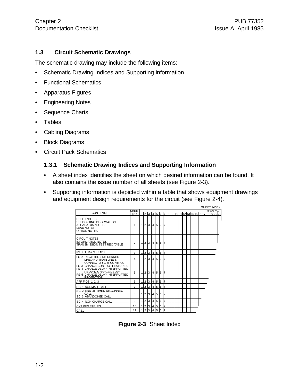## **1.3 Circuit Schematic Drawings**

The schematic drawing may include the following items:

- Schematic Drawing Indices and Supporting information
- Functional Schematics
- Apparatus Figures
- Engineering Notes
- Sequence Charts
- Tables
- Cabling Diagrams
- Block Diagrams
- Circuit Pack Schematics

## **1.3.1 Schematic Drawing Indices and Supporting Information**

- A sheet index identifies the sheet on which desired information can be found. It also contains the issue number of all sheets (see Figure 2-3).
- Supporting information is depicted within a table that shows equipment drawings and equipment design requirements for the circuit (see Figure 2-4).

|                                                                                                                                             |                |              |                 |       |           |               |         |    |  |  |  |  |  | <b>SHEET INDEX</b>                      |                  |  |
|---------------------------------------------------------------------------------------------------------------------------------------------|----------------|--------------|-----------------|-------|-----------|---------------|---------|----|--|--|--|--|--|-----------------------------------------|------------------|--|
| <b>CONTENTS</b>                                                                                                                             | SHEET          |              |                 |       |           |               |         |    |  |  |  |  |  |                                         | <b>ISSUE NO.</b> |  |
|                                                                                                                                             | NO.            |              | $1\overline{2}$ | Iз    |           | 4 5           | 6       |    |  |  |  |  |  | 8 9 10 11 12 13 14 15 16 17 18 19 20 21 |                  |  |
| SHEET NOTES<br>SUPPOR TING INFORMATION<br><b>APPARATUS NOTES</b><br><b>LEAD NOTES</b><br>OPTION NOTES                                       | 1              | $\mathbf{1}$ |                 |       |           | 2  3  4  5  6 |         | 17 |  |  |  |  |  |                                         |                  |  |
| <b>CIRCUIT NOTES</b><br><b>INFORMATION NOTES</b><br>TRANSMISSION TEST REQ TABLE                                                             | $\overline{2}$ | $\mathbf{1}$ | $\overline{2}$  | 13 14 |           |               | 15 I6 I | 17 |  |  |  |  |  |                                         |                  |  |
| FS 1 T, R&S LEADS                                                                                                                           | 3              | 1            | $\mathcal{P}$   | 3     | 4         | 5             | l6      | 7  |  |  |  |  |  |                                         |                  |  |
| FS 2 REGISTER LINE-SENDER<br>LINE AND TRAIN LINE &<br>CONNECTOR CRT CONTROL                                                                 | 4              | 1            | $\overline{2}$  | 3     | 4         | 5             | 16      |    |  |  |  |  |  |                                         |                  |  |
| FS 3 CHANGE CONTROL FEATURES<br>FS 4 CHANGE DELAY INTERRUPTED<br>RELAYS, CHANGE DELAY<br>FS 5 CHANGE DELAY INTERRUPTED<br><b>PROTECTION</b> | 5              | $\mathbf{1}$ | 2               |       |           | 3 4 5 6 7     |         |    |  |  |  |  |  |                                         |                  |  |
| APP FIGS, 1, 2, 3                                                                                                                           | 6              | 1            | $\overline{2}$  | 3     | 4         | 5             | l6      | 7  |  |  |  |  |  |                                         |                  |  |
| SC 1 NORMALL CALL                                                                                                                           | $\overline{7}$ | 1            | $\overline{2}$  | 3     | 4         | 5             | l6      | 7  |  |  |  |  |  |                                         |                  |  |
| SC 2 END OF TIMED DISCONNECT<br>CALL<br><b>SC 3 ABANDONED CALL</b>                                                                          | 8              | 1            | $\overline{2}$  | 13    | $\vert$ 4 | 5             | 16 I    | 17 |  |  |  |  |  |                                         |                  |  |
| <b>SC 4 NON-CHARGE CALL</b>                                                                                                                 | 9              | 1            | $\overline{2}$  | 3     | 4         | 5             | l6      | 7  |  |  |  |  |  |                                         |                  |  |
| <b>CKT REG TABLES</b>                                                                                                                       | 10             | 1            | $\mathfrak{p}$  | 3     | 4         | 5             | 6       |    |  |  |  |  |  |                                         |                  |  |
| CAB <sub>1</sub>                                                                                                                            | 11             | $\mathbf{1}$ | 12              | 3     | 4         | 5             | 16      | 7  |  |  |  |  |  |                                         |                  |  |

**Figure 2-3** Sheet Index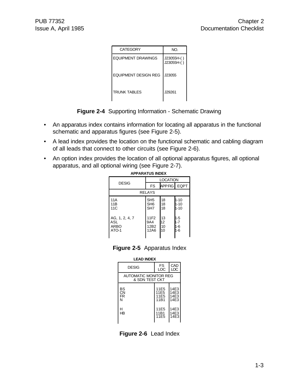| <b>CATEGORY</b>             | NO.                        |
|-----------------------------|----------------------------|
| <b>EQUIPMENT DRAWINGS</b>   | $J23055H-()$<br>J23055H-() |
| <b>EQUIPMENT DESIGN REG</b> | J23055                     |
| <b>TRUNK TABLES</b>         | J29261                     |

**Figure 2-4** Supporting Information - Schematic Drawing

- An apparatus index contains information for locating all apparatus in the functional schematic and apparatus figures (see Figure 2-5).
- A lead index provides the location on the functional schematic and cabling diagram of all leads that connect to other circuits (see Figure 2-6).
- An option index provides the location of all optional apparatus figures, all optional apparatus, and all optional wiring (see Figure 2-7).

| <b>APPARATUS INDEX</b>                        |                                                       |                      |                          |  |  |  |  |  |  |  |
|-----------------------------------------------|-------------------------------------------------------|----------------------|--------------------------|--|--|--|--|--|--|--|
|                                               | LOCATION                                              |                      |                          |  |  |  |  |  |  |  |
| <b>DESIG</b>                                  | FS                                                    | APPFIG EQPT          |                          |  |  |  |  |  |  |  |
|                                               | <b>RELAYS</b>                                         |                      |                          |  |  |  |  |  |  |  |
| 11A<br>11B<br>11C                             | SH <sub>5</sub><br>SH <sub>6</sub><br>SH <sub>7</sub> | 18<br>18<br>18       | 1-10<br>1-10<br>$1 - 10$ |  |  |  |  |  |  |  |
| AG, 1, 2, 4, 7<br>ASL<br><b>ARBO</b><br>ATO-1 | 11F2<br>9A4<br>12B2<br>12A6                           | 13<br>12<br>10<br>10 | -5<br>$-7$<br>-6<br>-6   |  |  |  |  |  |  |  |

|  |  | Figure 2-5 Apparatus Index |
|--|--|----------------------------|
|--|--|----------------------------|

| <b>LEAD INDEX</b>                       |                              |                              |  |  |  |  |  |  |  |  |  |
|-----------------------------------------|------------------------------|------------------------------|--|--|--|--|--|--|--|--|--|
| <b>DESIG</b>                            | FS<br>LOC                    | CAD<br>LOC                   |  |  |  |  |  |  |  |  |  |
| AUTOMATIC MONITOR REG<br>& SDN TEST CKT |                              |                              |  |  |  |  |  |  |  |  |  |
| BS<br>ČΝ<br>FR<br>N                     | 11E5<br>11E5<br>11E5<br>11B1 | 14E3<br>14E3<br>14E3<br>14E3 |  |  |  |  |  |  |  |  |  |
| ΗB                                      | 11E5<br>11B1<br>11E5         | 14E3<br>14E3<br>14E3         |  |  |  |  |  |  |  |  |  |

**Figure 2-6** Lead Index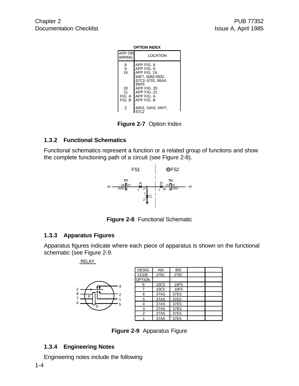| APP OR<br><b>WIRING</b>      | I OCATION                                                                         |
|------------------------------|-----------------------------------------------------------------------------------|
| 8<br>9<br>19                 | APP FIG. 8<br>APP FIG. 9<br>APP FIG. 19.<br>64F7. 6582-5502.<br>67C3, 6701, 86A4. |
| 20<br>21<br>FIG. A<br>FIG. B | 86A5<br>APP FIG. 20<br>APP FIG. 21<br>APP FIG. A<br>APP FIG. B                    |
| Ζ                            | 64H1, 54H2, 54H7,<br>67C.2                                                        |

**Figure 2-7** Option Index

## **1.3.2 Functional Schematics**

Functional schematics represent a function or a related group of functions and show the complete functioning path of a circuit (see Figure 2-8).



**Figure 2-8** Functional Schematic

## **1.3.3 Apparatus Figures**

RELAY

Apparatus figures indicate where each piece of apparatus is shown on the functional schematic (see Figure 2-9.



| <b>DESIG</b>  | <b>AIS</b>       | <b>BIS</b>       |  |
|---------------|------------------|------------------|--|
| <b>CCDE</b>   | 275C             | 275C             |  |
| <b>OPTION</b> |                  |                  |  |
| 8             | 10C <sub>5</sub> | 10F <sub>5</sub> |  |
|               | 10C <sub>5</sub> | 10F5             |  |
| 6             | 37A5             | 37E5             |  |
| 5             | 37A5             | 37E5             |  |
|               | 37A5             | 37E5             |  |
| 3             | 37A5             | 37E5             |  |
| 2             | 37A5             | 37E5             |  |
|               | 37A5             | 37E5             |  |

**Figure 2-9** Apparatus Figure

## **1.3.4 Engineering Notes**

Engineering notes include the following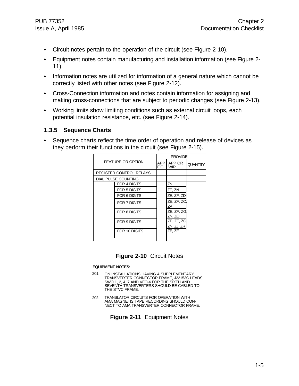- Circuit notes pertain to the operation of the circuit (see Figure 2-10).
- Equipment notes contain manufacturing and installation information (see Figure 2- 11).
- Information notes are utilized for information of a general nature which cannot be correctly listed with other notes (see Figure 2-12).
- Cross-Connection information and notes contain information for assigning and making cross-connections that are subject to periodic changes (see Figure 2-13).
- Working limits show limiting conditions such as external circuit loops, each potential insulation resistance, etc. (see Figure 2-14).

### **1.3.5 Sequence Charts**

• Sequence charts reflect the time order of operation and release of devices as they perform their functions in the circuit (see Figure 2-15).

|                                |                    | <b>PROVIDE</b>                                      |          |
|--------------------------------|--------------------|-----------------------------------------------------|----------|
| <b>FEATURE OR OPTION</b>       | <b>APP</b><br>FIG. | APP OR<br><b>WIR</b>                                | QUANTITY |
| <b>REGISTER CONTROL RELAYS</b> |                    |                                                     |          |
| <b>DIAL PULSE COUNTING</b>     |                    |                                                     |          |
| FOR 4 DIGITS                   |                    | ZN                                                  |          |
| FOR 5 DIGITS                   |                    | ZE, ZN                                              |          |
| FOR 6 DIGITS                   |                    | ZE, ZF, ZD                                          |          |
| FOR 7 DIGITS                   |                    | ZE, ZF, ZC<br>ΖF                                    |          |
| <b>FOR 8 DIGITS</b>            |                    | ZE, ZF, ZG<br>∠N, ZQ                                |          |
| FOR 9 DIGITS                   |                    | ZE, ZF, ZG<br>ZN, ZJ, ZR                            |          |
| FOR 10 DIGITS                  |                    | $\overline{\mathsf{ZE}}$ , $\overline{\mathsf{ZF}}$ |          |



#### **EQUIPMENT NOTES:**

- 201. ON INSTALLATIONS HAVING A SUPPLEMENTARY TRANSVERTER CONNECTOR FRAME, J22153C LEADS SWO 1, 2, 4, 7 AND VFO-4 FOR THE SIXTH AND SEVENTH TRANSVERTERS SHOULD BE CABLED TO THE STVC FRAME.
- TRANSLATOR CIRCUITS FOR OPERATION WITH AMA MAGNETIS TAPE RECORDING SHOULD CON-NECT TO AMA TRANSVERTER CONNECTOR FRAME. 202.

**Figure 2-11** Equipment Notes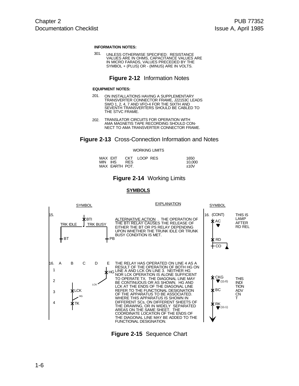#### **INFORMATION NOTES:**

301. UNLESS OTHERWISE SPECIFIED: RESISTANCE VALUES ARE IN OHMS, CAPACITANCE VALUES ARE IN MICRO FARADS, VALUES PRECEDED BY THE SYMBOL + (PLUS) OR - (MINUS) ARE IN VOLTS.

#### **Figure 2-12** Information Notes

#### **EQUIPMENT NOTES:**

- 201. ON INSTALLATIONS HAVING A SUPPLEMENTARY TRANSVERTER CONNECTOR FRAME, J22153C LEADS SWO 1, 2, 4, 7 AND VFO-4 FOR THE SIXTH AND SEVENTH TRANSVERTERS SHOULD BE CABLED TO THE STVC FRAME.
- TRANSLATOR CIRCUITS FOR OPERATION WITH AMA MAGNETIS TAPE RECORDING SHOULD CON-NECT TO AMA TRANSVERTER CONNECTOR FRAME. 202.

#### **Figure 2-13** Cross-Connection Information and Notes

WORKING LIMITS

| MAX EXT |                |            | CKT LOOP RES | 1650   |
|---------|----------------|------------|--------------|--------|
| MIN IHS |                | <b>RFS</b> |              | 10.000 |
|         | MAX EARTH POT. |            |              | $+10V$ |

## **Figure 2-14** Working Limits

#### **SYMBOLS**



**Figure 2-15** Sequence Chart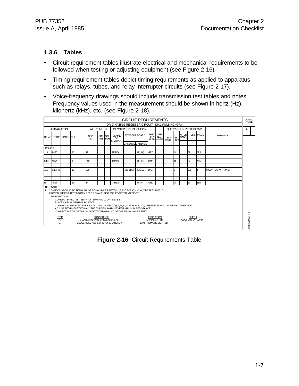## **1.3.6 Tables**

- Circuit requirement tables illustrate electrical and mechanical requirements to be followed when testing or adjusting equipment (see Figure 2-16).
- Timing requirement tables depict timing requirements as applied to apparatus such as relays, tubes, and relay interrupter circuits (see Figure 2-17).
- Voice-frequency drawings should include transmission test tables and notes. Frequency values used in the measurement should be shown in hertz (Hz), kilohertz (kHz), etc. (see Figure 2-18).

| <b>CIRCUIT REQUIREMENTS</b>                                                                                                                                                                                                                                                                                                                                                                                                                                                                                                                                                                               |                                           |                      |    |                                                                                                     |                                                                     |                  |                    | COORD<br><b>NODE</b>                          |                           |                       |                                          |                                         |                           |     |                  |                                 |      |                |                |  |
|-----------------------------------------------------------------------------------------------------------------------------------------------------------------------------------------------------------------------------------------------------------------------------------------------------------------------------------------------------------------------------------------------------------------------------------------------------------------------------------------------------------------------------------------------------------------------------------------------------------|-------------------------------------------|----------------------|----|-----------------------------------------------------------------------------------------------------|---------------------------------------------------------------------|------------------|--------------------|-----------------------------------------------|---------------------------|-----------------------|------------------------------------------|-----------------------------------------|---------------------------|-----|------------------|---------------------------------|------|----------------|----------------|--|
| ORIGINATING REGISTER CIRCUIT - DIAL PULSING (OR)                                                                                                                                                                                                                                                                                                                                                                                                                                                                                                                                                          |                                           |                      |    |                                                                                                     |                                                                     |                  |                    |                                               |                           |                       |                                          |                                         |                           |     |                  |                                 |      |                |                |  |
|                                                                                                                                                                                                                                                                                                                                                                                                                                                                                                                                                                                                           | <b>APPARATUS</b>                          |                      |    |                                                                                                     | <b>WORK ROBT</b>                                                    |                  |                    |                                               | <b>CLOSED PREPARATION</b> |                       |                                          |                                         |                           |     |                  | QUINCY CURRENT PLOW             |      |                | $\overline{1}$ |  |
|                                                                                                                                                                                                                                                                                                                                                                                                                                                                                                                                                                                                           |                                           | DEMOI CODE OPTIO PHL |    |                                                                                                     | SOP<br><b>FIG</b>                                                   |                  | COT AQL<br>PET TUR | <b>BLAME</b><br><b>OR</b><br><b>HUMILIATE</b> | <b>TEST CLIP BOARD</b>    |                       |                                          | TEST SEE<br>MY TEST<br><b>PREP NOTE</b> | <b>TEST</b><br><b>WOG</b> | FOR | <b>TEST</b> SAND | AFTER TEST MAGD                 |      | <b>REMARKS</b> |                |  |
|                                                                                                                                                                                                                                                                                                                                                                                                                                                                                                                                                                                                           |                                           |                      |    |                                                                                                     |                                                                     |                  |                    |                                               |                           | CARD ME CARD ME       |                                          |                                         |                           |     |                  |                                 |      |                |                |  |
| <b>RELAYS</b>                                                                                                                                                                                                                                                                                                                                                                                                                                                                                                                                                                                             |                                           |                      |    |                                                                                                     |                                                                     |                  |                    |                                               |                           |                       |                                          |                                         |                           |     |                  |                                 |      |                |                |  |
| 11A                                                                                                                                                                                                                                                                                                                                                                                                                                                                                                                                                                                                       | A <sub>4F3</sub>                          |                      | 18 |                                                                                                     | 17                                                                  |                  |                    | 1RAIO                                         |                           | U(11A)                | <b>GRC</b>                               |                                         |                           | O   |                  | 131                             | 29.5 |                |                |  |
|                                                                                                                                                                                                                                                                                                                                                                                                                                                                                                                                                                                                           |                                           |                      |    |                                                                                                     |                                                                     |                  |                    |                                               |                           |                       |                                          |                                         |                           |     |                  |                                 |      |                |                |  |
| MID                                                                                                                                                                                                                                                                                                                                                                                                                                                                                                                                                                                                       | <b>AF57</b>                               |                      | 18 |                                                                                                     | 210                                                                 |                  |                    | 1RAIQ                                         |                           | U(11B)                | GRC                                      |                                         |                           | O   |                  | 27                              | 29.5 |                |                |  |
| 11C                                                                                                                                                                                                                                                                                                                                                                                                                                                                                                                                                                                                       | /2 ARE                                    |                      | 18 | 208<br>IU(11C)<br>B <sub>7</sub> G<br>9.2<br><b>B.7</b><br><b>MOUNTEC WITH (AS)</b><br>20(11C)<br>0 |                                                                     |                  |                    |                                               |                           |                       |                                          |                                         |                           |     |                  |                                 |      |                |                |  |
|                                                                                                                                                                                                                                                                                                                                                                                                                                                                                                                                                                                                           |                                           |                      |    |                                                                                                     |                                                                     |                  |                    |                                               |                           |                       |                                          |                                         |                           |     |                  |                                 |      |                |                |  |
|                                                                                                                                                                                                                                                                                                                                                                                                                                                                                                                                                                                                           |                                           |                      |    |                                                                                                     |                                                                     |                  |                    |                                               |                           |                       |                                          |                                         |                           |     |                  |                                 |      |                |                |  |
| EP                                                                                                                                                                                                                                                                                                                                                                                                                                                                                                                                                                                                        | AF <sub>24</sub>                          |                      | 13 |                                                                                                     | 14                                                                  |                  |                    | (PRL)0                                        |                           | U(TP)                 | <b>GRC</b>                               |                                         |                           | O   |                  | 127                             | 25.5 |                |                |  |
| <b>TEST NOTES:</b><br>1. CONNECT GROUND TO TERMINAL OF RELAY UNDER TEST (1,4,8,9,10 FOR -0,-1,-2,-4,-7 RESPECTIVELY).<br>PROCEDURE FOR TESTING DRY REED RELAYS USED FOR REGISTERING DIGITS.<br>PREPARATION:<br>CONNECT DIRECT BATTERY TO TERMINAL L2 OF TEST SET.<br>PLACE L KEY IN NEUTRAL POSITION<br>CONNECT SLEEVE OF TEST T & A TO LOAD CONTACT (5.7.11.12.13 FOR -0.-1.-2.-4.-7 RESPECTIVELY) OF RELAY UNDER TEST.<br>ADJUST RED RHEOSTAT 4 AND THE THREE 4 SWITCHES FOR MINIMUM RESISTANCE.<br>CONNECT IHE TIP OF THE 4W JACK TO TERMINAL (3) OF THE RELAY UNDER TEST.<br>$\overline{\phantom{0}}$ |                                           |                      |    |                                                                                                     |                                                                     |                  |                    |                                               |                           |                       |                                          |                                         |                           |     |                  |                                 |      |                |                |  |
|                                                                                                                                                                                                                                                                                                                                                                                                                                                                                                                                                                                                           | $rac{\text{STEP}}{\text{A}}$<br><b>B.</b> |                      |    |                                                                                                     | CLOSE OPERATE & RELEASE KEYS.<br>CLOSE HOLD KEY & OPER OPERATE KEY. | <b>PROCEDURE</b> |                    |                                               |                           | LAMP REMAINS LIGHTED. | <b>INDICATION</b><br><b>LAMP LIGHTED</b> |                                         |                           |     |                  | <b>CHECK</b><br>CLOSURE OF LOAD |      |                | 5) PAGE<br>AGE |  |

**Figure 2-16** Circuit Requirements Table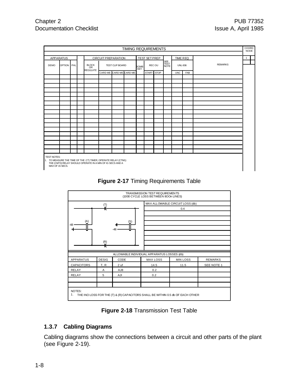| <b>TIMING REQUIREMENTS</b> |                                                                                           |  |  |                                                    |                         |                 |  |             |            |              | COORD<br><b>NODE</b> |                |     |                |  |
|----------------------------|-------------------------------------------------------------------------------------------|--|--|----------------------------------------------------|-------------------------|-----------------|--|-------------|------------|--------------|----------------------|----------------|-----|----------------|--|
|                            | <b>TEST SET PREP</b><br><b>TIME REQ</b><br><b>APPARATUS</b><br><b>CIRCUIT PREPARATION</b> |  |  |                                                    |                         |                 |  |             |            | $\mathbf{1}$ |                      |                |     |                |  |
| <b>DEMO</b>                | OPTION PHL                                                                                |  |  | <b>BLOCK</b><br>OR <sup>"</sup><br><b>REGULATE</b> |                         | TEST CLIP BOARD |  | <b>BOMB</b> |            | REC OU       | SEE<br>TEST<br>NOTE  | <b>UNL-936</b> |     | <b>REMARKS</b> |  |
|                            |                                                                                           |  |  |                                                    | CARD ME CARD ME CARD ME |                 |  |             | START STOP |              |                      | <b>UNC</b>     | FAB |                |  |
|                            |                                                                                           |  |  |                                                    |                         |                 |  |             |            |              |                      |                |     |                |  |
|                            |                                                                                           |  |  |                                                    |                         |                 |  |             |            |              |                      |                |     |                |  |
|                            |                                                                                           |  |  |                                                    |                         |                 |  |             |            |              |                      |                |     |                |  |
|                            |                                                                                           |  |  |                                                    |                         |                 |  |             |            |              |                      |                |     |                |  |
|                            |                                                                                           |  |  |                                                    |                         |                 |  |             |            |              |                      |                |     |                |  |
|                            |                                                                                           |  |  |                                                    |                         |                 |  |             |            |              |                      |                |     |                |  |
|                            |                                                                                           |  |  |                                                    |                         |                 |  |             |            |              |                      |                |     |                |  |
|                            |                                                                                           |  |  |                                                    |                         |                 |  |             |            |              |                      |                |     |                |  |
|                            |                                                                                           |  |  |                                                    |                         |                 |  |             |            |              |                      |                |     |                |  |
|                            |                                                                                           |  |  |                                                    |                         |                 |  |             |            |              |                      |                |     |                |  |
|                            |                                                                                           |  |  |                                                    |                         |                 |  |             |            |              |                      |                |     |                |  |
|                            |                                                                                           |  |  |                                                    |                         |                 |  |             |            |              |                      |                |     |                |  |
|                            |                                                                                           |  |  |                                                    |                         |                 |  |             |            |              |                      |                |     |                |  |
|                            |                                                                                           |  |  |                                                    |                         |                 |  |             |            |              |                      |                |     |                |  |
| <b>TEST NOTES:</b>         |                                                                                           |  |  |                                                    |                         |                 |  |             |            |              |                      |                |     |                |  |





## **Figure 2-18** Transmission Test Table

## **1.3.7 Cabling Diagrams**

Cabling diagrams show the connections between a circuit and other parts of the plant (see Figure 2-19).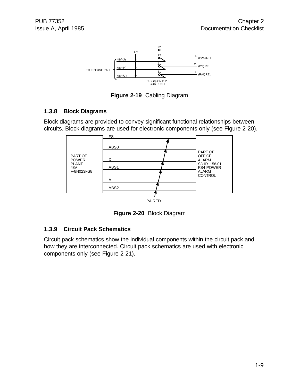

**Figure 2-19** Cabling Diagram

## **1.3.8 Block Diagrams**

Block diagrams are provided to convey significant functional relationships between circuits. Block diagrams are used for electronic components only (see Figure 2-20).



**Figure 2-20** Block Diagram

## **1.3.9 Circuit Pack Schematics**

Circuit pack schematics show the individual components within the circuit pack and how they are interconnected. Circuit pack schematics are used with electronic components only (see Figure 2-21).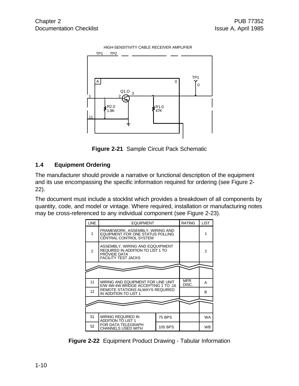

**Figure 2-21** Sample Circuit Pack Schematic

## **1.4 Equipment Ordering**

The manufacturer should provide a narrative or functional description of the equipment and its use encompassing the specific information required for ordering (see Figure 2- 22).

The document must include a stocklist which provides a breakdown of all components by quantity, code, and model or vintage. Where required, installation or manufacturing notes may be cross-referenced to any individual component (see Figure 2-23).

| <b>LINE</b>     | <b>EQUIPMENT</b>                                                                                                   |               | <b>RATING</b>       | <b>LIST</b> |
|-----------------|--------------------------------------------------------------------------------------------------------------------|---------------|---------------------|-------------|
| 1               | FRAMEWORK, ASSEMBLY, WIRING AND<br>EQUIPMENT FOR ONE STATUS POLLING<br>CENTRAL CONTROL SYSTEM                      |               |                     | 1           |
| $\overline{2}$  | ASSEMBLY, WIRING AND EQQUIPMENT<br>REQUIRED IN ADDITION TO LIST 1 TO<br>PROVIDE DATA<br><b>FACILITY TEST JACKS</b> |               | $\overline{2}$      |             |
|                 |                                                                                                                    |               |                     |             |
|                 |                                                                                                                    |               |                     |             |
| 11              | WIRING AND EQUIPMENT FOR LINE UNIT<br>E/W 4W-4W BRIDGE ACCEPTING 1 TO .16                                          |               | <b>MFR</b><br>DISC. | A           |
| 12 <sup>2</sup> | REMOTE STATIONS ALWAYS REQUIRED<br>IN ADDITION TO LIST 1                                                           |               | B                   |             |
|                 |                                                                                                                    |               |                     |             |
|                 |                                                                                                                    |               |                     |             |
| 51              | <b>WIRING REQUIRED IN</b><br><b>ADDITION TO LIST 1</b>                                                             | <b>75 BPS</b> |                     | <b>WA</b>   |
| 52              | FOR DATA TELEGRAPH<br><b>CHANNELS USED WITH</b>                                                                    | 105 BPS       |                     | <b>WB</b>   |

**Figure 2-22** Equipment Product Drawing - Tabular Information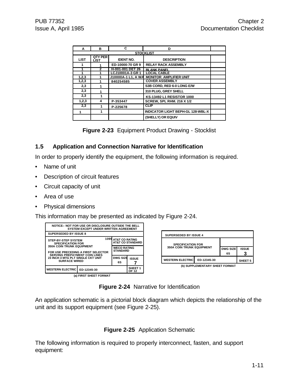| A           | в                             | C                  | D                                        |  |  |  |  |  |  |
|-------------|-------------------------------|--------------------|------------------------------------------|--|--|--|--|--|--|
|             | <b>STOCKLIST</b>              |                    |                                          |  |  |  |  |  |  |
| <b>LIST</b> | <b>QTY PER</b><br><b>LIST</b> | <b>IDENT NO.</b>   | <b>DESCRIPTION</b>                       |  |  |  |  |  |  |
| 1           |                               | ED-10000-70 GR 9   | <b>RELAY RACK ASSEMBLY</b>               |  |  |  |  |  |  |
|             | 2                             | H-001-001 DET 26   | <b>BLANK PANEL</b>                       |  |  |  |  |  |  |
|             |                               | LCJ10001A-3 GR 1   | <b>LOCAL CABLE</b>                       |  |  |  |  |  |  |
| 1,2,3       |                               | J10000A-1 L1. A WA | <b>MONITOR AMPLIFIER UNIT</b>            |  |  |  |  |  |  |
| 1,2,3       |                               | 840254585          | <b>COVER ASSEMBLY</b>                    |  |  |  |  |  |  |
| 2,3         |                               |                    | S3B CORD, RED 6-0 LONG E/W               |  |  |  |  |  |  |
| 2,3         |                               |                    | 310 PLUG. GREY SHELL                     |  |  |  |  |  |  |
| 2,3         |                               |                    | KS-13492 L1 RESISTOR 1000                |  |  |  |  |  |  |
| 1,2,3       | 4                             | P-353447           | <b>SCREW, SPL RHM. 216 X 1/2</b>         |  |  |  |  |  |  |
| 2,3         |                               | P-225678           | <b>CLIP</b>                              |  |  |  |  |  |  |
|             |                               |                    | <b>INDICATOR LIGHT BEPH-GL 128-WBL-X</b> |  |  |  |  |  |  |
|             |                               |                    | (SHELLY) OR EQUIV                        |  |  |  |  |  |  |

|  | Figure 2-23 Equipment Product Drawing - Stocklist |  |  |  |  |
|--|---------------------------------------------------|--|--|--|--|
|--|---------------------------------------------------|--|--|--|--|

## **1.5 Application and Connection Narrative for Identification**

In order to properly identify the equipment, the following information is required.

- Name of unit
- Description of circuit features
- Circuit capacity of unit
- Area of use
- Physical dimensions

This information may be presented as indicated by Figure 2-24.





An application schematic is a pictorial block diagram which depicts the relationship of the unit and its support equipment (see Figure 2-25).

## **Figure 2-25** Application Schematic

The following information is required to properly interconnect, fasten, and support equipment: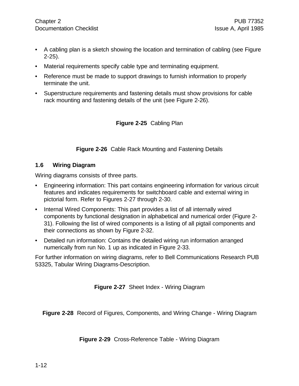- A cabling plan is a sketch showing the location and termination of cabling (see Figure 2-25).
- Material requirements specify cable type and terminating equipment.
- Reference must be made to support drawings to furnish information to properly terminate the unit.
- Superstructure requirements and fastening details must show provisions for cable rack mounting and fastening details of the unit (see Figure 2-26).

## **Figure 2-25** Cabling Plan

## **Figure 2-26** Cable Rack Mounting and Fastening Details

## **1.6 Wiring Diagram**

Wiring diagrams consists of three parts.

- Engineering information: This part contains engineering information for various circuit features and indicates requirements for switchboard cable and external wiring in pictorial form. Refer to Figures 2-27 through 2-30.
- Internal Wired Components: This part provides a list of all internally wired components by functional designation in alphabetical and numerical order (Figure 2- 31). Following the list of wired components is a listing of all pigtail components and their connections as shown by Figure 2-32.
- Detailed run information: Contains the detailed wiring run information arranged numerically from run No. 1 up as indicated in Figure 2-33.

For further information on wiring diagrams, refer to Bell Communications Research PUB 53325, Tabular Wiring Diagrams-Description.

**Figure 2-27** Sheet Index - Wiring Diagram

**Figure 2-28** Record of Figures, Components, and Wiring Change - Wiring Diagram

**Figure 2-29** Cross-Reference Table - Wiring Diagram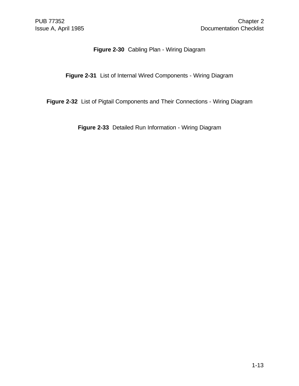**Figure 2-30** Cabling Plan - Wiring Diagram

**Figure 2-31** List of Internal Wired Components - Wiring Diagram

**Figure 2-32** List of Pigtail Components and Their Connections - Wiring Diagram

**Figure 2-33** Detailed Run Information - Wiring Diagram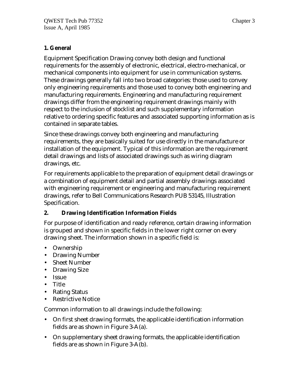## **1. General**

Equipment Specification Drawing convey both design and functional requirements for the assembly of electronic, electrical, electro-mechanical, or mechanical components into equipment for use in communication systems. These drawings generally fall into two broad categories: those used to convey only engineering requirements and those used to convey both engineering and manufacturing requirements. Engineering and manufacturing requirement drawings differ from the engineering requirement drawings mainly with respect to the inclusion of stocklist and such supplementary information relative to ordering specific features and associated supporting information as is contained in separate tables.

Since these drawings convey both engineering and manufacturing requirements, they are basically suited for use directly in the manufacture or installation of the equipment. Typical of this information are the requirement detail drawings and lists of associated drawings such as wiring diagram drawings, etc.

For requirements applicable to the preparation of equipment detail drawings or a combination of equipment detail and partial assembly drawings associated with engineering requirement or engineering and manufacturing requirement drawings, refer to Bell Communications Research PUB 53145, Illustration Specification.

## **2. Drawing Identification Information Fields**

For purpose of identification and ready reference, certain drawing information is grouped and shown in specific fields in the lower right corner on every drawing sheet. The information shown in a specific field is:

- Ownership
- Drawing Number
- Sheet Number
- Drawing Size
- Issue
- Title
- Rating Status
- Restrictive Notice

Common information to all drawings include the following:

- On first sheet drawing formats, the applicable identification information fields are as shown in Figure 3-A(a).
- On supplementary sheet drawing formats, the applicable identification fields are as shown in Figure 3-A(b).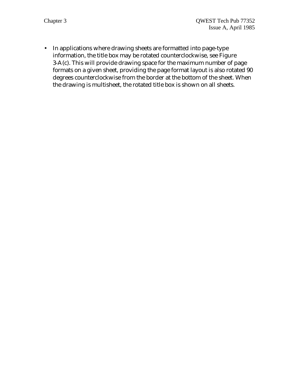• In applications where drawing sheets are formatted into page-type information, the title box may be rotated counterclockwise, see Figure 3-A(c). This will provide drawing space for the maximum number of page formats on a given sheet, providing the page format layout is also rotated 90 degrees counterclockwise from the border at the bottom of the sheet. When the drawing is multisheet, the rotated title box is shown on all sheets.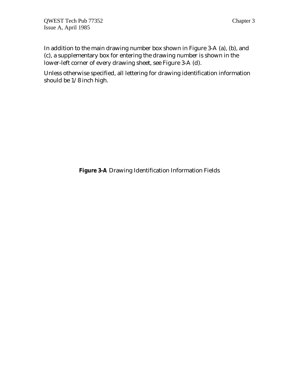In addition to the main drawing number box shown in Figure 3-A (a), (b), and (c), a supplementary box for entering the drawing number is shown in the lower-left corner of every drawing sheet, see Figure 3-A (d).

Unless otherwise specified, all lettering for drawing identification information should be 1/8 inch high.

**Figure 3-A** Drawing Identification Information Fields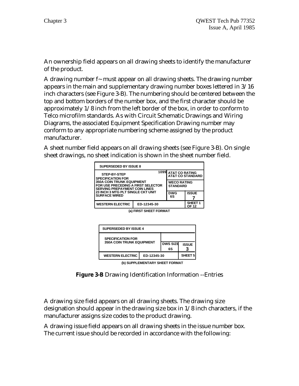An ownership field appears on all drawing sheets to identify the manufacturer of the product.

A drawing number  $f<sub>z</sub>$  must appear on all drawing sheets. The drawing number appears in the main and supplementary drawing number boxes lettered in 3/16 inch characters (see Figure 3-B). The numbering should be centered between the top and bottom borders of the number box, and the first character should be approximately 1/8 inch from the left border of the box, in order to conform to Telco microfilm standards. As with Circuit Schematic Drawings and Wiring Diagrams, the associated Equipment Specification Drawing number may conform to any appropriate numbering scheme assigned by the product manufacturer.

A sheet number field appears on all drawing sheets (see Figure 3-B). On single sheet drawings, no sheet indication is shown in the sheet number field.

| <b>SUPERSEDED BY ISSUE 8</b>                                                                                   |             |                                       |                             |  |  |  |  |
|----------------------------------------------------------------------------------------------------------------|-------------|---------------------------------------|-----------------------------|--|--|--|--|
| STEP-BY-STEP<br><b>SPECIFICATION FOR</b>                                                                       |             | 1099 AT&T CO RATING                   | <b>AT&amp;T CO STANDARD</b> |  |  |  |  |
| <b>350A COIN TRUNK EQUIPMENT</b><br>FOR USE PRECEDING A FIRST SELECTOR<br><b>SERVING PREPAYMENT COIN LINES</b> |             | <b>WECO RATING</b><br><b>STANDARD</b> |                             |  |  |  |  |
| <b>23 INCH 3 MTG PLT SINGLE CKT UNIT</b><br><b>SURFACE WIRED</b>                                               |             | <b>DWG</b><br>6S                      | <b>ISSUE</b>                |  |  |  |  |
|                                                                                                                |             |                                       |                             |  |  |  |  |
| <b>WESTERN ELECTRIC</b>                                                                                        | ED-12345-30 |                                       |                             |  |  |  |  |
| (a) FIRST SHEET FORMAT                                                                                         |             |                                       |                             |  |  |  |  |

| <b>SUPERSEDED BY ISSUE 4</b>                                 |                                |                       |                    |
|--------------------------------------------------------------|--------------------------------|-----------------------|--------------------|
| <b>SPECIFICATION FOR</b><br><b>350A COIN TRUNK EQUIPMENT</b> |                                | <b>DWS SIZE</b><br>6S | <b>ISSUE</b>       |
|                                                              |                                |                       |                    |
| <b>WESTERN ELECTRIC</b>                                      | ED-12345-30                    |                       | SHEET <sub>5</sub> |
|                                                              | (b) SUPPLEMENTARY SHEET FORMAT |                       |                    |

**Figure 3-B** Drawing Identification Information --Entries

A drawing size field appears on all drawing sheets. The drawing size designation should appear in the drawing size box in 1/8 inch characters, if the manufacturer assigns size codes to the product drawing.

A drawing issue field appears on all drawing sheets in the issue number box. The current issue should be recorded in accordance with the following: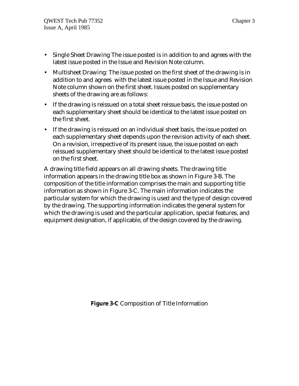- Single Sheet Drawing The issue posted is in addition to and agrees with the latest issue posted in the Issue and Revision Note column.
- Multisheet Drawing: The issue posted on the first sheet of the drawing is in addition to and agrees with the latest issue posted in the Issue and Revision Note column shown on the first sheet. Issues posted on supplementary sheets of the drawing are as follows:
- If the drawing is reissued on a total sheet reissue basis, the issue posted on each supplementary sheet should be identical to the latest issue posted on the first sheet.
- If the drawing is reissued on an individual sheet basis, the issue posted on each supplementary sheet depends upon the revision activity of each sheet. On a revision, irrespective of its present issue, the issue posted on each reissued supplementary sheet should be identical to the latest issue posted on the first sheet.

A drawing title field appears on all drawing sheets. The drawing title information appears in the drawing title box as shown in Figure 3-B. The composition of the title information comprises the main and supporting title information as shown in Figure 3-C. The main information indicates the particular system for which the drawing is used and the type of design covered by the drawing. The supporting information indicates the general system for which the drawing is used and the particular application, special features, and equipment designation, if applicable, of the design covered by the drawing.

**Figure 3-C** Composition of Title Information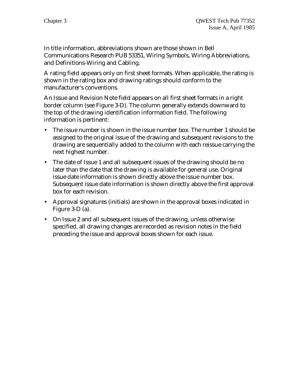In title information, abbreviations shown are those shown in Bell Communications Research PUB 53351, Wiring Symbols, Wiring Abbreviations, and Definitions-Wiring and Cabling.

A rating field appears only on first sheet formats. When applicable, the rating is shown in the rating box and drawing ratings should conform to the manufacturer's conventions.

An Issue and Revision Note field appears on all first sheet formats in a right border column (see Figure 3-D). The column generally extends downward to the top of the drawing identification information field. The following information is pertinent:

- The issue number is shown in the issue number box. The number 1 should be assigned to the original issue of the drawing and subsequent revisions to the drawing are sequentially added to the column with each reissue carrying the next highest number.
- The date of Issue 1 and all subsequent issues of the drawing should be no later than the date that the drawing is available for general use. Original issue date information is shown directly above the issue number box. Subsequent issue date information is shown directly above the first approval box for each revision.
- Approval signatures (initials) are shown in the approval boxes indicated in Figure 3-D (a).
- On Issue 2 and all subsequent issues of the drawing, unless otherwise specified, all drawing changes are recorded as revision notes in the field preceding the issue and approval boxes shown for each issue.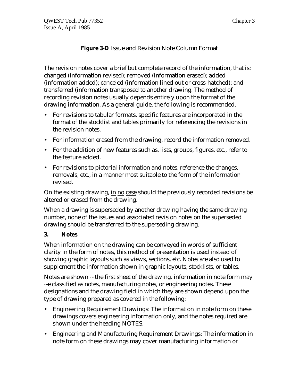## **Figure 3-D** Issue and Revision Note Column Format

The revision notes cover a brief but complete record of the information, that is: changed (information revised); removed (information erased); added (information added); canceled (information lined out or cross-hatched); and transferred (information transposed to another drawing. The method of recording revision notes usually depends entirely upon the format of the drawing information. As a general guide, the following is recommended.

- For revisions to tabular formats, specific features are incorporated in the format of the stocklist and tables primarily for referencing the revisions in the revision notes.
- For information erased from the drawing, record the information removed.
- For the addition of new features such as, lists, groups, figures, etc., refer to the feature added.
- For revisions to pictorial information and notes, reference the changes, removals, etc., in a manner most suitable to the form of the information revised.

On the existing drawing, in no case should the previously recorded revisions be altered or erased from the drawing.

When a drawing is superseded by another drawing having the same drawing number, none of the issues and associated revision notes on the superseded drawing should be transferred to the superseding drawing.

## **3. Notes**

When information on the drawing can be conveyed in words of sufficient clarity in the form of notes, this method of presentation is used instead of showing graphic layouts such as views, sections, etc. Notes are also used to supplement the information shown in graphic layouts, stocklists, or tables.

Notes are shown  $\sim$  the first sheet of the drawing. information in note form may ~e classified as notes, manufacturing notes, or engineering notes. These designations and the drawing field in which they are shown depend upon the type of drawing prepared as covered in the following:

- Engineering Requirement Drawings: The information in note form on these drawings covers engineering information only, and the notes required are shown under the heading NOTES.
- Engineering and Manufacturing Requirement Drawings: The information in note form on these drawings may cover manufacturing information or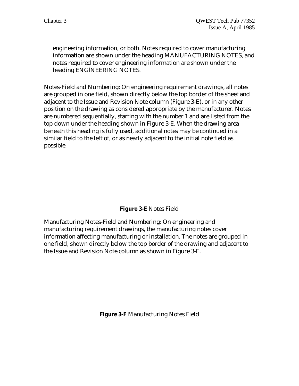engineering information, or both. Notes required to cover manufacturing information are shown under the heading MANUFACTURING NOTES, and notes required to cover engineering information are shown under the heading ENGlNEERING NOTES.

Notes-Field and Numbering: On engineering requirement drawings, all notes are grouped in one field, shown directly below the top border of the sheet and adjacent to the Issue and Revision Note column (Figure 3-E), or in any other position on the drawing as considered appropriate by the manufacturer. Notes are numbered sequentially, starting with the number 1 and are listed from the top down under the heading shown in Figure 3-E. When the drawing area beneath this heading is fully used, additional notes may be continued in a similar field to the left of, or as nearly adjacent to the initial note field as possible.

## **Figure 3-E** Notes Field

Manufacturing Notes-Field and Numbering: On engineering and manufacturing requirement drawings, the manufacturing notes cover information affecting manufacturing or installation. The notes are grouped in one field, shown directly below the top border of the drawing and adjacent to the Issue and Revision Note column as shown in Figure 3-F.

**Figure 3-F** Manufacturing Notes Field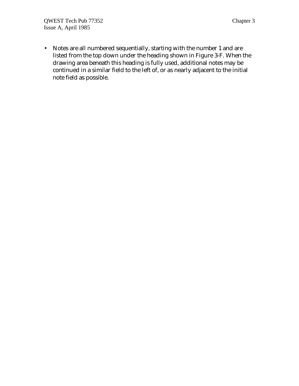• Notes are all numbered sequentially, starting with the number 1 and are listed from the top down under the heading shown in Figure 3-F. When the drawing area beneath this heading is fully used, additional notes may be continued in a similar field to the left of, or as nearly adjacent to the initial note field as possible.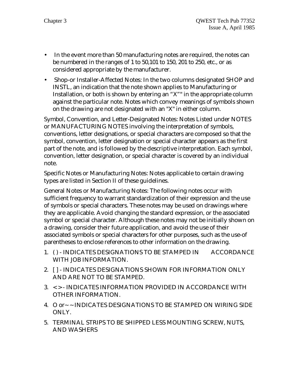- In the event more than 50 manufacturing notes are required, the notes can be numbered in the ranges of 1 to 50,101 to 150, 201 to 250, etc., or as considered appropriate by the manufacturer.
- Shop-or Installer-Affected Notes: In the two columns designated SHOP and INSTL, an indication that the note shown applies to Manufacturing or Installation, or both is shown by entering an "X"" in the appropriate column against the particular note. Notes which convey meanings of symbols shown on the drawing are not designated with an "X" in either column.

Symbol, Convention, and Letter-Designated Notes: Notes Listed under NOTES or MANUFACTURING NOTES involving the interpretation of symbols, conventions, letter designations, or special characters are composed so that the symbol, convention, letter designation or special character appears as the first part of the note, and is followed by the descriptive interpretation. Each symbol, convention, letter designation, or special character is covered by an individual note.

Specific Notes or Manufacturing Notes: Notes applicable to certain drawing types are listed in Section II of these guidelines.

General Notes or Manufacturing Notes: The following notes occur with sufficient frequency to warrant standardization of their expression and the use of symbols or special characters. These notes may be used on drawings where they are applicable. Avoid changing the standard expression, or the associated symbol or special character. Although these notes may not be initially shown on a drawing, consider their future application, and avoid the use of their associated symbols or special characters for other purposes, such as the use-of parentheses to enclose references to other information on the drawing.

- 1. ( ) INDICATES DESIGNATIONS TO BE STAMPED IN ACCORDANCE WITH JOB INFORMATION.
- 2. [ ] INDICATES DESIGNATIONS SHOWN FOR INFORMATION ONLY AND ARE NOT TO BE STAMPED.
- 3. < > INDICATES INFORMATION PROVIDED IN ACCORDANCE WITH OTHER INFORMATION.
- 4. O or~ ~ INDICATES DESIGNATIONS TO BE STAMPED ON WIRING SIDE ONLY.
- 5. TERMINAL STRIPS TO BE SHIPPED LESS MOUNTING SCREW, NUTS, AND WASHERS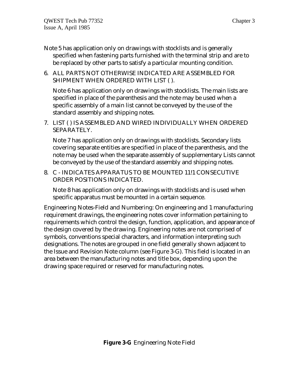- Note 5 has application only on drawings with stocklists and is generally specified when fastening parts furnished with the terminal strip and are to be replaced by other parts to satisfy a particular mounting condition.
- 6. ALL PARTS NOT OTHERWISE INDICATED ARE ASSEMBLED FOR SHIPMENT WHEN ORDERED WITH LIST ( ).

 Note 6 has application only on drawings with stocklists. The main lists are specified in place of the parenthesis and the note may be used when a specific assembly of a main list cannot be conveyed by the use of the standard assembly and shipping notes.

7. LIST ( ) IS ASSEMBLED AND WIRED INDIVIDUALLY WHEN ORDERED SEPARATELY.

 Note 7 has application only on drawings with stocklists. Secondary lists covering separate entities are specified in place of the parenthesis, and the note may be used when the separate assembly of supplementary Lists cannot be conveyed by the use of the standard assembly and shipping notes.

8. C - INDICATES APPARATUS TO BE MOUNTED 11!1 CONSECUTIVE ORDER POSITIONS INDICATED.

 Note 8 has application only on drawings with stocklists and is used when specific apparatus must be mounted in a certain sequence.

Engineering Notes-Field and Numbering: On engineering and 1 manufacturing requirement drawings, the engineering notes cover information pertaining to requirements which control the design, function, application, and appearance of the design covered by the drawing. Engineering notes are not comprised of symbols, conventions special characters, and information interpreting such designations. The notes are grouped in one field generally shown adjacent to the Issue and Revision Note column (see Figure 3-G). This field is located in an area between the manufacturing notes and title box, depending upon the drawing space required or reserved for manufacturing notes.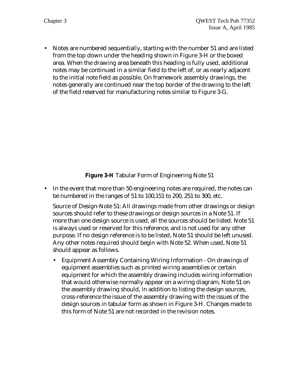• Notes are numbered sequentially, starting with the number 51 and are listed from the top down under the heading shown in Figure 3-H or the boxed area. When the drawing area beneath this heading is fully used, additional notes may be continued in a similar field to the left of, or as nearly adjacent to the initial note field as possible. On framework assembly drawings, the notes generally are continued near the top border of the drawing to the left of the field reserved for manufacturing notes similar to Figure 3-G.

## **Figure 3-H** Tabular Form of Engineering Note 51

• In the event that more than 50 engineering notes are required, the notes can be numbered in the ranges of 51 to 100,151 to 200, 251 to 300, etc.

Source of Design-Note 51: All drawings made from other drawings or design sources should refer to these drawings or design sources in a Note 51. If more than one design source is used, all the sources should be listed. Note 51 is always used or reserved for this reference, and is not used for any other purpose. If no design reference is to be listed, Note 51 should be left unused. Any other notes required should begin with Note 52. When used, Note 51 should appear as follows.

• Equipment Assembly Containing Wiring Information - On drawings of equipment assemblies such as printed wiring assemblies or certain equipment for which the assembly drawing includes wiring information that would otherwise normally appear on a wiring diagram, Note 51 on the assembly drawing should, in addition to listing the design sources, cross-reference the issue of the assembly drawing with the issues of the design sources in tabular form as shown in Figure 3-H. Changes made to this form of Note 51 are not recorded in the revision notes.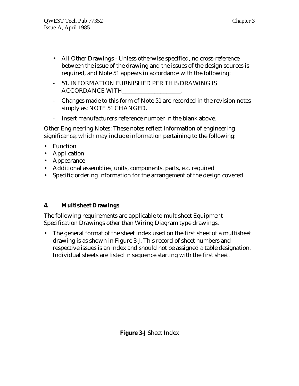- All Other Drawings Unless otherwise specified, no cross-reference between the issue of the drawing and the issues of the design sources is required, and Note 51 appears in accordance with the following:
- 51. INFORMATION FURNISHED PER THIS DRAWING IS ACCORDANCE WITH\_\_\_\_\_\_\_\_\_\_\_\_\_\_\_\_\_\_\_\_.
- Changes made to this form of Note 51 are recorded in the revision notes simply as: NOTE 51 CHANGED.
- Insert manufacturers reference number in the blank above.

Other Engineering Notes: These notes reflect information of engineering significance, which may include information pertaining to the following:

- Function
- Application
- Appearance
- Additional assemblies, units, components, parts, etc. required
- Specific ordering information for the arrangement of the design covered

## **4. Multisheet Drawings**

The following requirements are applicable to multisheet Equipment Specification Drawings other than Wiring Diagram type drawings.

• The general format of the sheet index used on the first sheet of a multisheet drawing is as shown in Figure 3-J. This record of sheet numbers and respective issues is an index and should not be assigned a table designation. Individual sheets are listed in sequence starting with the first sheet.

## **Figure 3-J** Sheet Index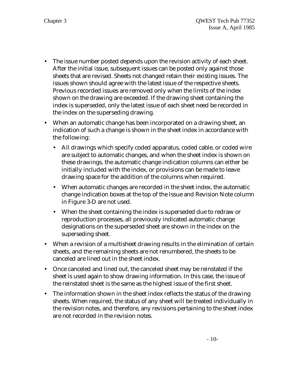- The issue number posted depends upon the revision activity of each sheet. After the initial issue, subsequent issues can be posted only against those sheets that are revised. Sheets not changed retain their existing issues. The issues shown should agree with the latest issue of the respective sheets. Previous recorded issues are removed only when the limits of the index shown on the drawing are exceeded. If the drawing sheet containing the index is superseded, only the latest issue of each sheet need be recorded in the index on the superseding drawing.
- When an automatic change has been incorporated on a drawing sheet, an indication of such a change is shown in the sheet index in accordance with the following:
	- All drawings which specify coded apparatus, coded cable, or coded wire are subject to automatic changes, and when the sheet index is shown on these drawings, the automatic change indication columns can either be initially included with the index, or provisions can be made to leave drawing space for the addition of the columns when required.
	- When automatic changes are recorded in the sheet index, the automatic change indication boxes at the top of the Issue and Revision Note column in Figure 3-D are not used.
	- When the sheet containing the index is superseded due to redraw or reproduction processes, all previously indicated automatic change designations on the superseded sheet are shown in the index on the superseding sheet.
- When a revision of a multisheet drawing results in the elimination of certain sheets, and the remaining sheets are not renumbered, the sheets to be canceled are lined out in the sheet index.
- Once canceled and lined out, the canceled sheet may be reinstated if the sheet is used again to show drawing information. In this case, the issue of the reinstated sheet is the same as the highest issue of the first sheet.
- The information shown in the sheet index reflects the status of the drawing sheets. When required, the status of any sheet will be treated individually in the revision notes, and therefore, any revisions pertaining to the sheet index are not recorded in the revision notes.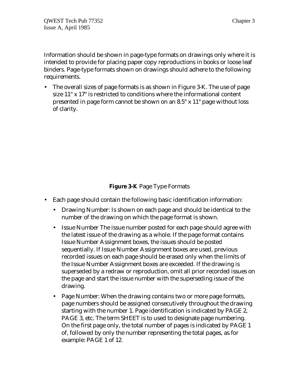Information should be shown in page-type formats on drawings only where it is intended to provide for placing paper copy reproductions in books or loose leaf binders. Page-type formats shown on drawings should adhere to the following requirements.

• The overall sizes of page formats is as shown in Figure 3-K. The use of page size 11" x 17" is restricted to conditions where the informational content presented in page form cannot be shown on an 8.5" x 11" page without loss of clarity.

## **Figure 3-K** Page Type Formats

- Each page should contain the following basic identification information:
	- Drawing Number: Is shown on each page and should be identical to the number of the drawing on which the page format is shown.
	- Issue Number The issue number posted for each page should agree with the latest issue of the drawing as a whole. If the page format contains Issue Number Assignment boxes, the issues should be posted sequentially. If Issue Number Assignment boxes are used, previous recorded issues on each page should be erased only when the limits of the Issue Number Assignment boxes are exceeded. If the drawing is superseded by a redraw or reproduction, omit all prior recorded issues on the page and start the issue number with the superseding issue of the drawing.
	- Page Number: When the drawing contains two or more page formats, page numbers should be assigned consecutively throughout the drawing starting with the number 1. Page identification is indicated by PAGE 2, PAGE 3, etc. The term SHEET is to used to designate page numbering. On the first page only, the total number of pages is indicated by PAGE 1 of, followed by only the number representing the total pages, as for example: PAGE 1 of 12.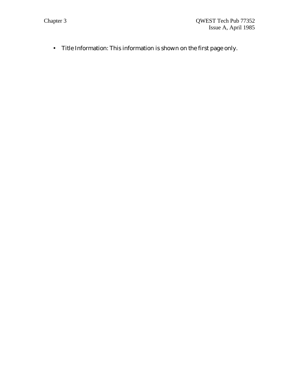• Title Information: This information is shown on the first page only.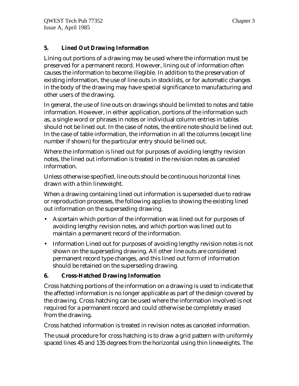## **5. Lined Out Drawing Information**

Lining out portions of a drawing may be used where the information must be preserved for a permanent record. However, lining out of information often causes the information to become illegible. In addition to the preservation of existing information, the use of line outs in stocklists, or for automatic changes in the body of the drawing may have special significance to manufacturing and other users of the drawing.

In general, the use of line outs on drawings should be limited to notes and table information. However, in either application, portions of the information such as, a single word or phrases in notes or individual column entries in tables should not be lined out. In the case of notes, the entire note should be lined out. In the case of table information, the information in all the columns (except line number if shown) for the particular entry should be lined out.

Where the information is lined out for purposes of avoiding lengthy revision notes, the lined out information is treated in the revision notes as canceled information.

Unless otherwise specified, line outs should be continuous horizontal lines drawn with a thin lineweight.

When a drawing containing lined out information is superseded due to redraw or reproduction processes, the following applies to showing the existing lined out information on the superseding drawing.

- Ascertain which portion of the information was lined out for purposes of avoiding lengthy revision notes, and which portion was lined out to maintain a permanent record of the information.
- Information Lined out for purposes of avoiding lengthy revision notes is not shown on the superseding drawing. All other line outs are considered permanent record type changes, and this lined out form of information should be retained on the superseding drawing.

## **6. Cross-Hatched Drawing Information**

Cross hatching portions of the information on a drawing is used to indicate that the affected information is no longer applicable as part of the design covered by the drawing. Cross hatching can be used where the information involved is not required for a permanent record and could otherwise be completely erased from the drawing.

Cross hatched information is treated in revision notes as canceled information.

The usual procedure for cross hatching is to draw a grid pattern with uniformly spaced lines 45 and 135 degrees from the horizontal using thin lineweights. The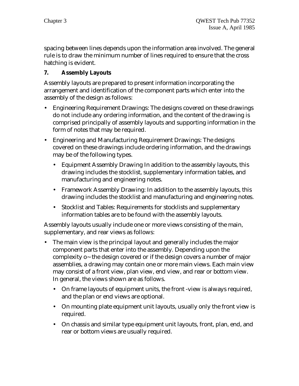spacing between lines depends upon the information area involved. The general rule is to draw the minimum number of lines required to ensure that the cross hatching is evident.

## **7. Assembly Layouts**

Assembly layouts are prepared to present information incorporating the arrangement and identification of the component parts which enter into the assembly of the design as follows:

- Engineering Requirement Drawings: The designs covered on these drawings do not include any ordering information, and the content of the drawing is comprised principally of assembly layouts and supporting information in the form of notes that may be required.
- Engineering and Manufacturing Requirement Drawings: The designs covered on these drawings include ordering information, and the drawings may be of the following types.
	- Equipment Assembly Drawing In addition to the assembly layouts, this drawing includes the stocklist, supplementary information tables, and manufacturing and engineering notes.
	- Framework Assembly Drawing: In addition to the assembly layouts, this drawing includes the stocklist and manufacturing and engineering notes.
	- Stocklist and Tables: Requirements for stocklists and supplementary information tables are to be found with the assembly layouts.

Assembly layouts usually include one or more views consisting of the main, supplementary, and rear views as follows:

- The main view is the principal layout and generally includes the major component parts that enter into the assembly. Depending upon the complexity o~ the design covered or if the design covers a number of major assemblies, a drawing may contain one or more main views. Each main view may consist of a front view, plan view, end view, and rear or bottom view. In general, the views shown are as follows.
	- On frame layouts of equipment units, the front -view is always required, and the plan or end views are optional.
	- On mounting plate equipment unit layouts, usually only the front view is required.
	- On chassis and similar type equipment unit layouts, front, plan, end, and rear or bottom views are usually required.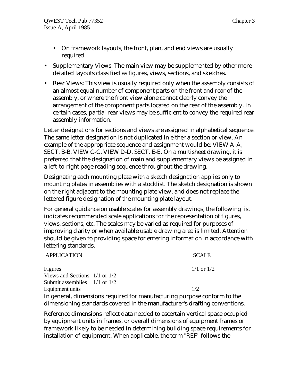- On framework layouts, the front, plan, and end views are usually required.
- Supplementary Views: The main view may be supplemented by other more detailed layouts classified as figures, views, sections, and sketches.
- Rear Views: This view is usually required only when the assembly consists of an almost equal number of component parts on the front and rear of the assembly, or where the front view alone cannot clearly convey the arrangement of the component parts located on the rear of the assembly. In certain cases, partial rear views may be sufficient to convey the required rear assembly information.

Letter designations for sections and views are assigned in alphabetical sequence. The same letter designation is not duplicated in either a section or view. An example of the appropriate sequence and assignment would be: VIEW A-A, SECT. B-B, VIEW C-C, VIEW D-D, SECT. E-E. On a multisheet drawing, it is preferred that the designation of main and supplementary views be assigned in a left-to-right page reading sequence throughout the drawing.

Designating each mounting plate with a sketch designation applies only to mounting plates in assemblies with a stocklist. The sketch designation is shown on the right adjacent to the mounting plate view, and does not replace the lettered figure designation of the mounting plate layout.

For general guidance on usable scales for assembly drawings, the following list indicates recommended scale applications for the representation of figures, views, sections, etc. The scales may be varied as required for purposes of improving clarity or when available usable drawing area is limited. Attention should be given to providing space for entering information in accordance with lettering standards.

| <b>APPLICATION</b>                                                         | <b>SCALE</b>   |
|----------------------------------------------------------------------------|----------------|
| Figures                                                                    | $1/1$ or $1/2$ |
| Views and Sections $1/1$ or $1/2$                                          |                |
| Submit assemblies $1/1$ or $1/2$                                           |                |
| Equipment units                                                            | 1/2            |
| In general, dimensions required for manufacturing purpose conform to the   |                |
| dimensioning standards covered in the manufacturer's drafting conventions. |                |

Reference dimensions reflect data needed to ascertain vertical space occupied by equipment units in frames, or overall dimensions of equipment frames or framework likely to be needed in determining building space requirements for installation of equipment. When applicable, the term "REF" follows the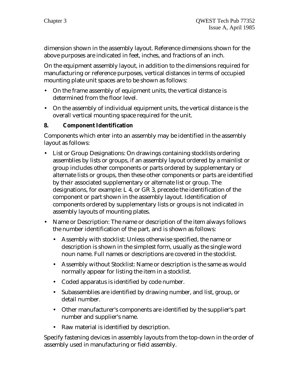dimension shown in the assembly layout. Reference dimensions shown for the above purposes are indicated in feet, inches, and fractions of an inch.

On the equipment assembly layout, in addition to the dimensions required for manufacturing or reference purposes, vertical distances in terms of occupied mounting plate unit spaces are to be shown as follows:

- On the frame assembly of equipment units, the vertical distance is determined from the floor level.
- On the assembly of individual equipment units, the vertical distance is the overall vertical mounting space required for the unit.

## **8. Component Identification**

Components which enter into an assembly may be identified in the assembly layout as follows:

- List or Group Designations: On drawings containing stocklists ordering assemblies by lists or groups, if an assembly layout ordered by a mainlist or group includes other components or parts ordered by supplementary or alternate lists or groups, then these other components or parts are identified by their associated supplementary or alternate list or group. The designations, for example: L 4, or GR 3, precede the identification of the component or part shown in the assembly layout. Identification of components ordered by supplementary lists or groups is not indicated in assembly layouts of mounting plates.
- Name or Description: The name or description of the item always follows the number identification of the part, and is shown as follows:
	- Assembly with stocklist: Unless otherwise specified, the name or description is shown in the simplest form, usually as the single word noun name. Full names or descriptions are covered in the stocklist.
	- Assembly without Stocklist: Name or description is the same as would normally appear for listing the item in a stocklist.
	- Coded apparatus is identified by code number.
	- Subassemblies are identified by drawing number, and list, group, or detail number.
	- Other manufacturer's components are identified by the supplier's part number and supplier's name.
	- Raw material is identified by description.

Specify fastening devices in assembly layouts from the top-down in the order of assembly used in manufacturing or field assembly.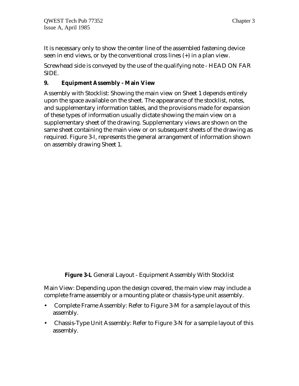It is necessary only to show the center line of the assembled fastening device seen in end views, or by the conventional cross lines (+) in a plan view.

Screwhead side is conveyed by the use of the qualifying note - HEAD ON FAR SIDE.

# **9. Equipment Assembly - Main View**

Assembly with Stocklist: Showing the main view on Sheet 1 depends entirely upon the space available on the sheet. The appearance of the stocklist, notes, and supplementary information tables, and the provisions made for expansion of these types of information usually dictate showing the main view on a supplementary sheet of the drawing. Supplementary views are shown on the same sheet containing the main view or on subsequent sheets of the drawing as required. Figure 3-I, represents the general arrangement of information shown on assembly drawing Sheet 1.

**Figure 3-L** General Layout - Equipment Assembly With Stocklist

Main View: Depending upon the design covered, the main view may include a complete frame assembly or a mounting plate or chassis-type unit assembly.

- Complete Frame Assembly: Refer to Figure 3-M for a sample layout of this assembly.
- Chassis-Type Unit Assembly: Refer to Figure 3-N for a sample layout of this assembly.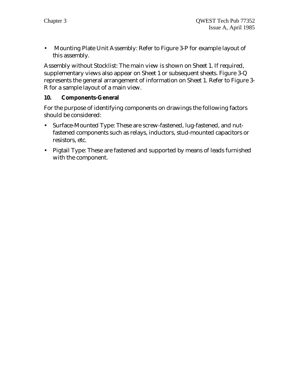• Mounting Plate Unit Assembly: Refer to Figure 3-P for example layout of this assembly.

Assembly without Stocklist: The main view is shown on Sheet 1. If required, supplementary views also appear on Sheet 1 or subsequent sheets. Figure 3-Q represents the general arrangement of information on Sheet 1. Refer to Figure 3- R for a sample layout of a main view.

### **10. Components-General**

For the purpose of identifying components on drawings the following factors should be considered:

- Surface-Mounted Type: These are screw-fastened, lug-fastened, and nutfastened components such as relays, inductors, stud-mounted capacitors or resistors, etc.
- Pigtail Type: These are fastened and supported by means of leads furnished with the component.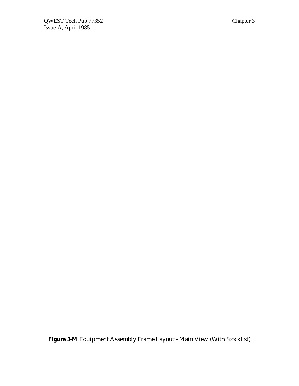QWEST Tech Pub 77352 Chapter 3 Issue A, April 1985

**Figure 3-M** Equipment Assembly Frame Layout - Main View (With Stocklist)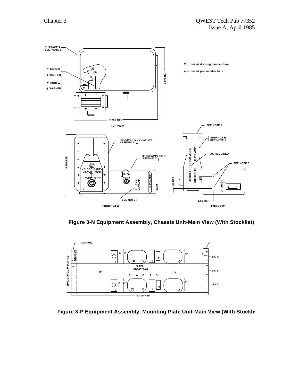

**Figure 3-N Equipment Assembly, Chassis Unit-Main View (With Stocklist)**



**Figure 3-P Equipment Assembly, Mounting Plate Unit-Main View (With Stocklist)**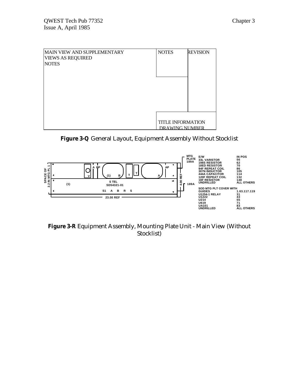

**Figure 3-Q** General Layout, Equipment Assembly Without Stocklist



**Figure 3-R** Equipment Assembly, Mounting Plate Unit - Main View (Without Stocklist)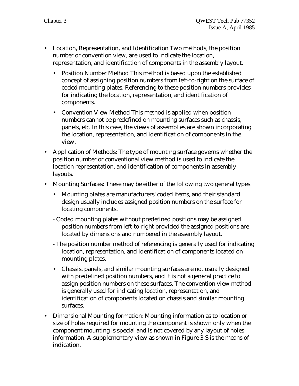- Location, Representation, and Identification Two methods, the position number or convention view, are used to indicate the location, representation, and identification of components in the assembly layout.
	- Position Number Method This method is based upon the established concept of assigning position numbers from left-to-right on the surface of coded mounting plates. Referencing to these position numbers provides for indicating the location, representation, and identification of components.
	- Convention View Method This method is applied when position numbers cannot be predefined on mounting surfaces such as chassis, panels, etc. In this case, the views of assemblies are shown incorporating the location, representation, and identification of components in the view.
- Application of Methods: The type of mounting surface governs whether the position number or conventional view method is used to indicate the location representation, and identification of components in assembly layouts.
- Mounting Surfaces: These may be either of the following two general types.
	- Mounting plates are manufacturers' coded items, and their standard design usually includes assigned position numbers on the surface for locating components.
	- Coded mounting plates without predefined positions may be assigned position numbers from left-to-right provided the assigned positions are located by dimensions and numbered in the assembly layout.
	- The position number method of referencing is generally used for indicating location, representation, and identification of components located on mounting plates.
	- Chassis, panels, and similar mounting surfaces are not usually designed with predefined position numbers, and it is not a general practice to assign position numbers on these surfaces. The convention view method is generally used for indicating location, representation, and identification of components located on chassis and similar mounting surfaces.
- Dimensional Mounting formation: Mounting information as to location or size of holes required for mounting the component is shown only when the component mounting is special and is not covered by any layout of holes information. A supplementary view as shown in Figure 3-S is the means of indication.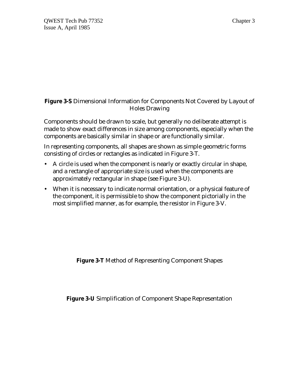## **Figure 3-S** Dimensional Information for Components Not Covered by Layout of Holes Drawing

Components should be drawn to scale, but generally no deliberate attempt is made to show exact differences in size among components, especially when the components are basically similar in shape or are functionally similar.

In representing components, all shapes are shown as simple geometric forms consisting of circles or rectangles as indicated in Figure 3-T.

- A circle is used when the component is nearly or exactly circular in shape, and a rectangle of appropriate size is used when the components are approximately rectangular in shape (see Figure 3-U).
- When it is necessary to indicate normal orientation, or a physical feature of the component, it is permissible to show the component pictorially in the most simplified manner, as for example, the resistor in Figure 3-V.

**Figure 3-T** Method of Representing Component Shapes

**Figure 3-U** Simplification of Component Shape Representation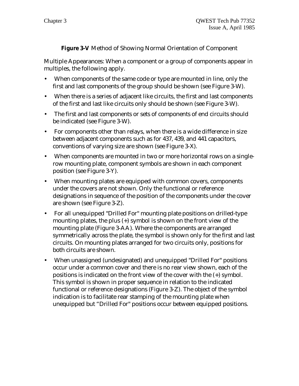## **Figure 3-V** Method of Showing Normal Orientation of Component

Multiple Appearances: When a component or a group of components appear in multiples, the following apply.

- When components of the same code or type are mounted in line, only the first and last components of the group should be shown (see Figure 3-W).
- When there is a series of adjacent like circuits, the first and last components of the first and last like circuits only should be shown (see Figure 3-W).
- The first and last components or sets of components of end circuits should be indicated (see Figure 3-W).
- For components other than relays, when there is a wide difference in size between adjacent components such as for 437, 439, and 441 capacitors, conventions of varying size are shown (see Figure 3-X).
- When components are mounted in two or more horizontal rows on a singlerow mounting plate, component symbols are shown in each component position (see Figure 3-Y).
- When mounting plates are equipped with common covers, components under the covers are not shown. Only the functional or reference designations in sequence of the position of the components under the cover are shown (see Figure 3-Z).
- For all unequipped "Drilled For" mounting plate positions on drilled-type mounting plates, the plus (+) symbol is shown on the front view of the mounting plate (Figure 3-AA). Where the components are arranged symmetrically across the plate, the symbol is shown only for the first and last circuits. On mounting plates arranged for two circuits only, positions for both circuits are shown.
- When unassigned (undesignated) and unequipped "Drilled For" positions occur under a common cover and there is no rear view shown, each of the positions is indicated on the front view of the cover with the (+) symbol. This symbol is shown in proper sequence in relation to the indicated functional or reference designations (Figure 3-Z). The object of the symbol indication is to facilitate rear stamping of the mounting plate when unequipped but "Drilled For" positions occur between equipped positions.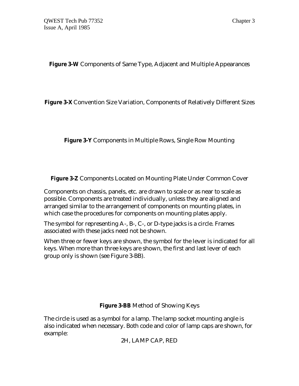**Figure 3-W** Components of Same Type, Adjacent and Multiple Appearances

**Figure 3-X** Convention Size Variation, Components of Relatively Different Sizes

**Figure 3-Y** Components in Multiple Rows, Single Row Mounting

**Figure 3-Z** Components Located on Mounting Plate Under Common Cover

Components on chassis, panels, etc. are drawn to scale or as near to scale as possible. Components are treated individually, unless they are aligned and arranged similar to the arrangement of components on mounting plates, in which case the procedures for components on mounting plates apply.

The symbol for representing A-, B-, C-, or D-type jacks is a circle. Frames associated with these jacks need not be shown.

When three or fewer keys are shown, the symbol for the lever is indicated for all keys. When more than three keys are shown, the first and last lever of each group only is shown (see Figure 3-BB).

**Figure 3-BB** Method of Showing Keys

The circle is used as a symbol for a lamp. The lamp socket mounting angle is also indicated when necessary. Both code and color of lamp caps are shown, for example:

2H, LAMP CAP, RED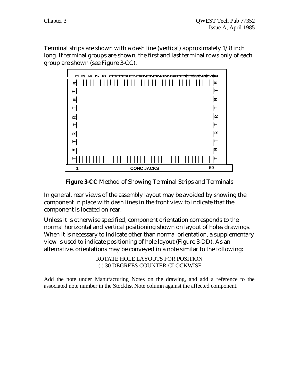Terminal strips are shown with a dash line (vertical) approximately 1/8 inch long. If terminal groups are shown, the first and last terminal rows only of each group are shown (see Figure 3-CC).



**Figure 3-CC** Method of Showing Terminal Strips and Terminals

In general, rear views of the assembly layout may be avoided by showing the component in place with dash lines in the front view to indicate that the component is located on rear.

Unless it is otherwise specified, component orientation corresponds to the normal horizontal and vertical positioning shown on layout of holes drawings. When it is necessary to indicate other than normal orientation, a supplementary view is used to indicate positioning of hole layout (Figure 3-DD). As an alternative, orientations may be conveyed in a note similar to the following:

> ROTATE HOLE LAYOUTS FOR POSITION ( ) 30 DEGREES COUNTER-CLOCKWISE

Add the note under Manufacturing Notes on the drawing, and add a reference to the associated note number in the Stocklist Note column against the affected component.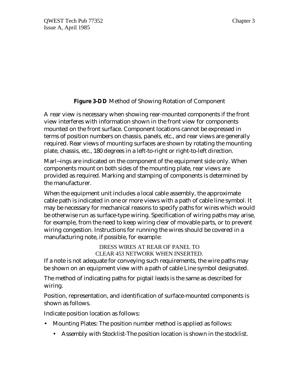## **Figure 3-DD** Method of Showing Rotation of Component

A rear view is necessary when showing rear-mounted components if the front view interferes with information shown in the front view for components mounted on the front surface. Component locations cannot be expressed in terms of position numbers on chassis, panels, etc., and rear views are generally required. Rear views of mounting surfaces are shown by rotating the mounting plate, chassis, etc., 180 degrees in a left-to-right or right-to-left direction.

Marl~ings are indicated on the component of the equipment side only. When components mount on both sides of the mounting plate, rear views are provided as required. Marking and stamping of components is determined by the manufacturer.

When the equipment unit includes a local cable assembly, the approximate cable path is indicated in one or more views with a path of cable line symbol. It may be necessary for mechanical reasons to specify paths for wires which would be otherwise run as surface-type wiring. Specification of wiring paths may arise, for example, from the need to keep wiring clear of movable parts, or to prevent wiring congestion. Instructions for running the wires should be covered in a manufacturing note, if possible, for example:

> DRESS WIRES AT REAR OF PANEL TO CLEAR 453 NETWORK WHEN INSERTED.

If a note is not adequate for conveying such requirements, the wire paths may be shown on an equipment view with a path of cable Line symbol designated.

The method of indicating paths for pigtail leads is the same as described for wiring.

Position, representation, and identification of surface-mounted components is shown as follows.

Indicate position location as follows:

- Mounting Plates: The position number method is applied as follows:
	- Assembly with Stocklist-The position location is shown in the stocklist.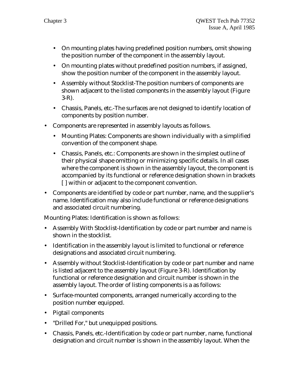- On mounting plates having predefined position numbers, omit showing the position number of the component in the assembly layout.
- On mounting plates without predefined position numbers, if assigned, show the position number of the component in the assembly layout.
- Assembly without Stocklist-The position numbers of components are shown adjacent to the listed components in the assembly layout (Figure  $3-R$ ).
- Chassis, Panels, etc.-The surfaces are not designed to identify location of components by position number.
- Components are represented in assembly layouts as follows.
	- Mounting Plates: Components are shown individually with a simplified convention of the component shape.
	- Chassis, Panels, etc.: Components are shown in the simplest outline of their physical shape omitting or minimizing specific details. In all cases where the component is shown in the assembly layout, the component is accompanied by its functional or reference designation shown in brackets [ ] within or adjacent to the component convention.
- Components are identified by code or part number, name, and the supplier's name. Identification may also include functional or reference designations and associated circuit numbering.

Mounting Plates: Identification is shown as follows:

- Assembly With Stocklist-Identification by code or part number and name is shown in the stocklist.
- Identification in the assembly layout is limited to functional or reference designations and associated circuit numbering.
- Assembly without Stocklist-Identification by code or part number and name is listed adjacent to the assembly layout (Figure 3-R). Identification by functional or reference designation and circuit number is shown in the assembly layout. The order of listing components is a as follows:
- Surface-mounted components, arranged numerically according to the position number equipped.
- Pigtail components
- "Drilled For," but unequipped positions.
- Chassis, Panels, etc.-Identification by code or part number, name, functional designation and circuit number is shown in the assembly layout. When the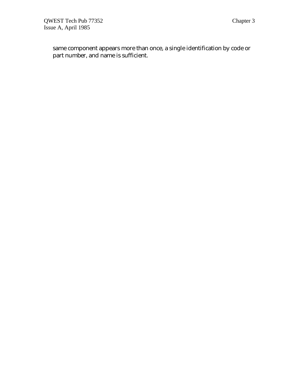same component appears more than once, a single identification by code or part number, and name is sufficient.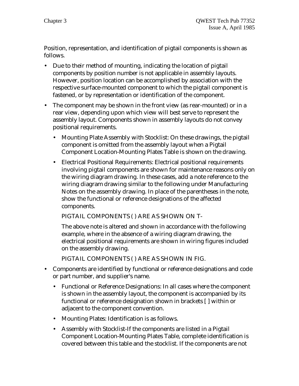Position, representation, and identification of pigtail components is shown as follows.

- Due to their method of mounting, indicating the location of pigtail components by position number is not applicable in assembly layouts. However, position location can be accomplished by association with the respective surface-mounted component to which the pigtail component is fastened, or by representation or identification of the component.
- The component may be shown in the front view (as rear-mounted) or in a rear view, depending upon which view will best serve to represent the assembly layout. Components shown in assembly layouts do not convey positional requirements.
	- Mounting Plate Assembly with Stocklist: On these drawings, the pigtail component is omitted from the assembly layout when a Pigtail Component Location-Mounting Plates Table is shown on the drawing.
	- Electrical Positional Requirements: Electrical positional requirements involving pigtail components are shown for maintenance reasons only on the wiring diagram drawing. In these cases, add a note reference to the wiring diagram drawing similar to the following under Manufacturing Notes on the assembly drawing. In place of the parentheses in the note, show the functional or reference designations of the affected components.

PIGTAIL COMPONENTS ( ) ARE AS SHOWN ON T-

The above note is altered and shown in accordance with the following example, where in the absence of a wiring diagram drawing, the electrical positional requirements are shown in wiring figures included on the assembly drawing.

PIGTAIL COMPONENTS ( ) ARE AS SHOWN IN FIG.

- Components are identified by functional or reference designations and code or part number, and supplier's name.
	- Functional or Reference Designations: In all cases where the component is shown in the assembly layout, the component is accompanied by its functional or reference designation shown in brackets [ ] within or adjacent to the component convention.
	- Mounting Plates: Identification is as follows.
	- Assembly with Stocklist-If the components are listed in a Pigtail Component Location-Mounting Plates Table, complete identification is covered between this table and the stocklist. If the components are not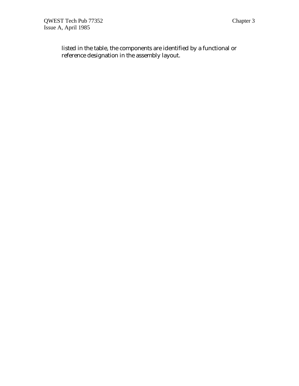listed in the table, the components are identified by a functional or reference designation in the assembly layout.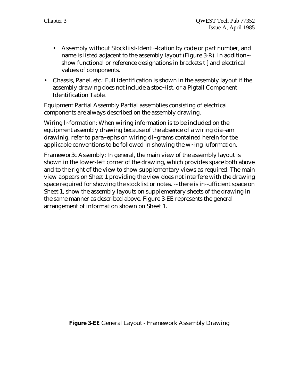- Assembly without Stockliist-Identi~lcation by code or part number, and name is listed adjacent to the assembly layout (Figure 3-R). In addition $\sim$ show functional or reference designations in brackets t ] and electrical values of components.
- Chassis, Panel, etc.: Full identification is shown in the assembly layout if the assembly drawing does not include a stoc~list, or a Pigtail Component Identification Table.

Equipment Partial Assembly Partial assemblies consisting of electrical components are always described on the assembly drawing.

Wiring l~formation: When wiring information is to be included on the equipment assembly drawing because of the absence of a wiring dia~am drawinig, refer to para~aphs on wiring di~grams contained herein for tbe applicable conventions to be followed in showing the w~ing iuformation.

Framewor3c Assembly: In general, the main view of the assembly layout is shown in the lower-left corner of the drawing, which provides space both above and to the right of the view to show supplementary views as required. The main view appears on Sheet 1 providing the view does not interfere with the drawing space required for showing the stocklist or notes. ~ there is in~ufficient space on Sheet 1, show the assembly layouts on supplementary sheets of the drawing in the same manner as described above. Figure 3-EE represents the general arrangement of information shown on Sheet 1.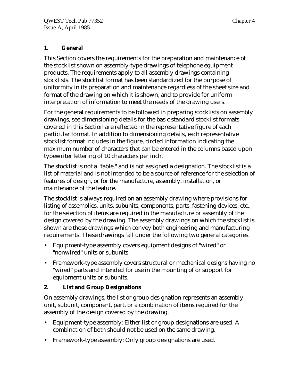# **1. General**

This Section covers the requirements for the preparation and maintenance of the stocklist shown on assembly-type drawings of telephone equipment products. The requirements apply to all assembly drawings containing stocklists. The stocklist format has been standardized for the purpose of uniformity in its preparation and maintenance regardless of the sheet size and format of the drawing on which it is shown, and to provide for uniform interpretation of information to meet the needs of the drawing users.

For the general requirements to be followed in preparing stocklists on assembly drawings, see dimensioning details for the basic standard stocklist formats covered in this Section are reflected in the representative figure of each particular format. In addition to dimensioning details, each representative stocklist format includes in the figure, circled information indicating the maximum number of characters that can be entered in the columns based upon typewriter lettering of 10 characters per inch.

The stocklist is not a "table," and is not assigned a designation. The stocklist is a list of material and is not intended to be a source of reference for the selection of features of design, or for the manufacture, assembly, installation, or maintenance of the feature.

The stocklist is always required on an assembly drawing where provisions for listing of assemblies, units, subunits, components, parts, fastening devices, etc., for the selection of items are required in the manufacture or assembly of the design covered by the drawing. The assembly drawings on which the stocklist is shown are those drawings which convey both engineering and manufacturing requirements. These drawings fall under the following two general categories.

- Equipment-type assembly covers equipment designs of "wired" or "nonwired" units or subunits.
- Framework-type assembly covers structural or mechanical designs having no "wired" parts and intended for use in the mounting of or support for equipment units or subunits.

## **2. List and Group Designations**

On assembly drawings, the list or group designation represents an assembly, unit, subunit, component, part, or a combination of items required for the assembly of the design covered by the drawing.

- Equipment-type assembly: Either list or group designations are used. A combination of both should not be used on the same drawing.
- Framework-type assembly: Only group designations are used.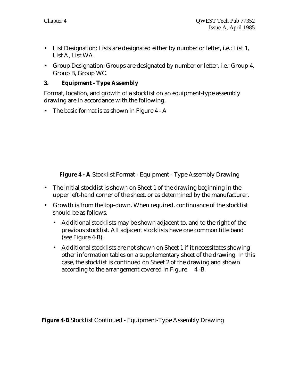- List Designation: Lists are designated either by number or letter, i.e.: List 1, List A, List WA.
- Group Designation: Groups are designated by number or letter, i.e.: Group 4, Group B, Group WC.

# **3. Equipment - Type Assembly**

Format, location, and growth of a stocklist on an equipment-type assembly drawing are in accordance with the following.

• The basic format is as shown in Figure 4 - A

**Figure 4 - A** Stocklist Format - Equipment - Type Assembly Drawing

- The initial stocklist is shown on Sheet 1 of the drawing beginning in the upper left-hand corner of the sheet, or as determined by the manufacturer.
- Growth is from the top-down. When required, continuance of the stocklist should be as follows.
	- Additional stocklists may be shown adjacent to, and to the right of the previous stocklist. All adjacent stocklists have one common title band (see Figure 4-B).
	- Additional stocklists are not shown on Sheet 1 if it necessitates showing other information tables on a supplementary sheet of the drawing. In this case, the stocklist is continued on Sheet 2 of the drawing and shown according to the arrangement covered in Figure 4 -B.

**Figure 4-B** Stocklist Continued - Equipment-Type Assembly Drawing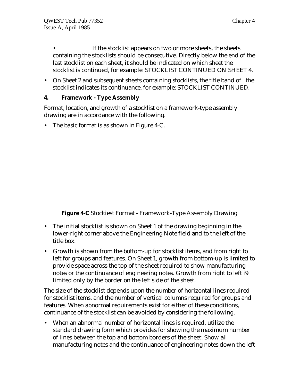If the stocklist appears on two or more sheets, the sheets containing the stocklists should be consecutive. Directly below the end of the last stocklist on each sheet, it should be indicated on which sheet the stocklist is continued, for example: STOCKLIST CONTINUED ON SHEET 4.

• On Sheet 2 and subsequent sheets containing stocklists, the title band of the stocklist indicates its continuance, for example: STOCKLIST CONTINUED.

## **4. Framework - Type Assembly**

Format, location, and growth of a stocklist on a framework-type assembly drawing are in accordance with the following.

• The basic format is as shown in Figure 4-C.

**Figure 4-C** Stockiest Format - Framework-Type Assembly Drawing

- The initial stocklist is shown on Sheet 1 of the drawing beginning in the lower-right corner above the Engineering Note field and to the left of the title box.
- Growth is shown from the bottom-up for stocklist items, and from right to left for groups and features. On Sheet 1, growth from bottom-up is limited to provide space across the top of the sheet required to show manufacturing notes or the continuance of engineering notes. Growth from right to left i9 limited only by the border on the left side of the sheet.

The size of the stocklist depends upon the number of horizontal lines required for stocklist items, and the number of vertical columns required for groups and features. When abnormal requirements exist for either of these conditions, continuance of the stocklist can be avoided by considering the following.

• When an abnormal number of horizontal lines is required, utilize the standard drawing form which provides for showing the maximum number of lines between the top and bottom borders of the sheet. Show all manufacturing notes and the continuance of engineering notes down the left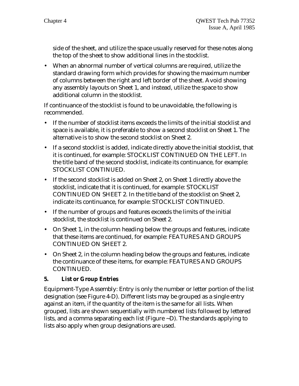side of the sheet, and utilize the space usually reserved for these notes along the top of the sheet to show additional lines in the stocklist.

• When an abnormal number of vertical columns are required, utilize the standard drawing form which provides for showing the maximum number of columns between the right and left border of the sheet. Avoid showing any assembly layouts on Sheet 1, and instead, utilize the space to show additional column in the stocklist.

If continuance of the stocklist is found to be unavoidable, the following is recommended.

- If the number of stocklist items exceeds the limits of the initial stocklist and space is available, it is preferable to show a second stocklist on Sheet 1. The alternative is to show the second stocklist on Sheet 2.
- If a second stocklist is added, indicate directly above the initial stocklist, that it is continued, for example: STOCKLIST CONTINUED ON THE LEFT. In the title band of the second stocklist, indicate its continuance, for example: STOCKLIST CONTINUED.
- If the second stocklist is added on Sheet 2, on Sheet 1 directly above the stocklist, indicate that it is continued, for example: STOCKLIST CONTINUED ON SHEET 2. In the title band of the stocklist on Sheet 2, indicate its continuance, for example: STOCKLIST CONTINUED.
- If the number of groups and features exceeds the limits of the initial stocklist, the stocklist is continued on Sheet 2.
- On Sheet 1, in the column heading below the groups and features, indicate that these items are continued, for example: FEATURES AND GROUPS CONTINUED ON SHEET 2.
- On Sheet 2, in the column heading below the groups and features, indicate the continuance of these items, for example: FEATURES AND GROUPS CONTINUED.

## **5. List or Group Entries**

Equipment-Type Assembly: Entry is only the number or letter portion of the list designation (see Figure 4-D). Different lists may be grouped as a single entry against an item, if the quantity of the item is the same for all lists. When grouped, lists are shown sequentially with numbered lists followed by lettered lists, and a comma separating each list (Figure ~D). The standards applying to lists also apply when group designations are used.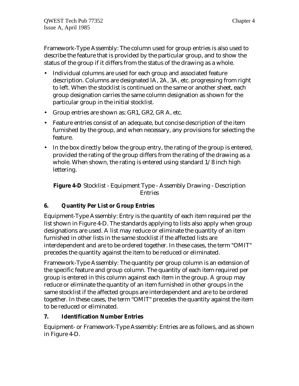Framework-Type Assembly: The column used for group entries is also used to describe the feature that is provided by the particular group, and to show the status of the group if it differs from the status of the drawing as a whole.

- Individual columns are used for each group and associated feature description. Columns are designated lA, 2A, 3A, etc. progressing from right to left. When the stocklist is continued on the same or another sheet, each group designation carries the same column designation as shown for the particular group in the initial stocklist.
- Group entries are shown as: GR1, GR2, GR A, etc.
- Feature entries consist of an adequate, but concise description of the item furnished by the group, and when necessary, any provisions for selecting the feature.
- In the box directly below the group entry, the rating of the group is entered, provided the rating of the group differs from the rating of the drawing as a whole. When shown, the rating is entered using standard 1/8 inch high lettering.

**Figure 4-D** Stocklist - Equipment Type - Assembly Drawing - Description Entries

# **6. Quantity Per List or Group Entries**

Equipment-Type Assembly: Entry is the quantity of each item required per the list shown in Figure 4-D. The standards applying to lists also apply when group designations are used. A list may reduce or eliminate the quantity of an item furnished in other lists in the same stocklist if the affected lists are interdependent and are to be ordered together. In these cases, the term "OMIT" precedes the quantity against the item to be reduced or eliminated.

Framework-Type Assembly: The quantity per group column is an extension of the specific feature and group column. The quantity of each item required per group is entered in this column against each item in the group. A group may reduce or eliminate the quantity of an item furnished in other groups in the same stocklist if the affected groups are interdependent and are to be ordered together. In these cases, the term "OMlT" precedes the quantity against the item to be reduced or eliminated.

# **7. Identification Number Entries**

Equipment- or Framework-Type Assembly: Entries are as follows, and as shown in Figure 4-D.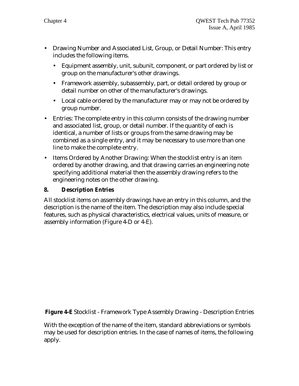- Drawing Number and Associated List, Group, or Detail Number: This entry includes the following items.
	- Equipment assembly, unit, subunit, component, or part ordered by list or group on the manufacturer's other drawings.
	- Framework assembly, subassembly, part, or detail ordered by group or detail number on other of the manufacturer's drawings.
	- Local cable ordered by the manufacturer may or may not be ordered by group number.
- Entries: The complete entry in this column consists of the drawing number and associated list, group, or detail number. If the quantity of each is identical, a number of lists or groups from the same drawing may be combined as a single entry, and it may be necessary to use more than one line to make the complete entry.
- Items Ordered by Another Drawing: When the stocklist entry is an item ordered by another drawing, and that drawing carries an engineering note specifying additional material then the assembly drawing refers to the engineering notes on the other drawing.

## **8. Description Entries**

All stocklist items on assembly drawings have an entry in this column, and the description is the name of the item. The description may also include special features, such as physical characteristics, electrical values, units of measure, or assembly information (Figure 4-D or 4-E).

**Figure 4-E** Stocklist - Framework Type Assembly Drawing - Description Entries

With the exception of the name of the item, standard abbreviations or symbols may be used for description entries. In the case of names of items, the following apply.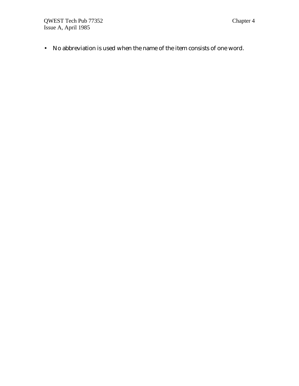• No abbreviation is used when the name of the item consists of one word.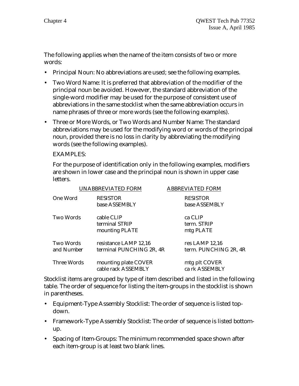The following applies when the name of the item consists of two or more words:

- Principal Noun: No abbreviations are used; see the following examples.
- Two Word Name: It is preferred that abbreviation of the modifier of the principal noun be avoided. However, the standard abbreviation of the single-word modifier may be used for the purpose of consistent use of abbreviations in the same stocklist when the same abbreviation occurs in name phrases of three or more words (see the following examples).
- Three or More Words, or Two Words and Number Name: The standard abbreviations may be used for the modifying word or words of the principal noun, provided there is no loss in clarity by abbreviating the modifying words (see the following examples).

#### EXAMPLES:

For the purpose of identification only in the following examples, modifiers are shown in lower case and the principal noun is shown in upper case letters.

|                                | <b>UNABBREVIATED FORM</b>                         | <b>ABBREVIATED FORM</b>                 |
|--------------------------------|---------------------------------------------------|-----------------------------------------|
| One Word                       | <b>RESISTOR</b><br>base ASSEMBLY                  | <b>RESISTOR</b><br>base ASSEMBLY        |
| Two Words                      | cable CLIP<br>terminal STRIP<br>mounting PLATE    | ca CLIP<br>term. STRIP<br>mtg PLATE     |
| <b>Two Words</b><br>and Number | resistance LAMP 12,16<br>terminal PUNCHING 2R, 4R | res LAMP 12,16<br>term. PUNCHING 2R, 4R |
| <b>Three Words</b>             | mounting plate COVER<br>cable rack ASSEMBLY       | mtg plt COVER<br>ca rk ASSEMBLY         |

Stocklist items are grouped by type of item described and listed in the following table. The order of sequence for listing the item-groups in the stocklist is shown in parentheses.

- Equipment-Type Assembly Stocklist: The order of sequence is listed topdown.
- Framework-Type Assembly Stocklist: The order of sequence is listed bottomup.
- Spacing of Item-Groups: The minimum recommended space shown after each item-group is at least two blank lines.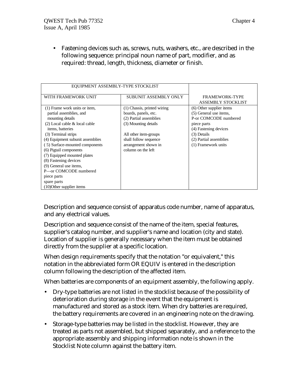• Fastening devices such as, screws, nuts, washers, etc., are described in the following sequence: principal noun name of part, modifier, and as required: thread, length, thickness, diameter or finish.

| EQUIPMENT ASSEMBLY-TYPE STOCKLIST                                                                                                                                                                                                                                                                                                                                                                                                |                                                                                                                                                                                                       |                                                                                                                                                                                     |
|----------------------------------------------------------------------------------------------------------------------------------------------------------------------------------------------------------------------------------------------------------------------------------------------------------------------------------------------------------------------------------------------------------------------------------|-------------------------------------------------------------------------------------------------------------------------------------------------------------------------------------------------------|-------------------------------------------------------------------------------------------------------------------------------------------------------------------------------------|
| WITH FRAMEWORK UNIT                                                                                                                                                                                                                                                                                                                                                                                                              | SUBUNIT ASSEMBLY ONLY                                                                                                                                                                                 | <b>FRAMEWORK-TYPE</b><br><b>ASSEMBLY STOCKLIST</b>                                                                                                                                  |
| (1) Frame work units or item,<br>partial assemblies, and<br>mounting details<br>(2) Local cable & local cable<br>items, batteries<br>(3) Terminal strips<br>(4) Equipment subunit assemblies<br>(5) Surface-mounted components<br>(6) Pigtail components<br>(7) Equipped mounted plates<br>(8) Fastening devices<br>(9) General use items,<br>P—or COMCODE numbered<br>piece parts<br>spare parts<br>$(10)$ Other supplier items | (1) Chassis, printed wiring<br>boards, panels, etc.<br>(2) Partial assemblies<br>(3) Mounting details<br>All other item-groups<br>shall follow sequence<br>arrangement shown in<br>column on the left | (6) Other supplier items<br>(5) General use items,<br>P-or COMCODE numbered<br>piece parts<br>(4) Fastening devices<br>(3) Details<br>(2) Partial assemblies<br>(1) Framework units |

Description and sequence consist of apparatus code number, name of apparatus, and any electrical values.

Description and sequence consist of the name of the item, special features, supplier's catalog number, and supplier's name and location (city and state). Location of supplier is generally necessary when the item must be obtained directly from the supplier at a specific location.

When design requirements specify that the notation "or equivalent," this notation in the abbreviated form OR EQUIV is entered in the description column following the description of the affected item.

When batteries are components of an equipment assembly, the following apply.

- Dry-type batteries are not listed in the stocklist because of the possibility of deterioration during storage in the event that the equipment is manufactured and stored as a stock item. When dry batteries are required, the battery requirements are covered in an engineering note on the drawing.
- Storage-type batteries may be listed in the stocklist. However, they are treated as parts not assembled, but shipped separately, and a reference to the appropriate assembly and shipping information note is shown in the Stocklist Note column against the battery item.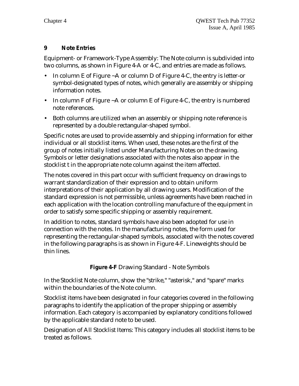## **9 Note Entries**

Equipment- or Framework-Type Assembly: The Note column is subdivided into two columns, as shown in Figure 4-A or 4-C, and entries are made as follows.

- In column E of Figure ~A or column D of Figure 4-C, the entry is letter-or symbol-designated types of notes, which generally are assembly or shipping information notes.
- In column F of Figure  $\sim$  A or column E of Figure 4-C, the entry is numbered note references.
- Both columns are utilized when an assembly or shipping note reference is represented by a double rectangular-shaped symbol.

Specific notes are used to provide assembly and shipping information for either individual or all stocklist items. When used, these notes are the first of the group of notes initially listed under Manufacturing Notes on the drawing. Symbols or letter designations associated with the notes also appear in the stocklist t in the appropriate note column against the item affected.

The notes covered in this part occur with sufficient frequency on drawings to warrant standardization of their expression and to obtain uniform interpretations of their application by all drawing users. Modification of the standard expression is not permissible, unless agreements have been reached in each application with the location controlling manufacture of the equipment in order to satisfy some specific shipping or assembly requirement.

In addition to notes, standard symbols have also been adopted for use in connection with the notes. In the manufacturing notes, the form used for representing the rectangular-shaped symbols, associated with the notes covered in the following paragraphs is as shown in Figure 4-F. Lineweights should be thin lines.

**Figure 4-F** Drawing Standard - Note Symbols

In the Stocklist Note column, show the "strike," "asterisk," and "spare" marks within the boundaries of the Note column.

Stocklist items have been designated in four categories covered in the following paragraphs to identify the application of the proper shipping or assembly information. Each category is accompanied by explanatory conditions followed by the applicable standard note to be used.

Designation of All Stocklist Items: This category includes all stocklist items to be treated as follows.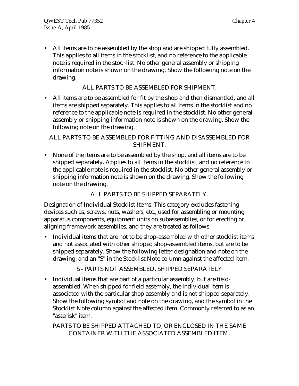• All items are to be assembled by the shop and are shipped fully assembled. This applies to all items in the stocklist, and no reference to the applicable note is required in the stoc~list. No other general assembly or shipping information note is shown on the drawing. Show the following note on the drawing.

### ALL PARTS TO BE ASSEMBLED FOR SHIPMENT.

• All items are to be assembled for fit by the shop and then dismantled, and all items are shipped separately. This applies to all items in the stocklist and no reference to the applicable note is required in the stocklist. No other general assembly or shipping information note is shown on the drawing. Show the following note on the drawing.

ALL PARTS TO BE ASSEMBLED FOR FITTING AND DISASSEMBLED FOR SHIPMENT.

• None of the items are to be assembled by the shop, and all items are to be shipped separately. Applies to all items in the stocklist, and no reference to the applicable note is required in the stocklist. No other general assembly or shipping information note is shown on the drawing. Show the following note on the drawing.

ALL PARTS TO BE SHIPPED SEPARATELY.

Designation of Individual Stocklist Items: This category excludes fastening devices such as, screws, nuts, washers, etc., used for assembling or mounting apparatus components, equipment units on subassemblies, or for erecting or aligning framework assemblies, and they are treated as follows.

• Individual items that are not to be shop-assembled with other stocklist items and not associated with other shipped shop-assembled items, but are to be shipped separately. Show the following letter designation and note on the drawing, and an "S" in the Stocklist Note column against the affected item.

S - PARTS NOT ASSEMBLED, SHIPPED SEPARATELY

• Individual items that are part of a particular assembly, but are fieldassembled. When shipped for field assembly, the individual item is associated with the particular shop assembly and is not shipped separately. Show the following symbol and note on the drawing, and the symbol in the Stocklist Note column against the affected item. Commonly referred to as an "asterisk" item.

PARTS TO BE SHIPPED ATTACHED TO, OR ENCLOSED IN THE SAME CONTAINER WITH THE ASSOCIATED ASSEMBLED ITEM.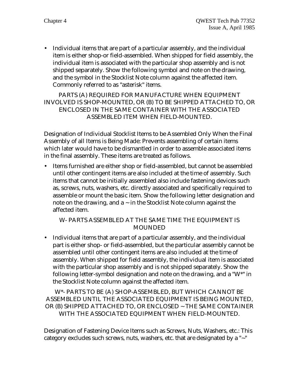• Individual items that are part of a particular assembly, and the individual item is either shop-or field-assembled. When shipped for field assembly, the individual item is associated with the particular shop assembly and is not shipped separately. Show the following symbol and note on the drawing, and the symbol in the Stocklist Note column against the affected item. Commonly referred to as "asterisk" items.

PARTS (A) REQUIRED FOR MANUFACTURE WHEN EQUIPMENT INVOLVED IS SHOP-MOUNTED, OR (B) TO BE SHIPPED ATTACHED TO, OR ENCLOSED IN THE SAME CONTAINER WITH THE ASSOCIATED ASSEMBLED ITEM WHEN FIELD-MOUNTED.

Designation of Individual Stocklist Items to be Assembled Only When the Final Assembly of all Items is Being Made: Prevents assembling of certain items which later would have to be dismantled in order to assemble associated items in the final assembly. These items are treated as follows.

• Items furnished are either shop or field-assembled, but cannot be assembled until other contingent items are also included at the time of assembly. Such items that cannot be initially assembled also include fastening devices such as, screws, nuts, washers, etc. directly associated and specifically required to assemble or mount the basic item. Show the following letter designation and note on the drawing, and  $a \sim$  in the Stocklist Note column against the affected item.

## W- PARTS ASSEMBLED AT THE SAME TIME THE EQUIPMENT IS MOUNDED

• Individual items that are part of a particular assembly, and the individual part is either shop- or field-assembled, but the particular assembly cannot be assembled until other contingent items are also included at the time of assembly. When shipped for field assembly, the individual item is associated with the particular shop assembly and is not shipped separately. Show the following letter-symbol designation and note on the drawing, and a "W\*" in the Stocklist Note column against the affected item.

W\*- PARTS TO BE (A) SHOP-ASSEMBLED, BUT WHICH CANNOT BE ASSEMBLED UNTIL THE ASSOCIATED EQUIPMENT IS BEING MOUNTED, OR (B) SHIPPED ATTACHED TO, OR ENCLOSED ~ THE SAME CONTAINER WITH THE ASSOCIATED EQUIPMENT WHEN FIELD-MOUNTED.

Designation of Fastening Device Items such as Screws, Nuts, Washers, etc.: This category excludes such screws, nuts, washers, etc. that are designated by a "~"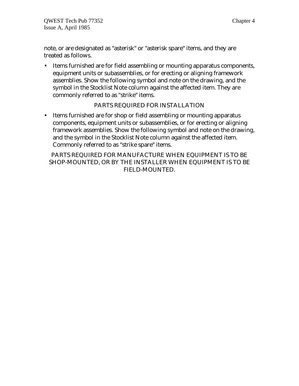note, or are designated as "asterisk" or "asterisk spare" items, and they are treated as follows.

• Items furnished are for field assembling or mounting apparatus components, equipment units or subassemblies, or for erecting or aligning framework assemblies. Show the following symbol and note on the drawing, and the symbol in the Stocklist Note column against the affected item. They are commonly referred to as "strike" items.

### PARTS REQUIRED FOR INSTALLATION

• Items furnished are for shop or field assembling or mounting apparatus components, equipment units or subassemblies, or for erecting or aligning framework assemblies. Show the following symbol and note on the drawing, and the symbol in the Stocklist Note column against the affected item. Commonly referred to as "strike spare" items.

PARTS REQUIRED FOR MANUFACTURE WHEN EQUIPMENT IS TO BE SHOP-MOUNTED, OR BY THE INSTALLER WHEN EQUIPMENT IS TO BE FIELD-MOUNTED.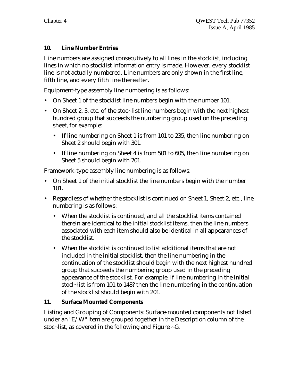## **10. Line Number Entries**

Line numbers are assigned consecutively to all lines in the stocklist, including lines in which no stocklist information entry is made. However, every stocklist line is not actually numbered. Line numbers are only shown in the first line, fifth line, and every fifth line thereafter.

Equipment-type assembly line numbering is as follows:

- On Sheet 1 of the stocklist line numbers begin with the number 101.
- On Sheet 2, 3, etc. of the stoc-list line numbers begin with the next highest hundred group that succeeds the numbering group used on the preceding sheet, for example:
	- If line numbering on Sheet 1 is from 101 to 235, then line numbering on Sheet 2 should begin with 301.
	- If line numbering on Sheet 4 is from 501 to 605, then line numbering on Sheet 5 should begin with 701.

Framework-type assembly line numbering is as follows:

- On Sheet 1 of the initial stocklist the line numbers begin with the number 101.
- Regardless of whether the stocklist is continued on Sheet 1, Sheet 2, etc., line numbering is as follows:
	- When the stocklist is continued, and all the stocklist items contained therein are identical to the initial stocklist items, then the line numbers associated with each item should also be identical in all appearances of the stocklist.
	- When the stocklist is continued to list additional items that are not included in the initial stocklist, then the line numbering in the continuation of the stocklist should begin with the next highest hundred group that succeeds the numbering group used in the preceding appearance of the stocklist. For example, if line numbering in the initial stocl~list is from 101 to 148? then the line numbering in the continuation of the stocklist should begin with 201.

## **11. Surface Mounted Components**

Listing and Grouping of Components: Surface-mounted components not listed under an "E/W" item are grouped together in the Description column of the stoc~list, as covered in the following and Figure  $-G$ .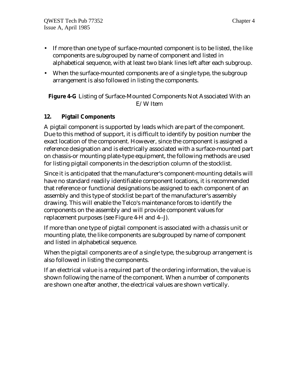- If more than one type of surface-mounted component is to be listed, the like components are subgrouped by name of component and listed in alphabetical sequence, with at least two blank lines left after each subgroup.
- When the surface-mounted components are of a single type, the subgroup arrangement is also followed in listing the components.

**Figure 4-G** Listing of Surface-Mounted Components Not Associated With an E/W Item

## **12. Pigtail Components**

A pigtail component is supported by leads which are part of the component. Due to this method of support, it is difficult to identify by position number the exact location of the component. However, since the component is assigned a reference designation and is electrically associated with a surface-mounted part on chassis-or mounting plate-type equipment, the following methods are used for listing pigtail components in the description column of the stocklist.

Since it is anticipated that the manufacturer's component-mounting details will have no standard readily identifiable component locations, it is recommended that reference or functional designations be assigned to each component of an assembly and this type of stocklist be part of the manufacturer's assembly drawing. This will enable the Telco's maintenance forces to identify the components on the assembly and will provide component values for replacement purposes (see Figure 4-H and 4--J).

If more than one type of pigtail component is associated with a chassis unit or mounting plate, the like components are subgrouped by name of component and listed in alphabetical sequence.

When the pigtail components are of a single type, the subgroup arrangement is also followed in listing the components.

If an electrical value is a required part of the ordering information, the value is shown following the name of the component. When a number of components are shown one after another, the electrical values are shown vertically.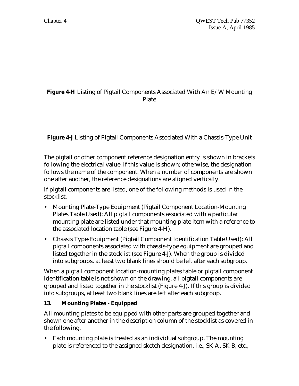# **Figure 4-H** Listing of Pigtail Components Associated With An E/W Mounting Plate

**Figure 4-J** Listing of Pigtail Components Associated With a Chassis-Type Unit

The pigtail or other component reference designation entry is shown in brackets following the electrical value, if this value is shown; otherwise, the designation follows the name of the component. When a number of components are shown one after another, the reference designations are aligned vertically.

If pigtail components are listed, one of the following methods is used in the stocklist.

- Mounting Plate-Type Equipment (Pigtail Component Location-Mounting Plates Table Used): All pigtail components associated with a particular mounting plate are listed under that mounting plate item with a reference to the associated location table (see Figure 4-H).
- Chassis Type-Equipment (Pigtail Component Identification Table Used): All pigtail components associated with chassis-type equipment are grouped and listed together in the stocklist (see Figure 4-J). When the group is divided into subgroups, at least two blank lines should be left after each subgroup.

When a pigtail component location-mounting plates table or pigtail component identification table is not shown on the drawing, all pigtail components are grouped and listed together in the stocklist (Figure 4-J). If this group is divided into subgroups, at least two blank lines are left after each subgroup.

# **13. Mounting Plates - Equipped**

All mounting plates to be equipped with other parts are grouped together and shown one after another in the description column of the stocklist as covered in the following.

• Each mounting plate is treated as an individual subgroup. The mounting plate is referenced to the assigned sketch designation, i.e., SK A, SK B, etc.,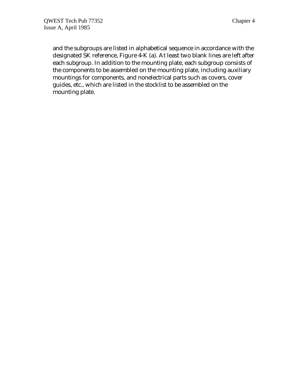and the subgroups are listed in alphabetical sequence in accordance with the designated SK reference, Figure 4-K (a). At least two blank lines are left after each subgroup. In addition to the mounting plate, each subgroup consists of the components to be assembled on the mounting plate, including auxiliary mountings for components, and nonelectrical parts such as covers, cover guides, etc., which are listed in the stocklist to be assembled on the mounting plate.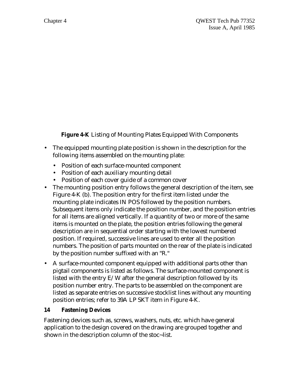**Figure 4-K** Listing of Mounting Plates Equipped With Components

- The equipped mounting plate position is shown in the description for the following items assembled on the mounting plate:
	- Position of each surface-mounted component
	- Position of each auxiliary mounting detail
	- Position of each cover guide of a common cover
- The mounting position entry follows the general description of the item, see Figure 4-K (b). The position entry for the first item listed under the mounting plate indicates IN POS followed by the position numbers. Subsequent items only indicate the position number, and the position entries for all items are aligned vertically. If a quantity of two or more of the same items is mounted on the plate, the position entries following the general description are in sequential order starting with the lowest numbered position. If required, successive lines are used to enter all the position numbers. The position of parts mounted on the rear of the plate is indicated by the position number suffixed with an "R."
- A surface-mounted component equipped with additional parts other than pigtail components is listed as follows. The surface-mounted component is listed with the entry E/W after the general description followed by its position number entry. The parts to be assembled on the component are listed as separate entries on successive stocklist lines without any mounting position entries; refer to 39A LP SKT item in Figure 4-K.

## **14 Fastening Devices**

Fastening devices such as, screws, washers, nuts, etc. which have general application to the design covered on the drawing are grouped together and shown in the description column of the stoc~list.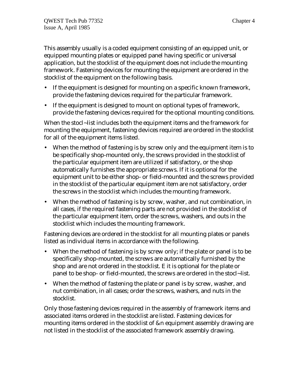This assembly usually is a coded equipment consisting of an equipped unit, or equipped mounting plates or equipped panel having specific or universal application, but the stocklist of the equipment does not include the mounting framework. Fastening devices for mounting the equipment are ordered in the stocklist of the equipment on the following basis.

- If the equipment is designed for mounting on a specific known framework, provide the fastening devices required for the particular framework.
- If the equipment is designed to mount on optional types of framework, provide the fastening devices required for the optional mounting conditions.

When the stocl~list includes both the equipment items and the framework for mounting the equipment, fastening devices required are ordered in the stocklist for all of the equipment items listed.

- When the method of fastening is by screw only and the equipment item is to be specifically shop-mounted only, the screws provided in the stocklist of the particular equipment item are utilized if satisfactory, or the shop automatically furnishes the appropriate screws. If it is optional for the equipment unit to be either shop- or field-mounted and the screws provided in the stocklist of the particular equipment item are not satisfactory, order the screws in the stocklist which includes the mounting framework.
- When the method of fastening is by screw, washer, and nut combination, in all cases, if the required fastening parts are not provided in the stocklist of the particular equipment item, order the screws, washers, and outs in the stocklist which includes the mounting framework.

Fastening devices are ordered in the stocklist for all mounting plates or panels listed as individual items in accordance with the following.

- When the method of fastening is by screw only; if the plate or panel is to be specifically shop-mounted, the screws are automatically furnished by the shop and are not ordered in the stocklist. E it is optional for the plate or panel to be shop- or field-mounted, the screws are ordered in the stocl~list.
- When the method of fastening the plate or panel is by screw, washer, and nut combination, in all cases; order the screws, washers, and nuts in the stocklist.

Only those fastening devices required in the assembly of framework items and associated items ordered in the stocklist are listed. Fastening devices for mounting items ordered in the stocklist of &n equipment assembly drawing are not listed in the stocklist of the associated framework assembly drawing.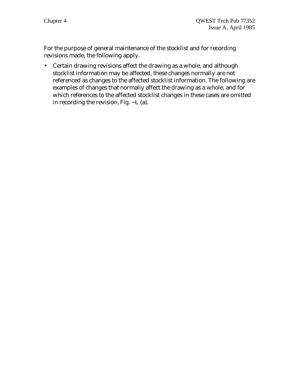For the purpose of general maintenance of the stocklist and for recording revisions made, the following apply.

• Certain drawing revisions affect the drawing as a whole, and although stocklist information may be affected, these changes normally are not referenced as changes to the affected stocklist information. The following are examples of changes that normally affect the drawing as a whole, and for which references to the affected stocklist changes in these cases are omitted in recording the revision, Fig. ~L (a).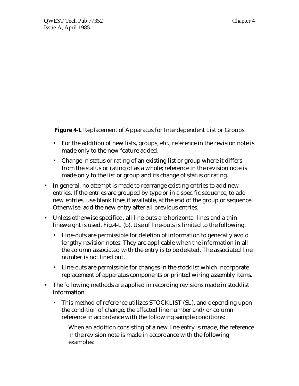**Figure 4-L** Replacement of Apparatus for Interdependent List or Groups

- For the addition of new lists, groups, etc., reference in the revision note is made only to the new feature added.
- Change in status or rating of an existing list or group where it differs from the status or rating of as a whole; reference in the revision note is made only to the list or group and its change of status or rating.
- In general, no attempt is made to rearrange existing entries to add new entries. If the entries are grouped by type or in a specific sequence, to add new entries, use blank lines if available, at the end of the group or sequence. Otherwise, add the new entry after all previous entries.
- Unless otherwise specified, all line-outs are horizontal lines and a thin lineweight is used, Fig.4-L (b). Use of line-outs is limited to the following.
	- Line-outs are permissible for deletion of information to generally avoid lengthy revision notes. They are applicable when the information in all the column associated with the entry is to be deleted. The associated line number is not lined out.
	- Line-outs are permissible for changes in the stocklist which incorporate replacement of apparatus components or printed wiring assembly items.
- The following methods are applied in recording revisions made in stocklist information.
	- This method of reference utilizes STOCKLIST (SL), and depending upon the condition of change, the affected line number and/or column reference in accordance with the following sample conditions:

When an addition consisting of a new line entry is made, the reference in the revision note is made in accordance with the following examples: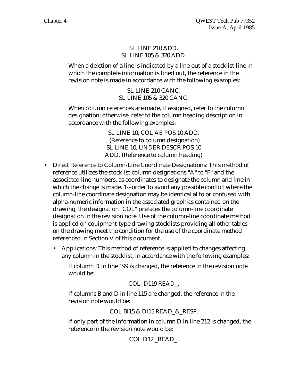#### SL LINE 210 ADD. SL LlNE 105 & 320 ADD.

When a deletion of a line is indicated by a line-out of a stocklist line in which the complete information is lined out, the reference in the revision note is made in accordance with the following examples:

> SL LINE 210 CANC. SL LINE 105 & 320 CANC.

When column references are made, if assigned, refer to the column designation; otherwise, refer to the column heading description in accordance with the following examples:

> SL LINE 10, COL AE POS 10 ADD. (Reference to column designation) SL LINE 10, UNDER DESCR POS 10 ADD. (Reference to column heading)

- Direct Reference to Column-Line Coordinate Designations: This method of reference utilizes the stocklist column designations "A" to "F" and the associated line numbers. as coordinates to designate the column and line in which the change is made.  $1\sim$  order to avoid any possible conflict where the column-line coordinate designation may be identical al to or confused with alpha-numeric information in the associated graphics contained on the drawing, the designation "COL" prefaces the column-line coordinate designation in the revision note. Use of the column-line coordinate method is applied on equipment-type drawing stocklists providing all other tables on the drawing meet the condition for the use of the coordinate method referenced in Section V of this document.
	- Applications: This method of reference is applied to changes affecting any column in the stocklist, in accordance with the following examples:

If column D in line 199 is changed, the reference in the revision note would be:

COL D119 READ\_.

If columns B and D in line 115 are changed, the reference in the revision note would be:

COL Bl15 & Dl15 READ\_&\_RESP.

If only part of the information in column D in line 212 is changed, the reference in the revision note would be:

COL D12 \_READ\_.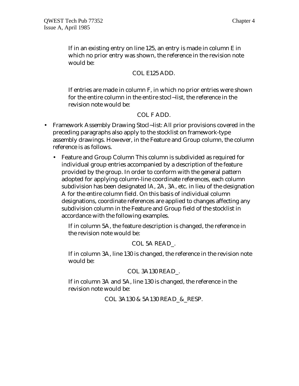If in an existing entry on line 125, an entry is made in column E in which no prior entry was shown, the reference in the revision note would be:

#### COL E125 ADD.

If entries are made in column F, in which no prior entries were shown for the entire column in the entire stocl~list, the reference in the revision note would be:

#### COL F ADD.

- Framework Assembly Drawing Stocl~list: All prior provisions covered in the preceding paragraphs also apply to the stocklist on framework-type assembly drawings. However, in the Feature and Group column, the column reference is as follows.
	- Feature and Group Column This column is subdivided as required for individual group entries accompanied by a description of the feature provided by the group. In order to conform with the general pattern adopted for applying column-line coordinate references, each column subdivision has been designated lA, 2A, 3A, etc. in lieu of the designation A for the entire column field. On this basis of individual column designations, coordinate references are applied to changes affecting any subdivision column in the Feature and Group field of the stocklist in accordance with the following examples.

If in column 5A, the feature description is changed, the reference in the revision note would be:

#### COL 5A READ\_.

If in column 3A, line 130 is changed, the reference in the revision note would be:

#### COL 3A130 READ\_.

If in column 3A and 5A, line 130 is changed, the reference in the revision note would be:

COL 3A130 & 5A130 READ\_&\_RESP.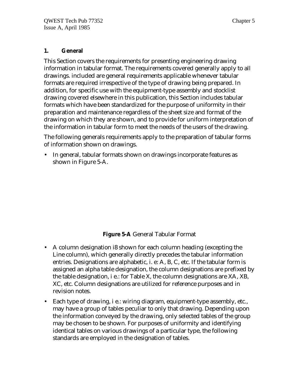#### **1. General**

This Section covers the requirements for presenting engineering drawing information in tabular format. The requirements covered generally apply to all drawings. included are general requirements applicable whenever tabular formats are required irrespective of the type of drawing being prepared. In addition, for specific use with the equipment-type assembly and stocklist drawing covered elsewhere in this publication, this Section includes tabular formats which have been standardized for the purpose of uniformity in their preparation and maintenance regardless of the sheet size and format of the drawing on which they are shown, and to provide for uniform interpretation of the information in tabular form to meet the needs of the users of the drawing.

The following generals requirements apply to the preparation of tabular forms of information shown on drawings.

• In general, tabular formats shown on drawings incorporate features as shown in Figure 5-A.

## **Figure 5-A** General Tabular Format

- A column designation i8 shown for each column heading (excepting the Line column), which generally directly precedes the tabular information entries. Designations are alphabetic, i. e: A, B, C, etc. If the tabular form is assigned an alpha table designation, the column designations are prefixed by the table designation, i e.: for Table X, the column designations are XA, XB, XC, etc. Column designations are utilized for reference purposes and in revision notes.
- Each type of drawing, i e.: wiring diagram, equipment-type assembly, etc., may have a group of tables peculiar to only that drawing. Depending upon the information conveyed by the drawing, only selected tables of the group may be chosen to be shown. For purposes of uniformity and identifying identical tables on various drawings of a particular type, the following standards are employed in the designation of tables.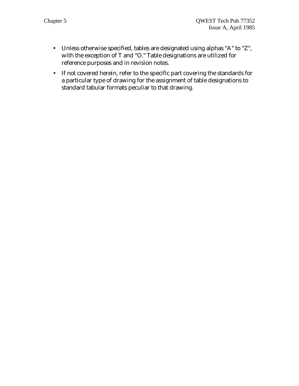- Unless otherwise specified, tables are designated using alphas "A" to "Z", with the exception of T and "O." Table designations are utilized for reference purposes and in revision notes.
- If not covered herein, refer to the specific part covering the standards for a particular type of drawing for the assignment of table designations to standard tabular formats peculiar to that drawing.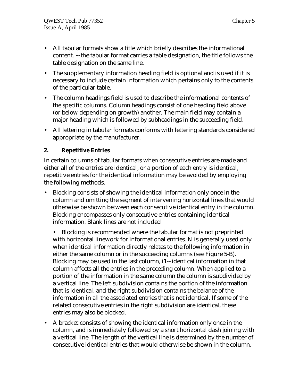- All tabular formats show a title which briefly describes the informational content. ~ the tabular format carries a table designation, the title follows the table designation on the same line.
- The supplementary information heading field is optional and is used if it is necessary to include certain information which pertains only to the contents of the particular table.
- The column headings field is used to describe the informational contents of the specific columns. Column headings consist of one heading field above (or below depending on growth) another. The main field may contain a major heading which is followed by subheadings in the succeeding field.
- All lettering in tabular formats conforms with lettering standards considered appropriate by the manufacturer.

### **2. Repetitive Entries**

In certain columns of tabular formats when consecutive entries are made and either all of the entries are identical, or a portion of each entry is identical, repetitive entries for the identical information may be avoided by employing the following methods.

• Blocking consists of showing the identical information only once in the column and omitting the segment of intervening horizontal lines that would otherwise be shown between each consecutive identical entry in the column. Blocking encompasses only consecutive entries containing identical information. Blank lines are not included

• Blocking is recommended where the tabular format is not preprinted with horizontal linework for informational entries. N is generally used only when identical information directly relates to the following information in either the same column or in the succeeding columns (see Figure 5-B). Blocking may be used in the last column,  $11 -$  identical information in that column affects all the entries in the preceding column. When applied to a portion of the information in the same column the column is subdivided by a vertical line. The left subdivision contains the portion of the information that is identical, and the right subdivision contains the balance of the information in all the associated entries that is not identical. If some of the related consecutive entries in the right subdivision are identical, these entries may also be blocked.

• A bracket consists of showing the identical information only once in the column, and is immediately followed by a short horizontal dash joining with a vertical line. The length of the vertical line is determined by the number of consecutive identical entries that would otherwise be shown in the column.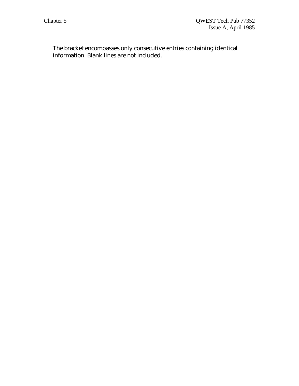The bracket encompasses only consecutive entries containing identical information. Blank lines are not included.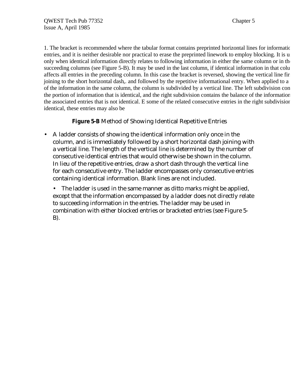1. The bracket is recommended where the tabular format contains preprinted horizontal lines for informatic entries, and it is neither desirable nor practical to erase the preprinted linework to employ blocking. It is u only when identical information directly relates to following information in either the same column or in the succeeding columns (see Figure 5-B). It may be used in the last column, if identical information in that colu affects all entries in the preceding column. In this case the bracket is reversed, showing the vertical line fir joining to the short horizontal dash,, and followed by the repetitive informational entry. When applied to a of the information in the same column, the column is subdivided by a vertical line. The left subdivision con the portion of information that is identical, and the right subdivision contains the balance of the information the associated entries that is not identical. E some of the related consecutive entries in the right subdivision identical, these entries may also be

## **Figure 5-B** Method of Showing Identical Repetitive Entries

• A ladder consists of showing the identical information only once in the column, and is immediately followed by a short horizontal dash joining with a vertical line. The length of the vertical line is determined by the number of consecutive identical entries that would otherwise be shown in the column. In lieu of the repetitive entries, draw a short dash through the vertical line for each consecutive entry. The ladder encompasses only consecutive entries containing identical information. Blank lines are not included.

• The ladder is used in the same manner as ditto marks might be applied, except that the information encompassed by a ladder does not directly relate to succeeding information in the entries. The ladder may be used in combination with either blocked entries or bracketed entries (see Figure 5- B).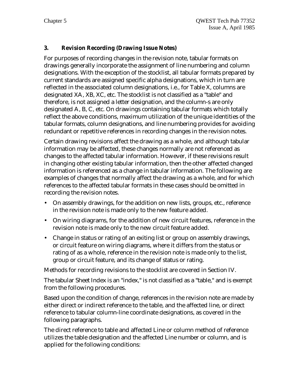## **3. Revision Recording (Drawing Issue Notes)**

For purposes of recording changes in the revision note, tabular formats on drawings generally incorporate the assignment of line numbering and column designations. With the exception of the stocklist, all tabular formats prepared by current standards are assigned specific alpha designations, which in turn are reflected in the associated column designations, i.e., for Table X, columns are designated XA, XB, XC, etc. The stocklist is not classified as a "table" and therefore, is not assigned a letter designation, and the column-s are only designated A, B, C, etc. On drawings containing tabular formats which totally reflect the above conditions, maximum utilization of the unique identities of the tabular formats, column designations, and line numbering provides for avoiding redundant or repetitive references in recording changes in the revision notes.

Certain drawing revisions affect the drawing as a whole, and although tabular information may be affected, these changes normally are not referenced as changes to the affected tabular information. However, if these revisions result in changing other existing tabular information, then the other affected changed information is referenced as a change in tabular information. The following are examples of changes that normally affect the drawing as a whole, and for which references to the affected tabular formats in these cases should be omitted in recording the revision notes.

- On assembly drawings, for the addition on new lists, groups, etc., reference in the revision note is made only to the new feature added.
- On wiring diagrams, for the addition of new circuit features, reference in the revision note is made only to the new circuit feature added.
- Change in status or rating of an exiting list or group on assembly drawings, or circuit feature on wiring diagrams, where it differs from the status or rating of as a whole, reference in the revision note is made only to the list, group or circuit feature, and its change of status or rating.

Methods for recording revisions to the stocklist are covered in Section IV.

The tabular Sheet Index is an "index," is not classified as a "table," and is exempt from the following procedures.

Based upon the condition of change, references in the revision note are made by either direct or indirect reference to the table, and the affected line, or direct reference to tabular column-line coordinate designations, as covered in the following paragraphs.

The direct reference to table and affected Line or column method of reference utilizes the table designation and the affected Line number or column, and is applied for the following conditions: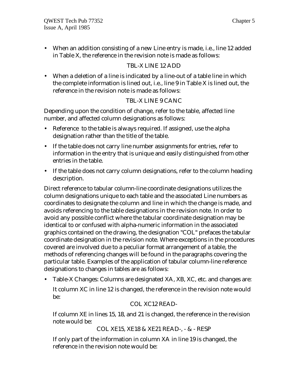• When an addition consisting of a new Line entry is made, i.e., line 12 added in Table X, the reference in the revision note is made as follows:

## TBL-X LlNE 12 ADD

• When a deletion of a line is indicated by a line-out of a table line in which the complete information is lined out, i.e., line 9 in Table X is lined out, the reference in the revision note is made as follows:

### TBL-X LINE 9 CANC

Depending upon the condition of change, refer to the table, affected line number, and affected column designations as follows:

- Reference to the table is always required. If assigned, use the alpha designation rather than the title of the table.
- If the table does not carry line number assignments for entries, refer to information in the entry that is unique and easily distinguished from other entries in the table.
- If the table does not carry column designations, refer to the column heading description.

Direct reference to tabular column-line coordinate designations utilizes the column designations unique to each table and the associated Line numbers as coordinates to designate the column and line in which the change is made, and avoids referencing to the table designations in the revision note. In order to avoid any possible conflict where the tabular coordinate designation may be identical to or confused with alpha-numeric information in the associated graphics contained on the drawing, the designation "COL" prefaces the tabular coordinate designation in the revision note. Where exceptions in the procedures covered are involved due to a peculiar format arrangement of a table, the methods of referencing changes will be found in the paragraphs covering the particular table. Examples of the application of tabular column-line reference designations to changes in tables are as follows:

• Table-X Changes: Columns are designated XA, XB, XC, etc. and changes are:

It column XC in line 12 is changed, the reference in the revision note would be:

#### COL XC12 READ-

If column XE in lines 15, 18, and 21 is changed, the reference in the revision note would be:

COL XE15, XE18 & XE21 READ-, - & - RESP

If only part of the information in column XA in line 19 is changed, the reference in the revision note would be: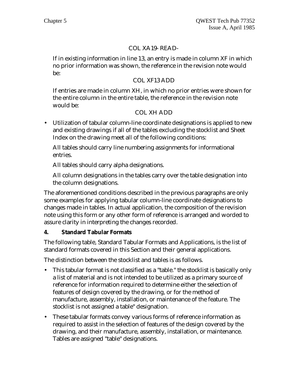#### COL XA19- READ-

If in existing information in line 13, an entry is made in column XF in which no prior information was shown, the reference in the revision note would be:

#### COL XF13 ADD

If entries are made in column XH, in which no prior entries were shown for the entire column in the entire table, the reference in the revision note would be:

#### COL XH ADD

• Utilization of tabular column-line coordinate designations is applied to new and existing drawings if all of the tables excluding the stocklist and Sheet Index on the drawing meet all of the following conditions:

All tables should carry line numbering assignments for informational entries.

All tables should carry alpha designations.

All column designations in the tables carry over the table designation into the column designations.

The aforementioned conditions described in the previous paragraphs are only some examples for applying tabular column-line coordinate designations to changes made in tables. In actual application, the composition of the revision note using this form or any other form of reference is arranged and worded to assure clarity in interpreting the changes recorded.

#### **4. Standard Tabular Formats**

The following table, Standard Tabular Formats and Applications, is the list of standard formats covered in this Section and their general applications.

The distinction between the stocklist and tables is as follows.

- This tabular format is not classified as a "table." the stocklist is basically only a list of material and is not intended to be utilized as a primary source of reference for information required to determine either the selection of features of design covered by the drawing, or for the method of manufacture, assembly, installation, or maintenance of the feature. The stocklist is not assigned a table" designation.
- These tabular formats convey various forms of reference information as required to assist in the selection of features of the design covered by the drawing, and their manufacture, assembly, installation, or maintenance. Tables are assigned "table" designations.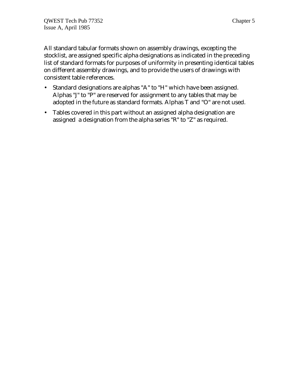All standard tabular formats shown on assembly drawings, excepting the stocklist, are assigned specific alpha designations as indicated in the preceding list of standard formats for purposes of uniformity in presenting identical tables on different assembly drawings, and to provide the users of drawings with consistent table references.

- Standard designations are alphas "A" to "H" which have been assigned. Alphas "J" to "P" are reserved for assignment to any tables that may be adopted in the future as standard formats. Alphas T and "O" are not used.
- Tables covered in this part without an assigned alpha designation are assigned a designation from the alpha series "R" to "Z" as required.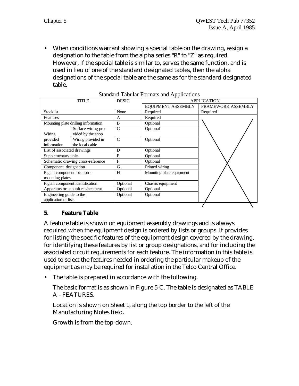• When conditions warrant showing a special table on the drawing, assign a designation to the table from the alpha series "R" to "Z" as required. However, if the special table is similar to, serves the same function, and is used in lieu of one of the standard designated tables, then the alpha designations of the special table are the same as for the standard designated table.

| TITLE                               |                     | <b>DESIG</b>  | <b>APPLICATION</b>        |                    |  |  |
|-------------------------------------|---------------------|---------------|---------------------------|--------------------|--|--|
|                                     |                     |               | <b>EQUIPMENT ASSEMBLY</b> | FRAMEWORK ASSEMBLY |  |  |
| Stocklist                           |                     | None          | Required                  | Required           |  |  |
| Features                            |                     | $\mathsf{A}$  | Required                  |                    |  |  |
| Mounting plate drilling information |                     | B             | Optional                  |                    |  |  |
|                                     | Surface wiring pro- | $\mathcal{C}$ | Optional                  |                    |  |  |
| Wiring                              | vided by the shop   |               |                           |                    |  |  |
| provided                            | Wiring provided in  | $\mathcal{C}$ | Optional                  |                    |  |  |
| information                         | the local cable     |               |                           |                    |  |  |
| List of associated drawings         |                     | D             | Optional                  |                    |  |  |
| Supplementary units                 |                     | E             | Optional                  |                    |  |  |
| Schematic drawing cross-reference   |                     | $\mathbf{F}$  | Optional                  |                    |  |  |
| Component designation               |                     | G             | Printed wiring            |                    |  |  |
| Pigtail component location -        |                     | H             | Mounting plate equipment  |                    |  |  |
| mounting plates                     |                     |               |                           |                    |  |  |
| Pigtail component identification    |                     | Optional      | Chassis equipment         |                    |  |  |
| Apparatus or subunit replacement    |                     | Optional      | Optional                  |                    |  |  |
| Engineering guide to the            |                     | Optional      | Optional                  |                    |  |  |
| application of lists                |                     |               |                           |                    |  |  |
|                                     |                     |               |                           |                    |  |  |

| <b>Standard Tabular Formats and Applications</b> |  |
|--------------------------------------------------|--|
|--------------------------------------------------|--|

#### **5. Feature Table**

A feature table is shown on equipment assembly drawings and is always required when the equipment design is ordered by lists or groups. It provides for listing the specific features of the equipment design covered by the drawing, for identifying these features by list or group designations, and for including the associated circuit requirements for each feature. The information in this table is used to select the features needed in ordering the particular makeup of the equipment as may be required for installation in the Telco Central Office.

• The table is prepared in accordance with the following.

The basic format is as shown in Figure 5-C. The table is designated as TABLE A - FEATURES.

Location is shown on Sheet 1, along the top border to the left of the Manufacturing Notes field.

Growth is from the top-down.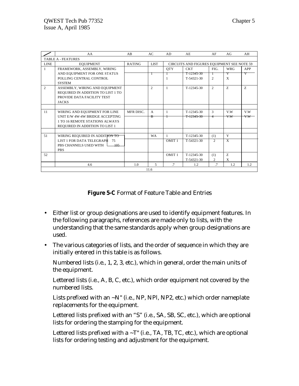|                    | AA                                | AB            | AC             | AD                                         | AE           | AF                     | AG             | AH  |
|--------------------|-----------------------------------|---------------|----------------|--------------------------------------------|--------------|------------------------|----------------|-----|
| TABLE A - FEATURES |                                   |               |                |                                            |              |                        |                |     |
| <b>LINE</b>        | <b>EOUIPMENT</b>                  | <b>RATING</b> | <b>LIST</b>    | CIRCUITS AND FIGURES EQUIPMENT SEE NOTE 59 |              |                        |                |     |
| $\mathbf{1}$       | FRAMEWORK, ASSEMBLY, WIRING       |               |                | <b>QTY</b>                                 | <b>CKT</b>   | FIG.                   | WRG            | APP |
|                    | AND EQUIPMENT FOR ONE STATUS      |               | т              |                                            | T-12345-30   | т                      | $\rm{v}$       | v   |
|                    | POLLING CENTRAL CONTROL           |               |                | 1                                          | T-54321-30   | $\overline{c}$         | X              |     |
|                    | <b>SYSTEM</b>                     |               |                |                                            |              |                        |                |     |
| $\overline{2}$     | ASSEMBLY, WIRING AND EQUIPMENT    |               | $\overline{2}$ | $\mathbf{1}$                               | $T-12345-30$ | $\overline{2}$         | Z              | Z   |
|                    | REQUIRED IN ADDITION TO LIST 1 TO |               |                |                                            |              |                        |                |     |
|                    | PROVIDE DATA FACILITY TEST        |               |                |                                            |              |                        |                |     |
|                    | <b>JACKS</b>                      |               |                |                                            |              |                        |                |     |
|                    |                                   |               |                |                                            |              |                        |                |     |
| 11                 | WIRING AND EQUIPMENT FOR LINE     | MFR DISC.     | $\mathbf{A}$   | $\mathbf{1}$                               | $T-12345-30$ | 3                      | V.W            | V.W |
|                    | UNIT E/W 4W-4W BRIDGE ACCEPTING   |               | R              |                                            | T-12345-30   | ≄                      | V.W            | V.W |
|                    | 1 TO 16 REMOTE STATIONS ALWAYS    |               |                |                                            |              |                        |                |     |
|                    | REQUIRED IN ADDITION TO LIST 1    |               |                |                                            |              |                        |                |     |
|                    |                                   |               |                |                                            |              |                        |                |     |
| 51                 | WIRING REQUIRED IN ADDITION TO    |               | <b>WA</b>      | $\mathbf{1}$                               | $T-12345-30$ | (1)                    | Y              |     |
|                    | LIST 1 FOR DATA TELEGRAPH 75      |               |                | OMIT <sub>1</sub>                          | T-54321-30   | $\mathcal{D}_{\alpha}$ | $\overline{X}$ |     |
|                    | PBS CHANNELS USED WITH<br>105     |               |                |                                            |              |                        |                |     |
|                    | <b>PBS</b>                        |               |                |                                            |              |                        |                |     |
| 52                 |                                   |               |                | OMIT <sub>1</sub>                          | $T-12345-30$ | (1)                    | Z              |     |
|                    |                                   |               |                |                                            | T-54321-30   | 2                      | X              |     |
|                    | 4.6                               | 1.0           | $\overline{5}$ | $7\phantom{.0}$                            | 1.2          | $\overline{7}$         | 1.2            | 1.2 |
| 11.6               |                                   |               |                |                                            |              |                        |                |     |

#### **Figure 5-C** Format of Feature Table and Entries

- Either list or group designations are used to identify equipment features. In the following paragraphs, references are made only to lists, with the understanding that the same standards apply when group designations are used.
- The various categories of lists, and the order of sequence in which they are initially entered in this table is as follows.

Numbered lists (i.e., 1, 2, 3, etc.), which in general, order the main units of the equipment.

Lettered lists (i.e., A, B, C, etc.), which order equipment not covered by the numbered lists.

Lists prefixed with an ~N" (i.e., NP, NPl, NP2, etc.) which order nameplate replacements for the equipment.

Lettered lists prefixed with an "S" (i.e., SA, SB, SC, etc.), which are optional lists for ordering the stamping for the equipment.

Lettered lists prefixed with a  $\sim$ T" (i.e., TA, TB, TC, etc.), which are optional lists for ordering testing and adjustment for the equipment.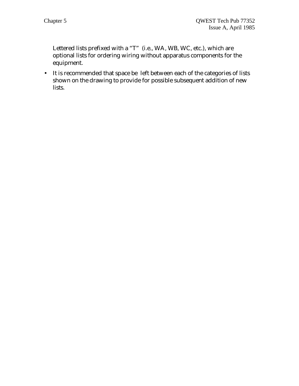Lettered lists prefixed with a "T" (i.e., WA, WB, WC, etc.), which are optional lists for ordering wiring without apparatus components for the equipment.

• It is recommended that space be left between each of the categories of lists shown on the drawing to provide for possible subsequent addition of new lists.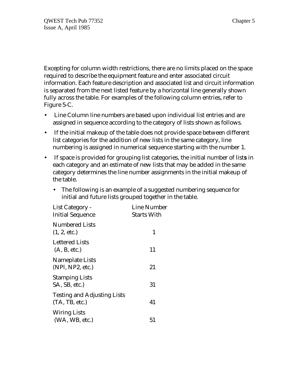Excepting for column width restrictions, there are no limits placed on the space required to describe the equipment feature and enter associated circuit information. Each feature description and associated list and circuit information is separated from the next listed feature by a horizontal line generally shown fully across the table. For examples of the following column entries, refer to Figure 5-C.

- Line Column line numbers are based upon individual list entries and are assigned in sequence according to the category of lists shown as follows.
- If the initial makeup of the table does not provide space between different list categories for the addition of new lists in the same category, line numbering is assigned in numerical sequence starting with the number 1.
- If space is provided for grouping list categories, the initial number of list**s** in each category and an estimate of new lists that may be added in the same category determines the line number assignments in the initial makeup of the table.
	- The following is an example of a suggested numbering sequence for initial and future lists grouped together in the table.

| List Category -<br><b>Initial Sequence</b>           | <b>Line Number</b><br>Starts With |
|------------------------------------------------------|-----------------------------------|
| <b>Numbered Lists</b><br>(1, 2, etc.)                | 1                                 |
| <b>Lettered Lists</b><br>(A, B, etc.)                | 11                                |
| Nameplate Lists<br>(NPI, NP2, etc.)                  | 21                                |
| <b>Stamping Lists</b><br>SA, SB, etc.)               | 31                                |
| <b>Testing and Adjusting Lists</b><br>(TA, TB, etc.) | 41                                |
| <b>Wiring Lists</b><br>(WA, WB, etc.)                | 51                                |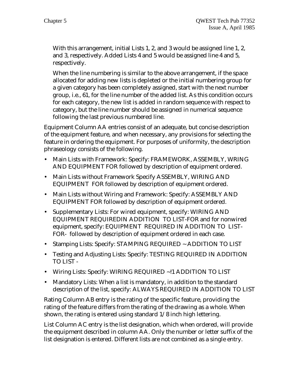With this arrangement, initial Lists 1, 2, and 3 would be assigned line 1, 2, and 3, respectively. Added Lists 4 and 5 would be assigned line 4 and 5, respectively.

When the line numbering is similar to the above arrangement, if the space allocated for adding new lists is depleted or the initial numbering group for a given category has been completely assigned, start with the next number group, i.e., 61, for the line number of the added list. As this condition occurs for each category, the new list is added in random sequence with respect to category, but the line number should be assigned in numerical sequence following the last previous numbered line.

Equipment Column AA entries consist of an adequate, but concise description of the equipment feature, and when necessary, any provisions for selecting the feature in ordering the equipment. For purposes of uniformity, the description phraseology consists of the following.

- Main Lists with Framework: Specify: FRAMEWORK, ASSEMBLY, WRING AND EQUIPMENT FOR followed by description of equipment ordered.
- Main Lists without Framework Specify ASSEMBLY, WIRING AND EQUIPMENT FOR followed by description of equipment ordered.
- Main Lists without Wiring and Framework: Specify: ASSEMBLY AND EQUIPMENT FOR followed by description of equipment ordered.
- Supplementary Lists: For wired equipment, specify: WIRING AND EQUIPMENT REQUIREDIN ADDITION TO LIST-FOR and for nonwired equipment, specify: EQUIPMENT REQUIRED IN ADDITION TO LIST-FOR- followed by description of equipment ordered in each case.
- Stamping Lists: Specify: STAMPING REQUIRED ~ ADDITION TO LIST
- Testing and Adjusting Lists: Specify: TESTING REQUIRED IN ADDITION TO LIST -
- Wiring Lists: Specify: WIRING REQUIRED ~!1 ADDITION TO LIST
- Mandatory Lists: When a list is mandatory, in addition to the standard description of the list, specify: ALWAYS REQUIRED IN ADDITION TO LIST

Rating Column AB entry is the rating of the specific feature, providing the rating of the feature differs from the rating of the drawing as a whole. When shown, the rating is entered using standard 1/8 inch high lettering.

List Column AC entry is the list designation, which when ordered, will provide the equipment described in column AA. Only the number or letter suffix of the list designation is entered. Different lists are not combined as a single entry.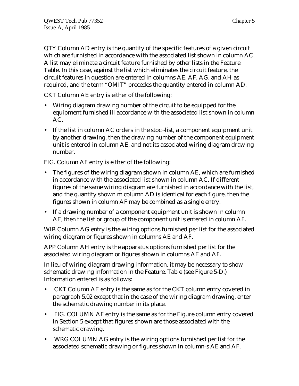QTY Column AD entry is the quantity of the specific features of a given circuit which are furnished in accordance with the associated list shown in column AC. A list may eliminate a circuit feature furnished by other lists in the Feature Table. In this case, against the list which eliminates the circuit feature, the circuit features in question are entered in columns AE, AF, AG, and AH as required, and the term "OMIT" precedes the quantity entered in column AD.

CKT Column AE entry is either of the following:

- Wiring diagram drawing number of the circuit to be equipped for the equipment furnished ill accordance with the associated list shown in column AC.
- If the list in column AC orders in the stoc~list, a component equipment unit by another drawing, then the drawing number of the component equipment unit is entered in column AE, and not its associated wiring diagram drawing number.

FIG. Column AF entry is either of the following:

- The figures of the wiring diagram shown in column AE, which are furnished in accordance with the associated list shown in column AC. If different figures of the same wiring diagram are furnished in accordance with the list, and the quantity shown m column AD is identical for each figure, then the figures shown in column AF may be combined as a single entry.
- If a drawing number of a component equipment unit is shown in column AE, then the list or group of the component unit is entered in column AF.

WIR Column AG entry is the wiring options furnished per list for the associated wiring diagram or figures shown in columns AE and AF.

APP Column AH entry is the apparatus options furnished per list for the associated wiring diagram or figures shown in columns AE and AF.

In lieu of wiring diagram drawing information, it may be necessary to show schematic drawing information in the Feature. Table (see Figure 5-D.) Information entered is as follows:

- CKT Column AE entry is the same as for the CKT column entry covered in paragraph 5.02 except that in the case of the wiring diagram drawing, enter the schematic drawing number in its place.
- FIG. COLUMN AF entry is the same as for the Figure column entry covered in Section 5 except that figures shown are those associated with the schematic drawing.
- WRG COLUMN AG entry is the wiring options furnished per list for the associated schematic drawing or figures shown in column-s AE and AF.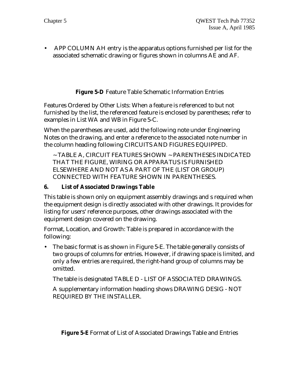• APP COLUMN AH entry is the apparatus options furnished per list for the associated schematic drawing or figures shown in columns AE and AF.

#### **Figure 5-D** Feature Table Schematic Information Entries

Features Ordered by Other Lists: When a feature is referenced to but not furnished by the list, the referenced feature is enclosed by parentheses; refer to examples in List WA and WB in Figure 5-C.

When the parentheses are used, add the following note under Engineering Notes on the drawing, and enter a reference to the associated note number in the column heading following CIRCUITS AND FIGURES EQUIPPED.

~ TABLE A, CIRCUIT FEATURES SHOWN ~ PARENTHESES INDICATED THAT THE FIGURE, WIRING OR APPARATUS IS FURNISHED ELSEWHERE AND NOT AS A PART OF THE (LIST OR GROUP) CONNECTED WITH FEATURE SHOWN IN PARENTHESES.

#### **6. List of Associated Drawings Table**

This table is shown only on equipment assembly drawings and s required when the equipment design is directly associated with other drawings. It provides for listing for users' reference purposes, other drawings associated with the equipment design covered on the drawing.

Format, Location, and Growth: Table is prepared in accordance with the following:

• The basic format is as shown in Figure 5-E. The table generally consists of two groups of columns for entries. However, if drawing space is limited, and only a few entries are required, the right-hand group of columns may be omitted.

The table is designated TABLE D - LIST OF ASSOCIATED DRAWINGS.

A supplementary information heading shows DRAWING DESIG - NOT REQUIRED BY THE INSTALLER.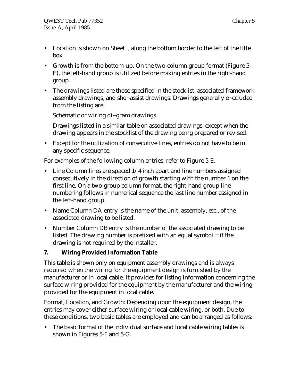- Location is shown on Sheet l, along the bottom border to the left of the title box.
- Growth is from the bottom-up. On the two-column group format (Figure 5- E), the left-hand group is utilized before making entries in the right-hand group.
- The drawings listed are those specified in the stocklist, associated framework assembly drawings, and sho~assist drawings. Drawings generally e~ccluded from the listing are:

Schematic or wiring di~gram drawings.

Drawings listed in a similar table on associated drawings, except when the drawing appears in the stocklist of the drawing being prepared or revised.

• Except for the utilization of consecutive lines, entries do not have to be in any specific sequence.

For examples of the following column entries, refer to Figure 5-E.

- Line Column lines are spaced  $1/4$  inch apart and line numbers assigned consecutively in the direction of growth starting with the number 1 on the first line. On a two-group column format, the right-hand group line numbering follows in numerical sequence the last line number assigned in the left-hand group.
- Name Column DA entry is the name of the unit, assembly, etc., of the associated drawing to be listed.
- Number Column DB entry is the number of the associated drawing to be listed. The drawing number is prefixed with an equal symbol = if the drawing is not required by the installer.

# **7. Wiring Provided Information Table**

This table is shown only on equipment assembly drawings and is always required when the wiring for the equipment design is furnished by the manufacturer or in local cable. It provides for listing information concerning the surface wiring provided for the equipment by the manufacturer and the wiring provided for the equipment in local cable.

Format, Location, and Growth: Depending upon the equipment design, the entries may cover either surface wiring or local cable wiring, or both. Due to these conditions, two basic tables are employed and can be arranged as follows:

• The basic format of the individual surface and local cable wiring tables is shown in Figures 5-F and 5-G.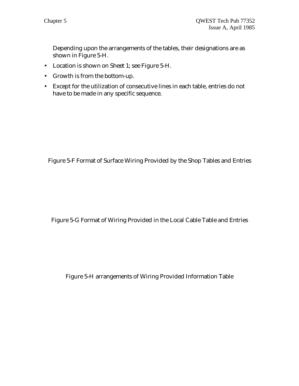Depending upon the arrangements of the tables, their designations are as shown in Figure 5-H.

- Location is shown on Sheet 1; see Figure 5-H.
- Growth is from the bottom-up.
- Except for the utilization of consecutive lines in each table, entries do not have to be made in any specific sequence.

Figure 5-F Format of Surface Wiring Provided by the Shop Tables and Entries

Figure 5-G Format of Wiring Provided in the Local Cable Table and Entries

Figure 5-H arrangements of Wiring Provided Information Table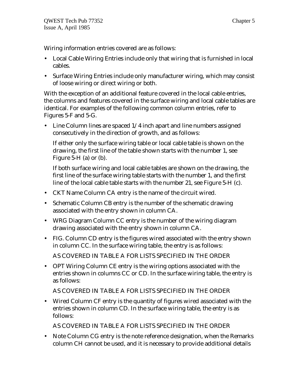Wiring information entries covered are as follows:

- Local Cable Wiring Entries include only that wiring that is furnished in local cables.
- Surface Wiring Entries include only manufacturer wiring, which may consist of loose wiring or direct wiring or both.

With the exception of an additional feature covered in the local cable entries, the columns and features covered in the surface wiring and local cable tables are identical. For examples of the following common column entries, refer to Figures 5-F and 5-G.

• Line Column lines are spaced  $1/4$  inch apart and line numbers assigned consecutively in the direction of growth, and as follows:

If either only the surface wiring table or local cable table is shown on the drawing, the first line of the table shown starts with the number 1, see Figure 5-H (a) or (b).

If both surface wiring and local cable tables are shown on the drawing, the first line of the surface wiring table starts with the number 1, and the first line of the local cable table starts with the number 21, see Figure 5-H (c).

- CKT Name Column CA entry is the name of the circuit wired.
- Schematic Column CB entry is the number of the schematic drawing associated with the entry shown in column CA.
- WRG Diagram Column CC entry is the number of the wiring diagram drawing associated with the entry shown in column CA.
- FIG. Column CD entry is the figures wired associated with the entry shown in column CC. In the surface wiring table, the entry is as follows:

AS COVERED IN TABLE A FOR LISTS SPECIFIED IN THE ORDER

• OPT Wiring Column CE entry is the wiring options associated with the entries shown in columns CC or CD. In the surface wiring table, the entry is as follows:

AS COVERED IN TABLE A FOR LISTS SPECIFIED IN THE ORDER

• Wired Column CF entry is the quantity of figures wired associated with the entries shown in column CD. In the surface wiring table, the entry is as follows:

AS COVERED IN TABLE A FOR LISTS SPECIFIED IN THE ORDER

• Note Column CG entry is the note reference designation, when the Remarks column CH cannot be used, and it is necessary to provide additional details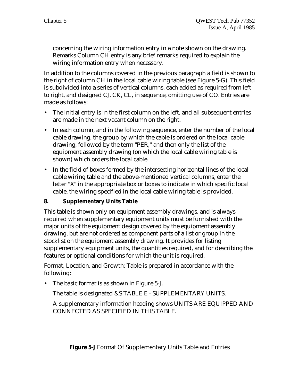concerning the wiring information entry in a note shown on the drawing. Remarks Column CH entry is any brief remarks required to explain the wiring information entry when necessary.

In addition to the columns covered in the previous paragraph a field is shown to the right of column CH in the local cable wiring table (see Figure 5-G). This field is subdivided into a series of vertical columns, each added as required from left to right, and designed CJ, CK, CL, in sequence, omitting use of CO. Entries are made as follows:

- The initial entry is in the first column on the left, and all subsequent entries are made in the next vacant column on the right.
- In each column, and in the following sequence, enter the number of the local cable drawing, the group by which the cable is ordered on the local cable drawing, followed by the term "PER," and then only the list of the equipment assembly drawing (on which the local cable wiring table is shown) which orders the local cable.
- In the field of boxes formed by the intersecting horizontal lines of the local cable wiring table and the above-mentioned vertical columns, enter the letter "X" in the appropriate box or boxes to indicate in which specific local cable, the wiring specified in the local cable wiring table is provided.

# **8. Supplementary Units Table**

This table is shown only on equipment assembly drawings, and is always required when supplementary equipment units must be furnished with the major units of the equipment design covered by the equipment assembly drawing, but are not ordered as component parts of a list or group in the stocklist on the equipment assembly drawing. It provides for listing supplementary equipment units, the quantities required, and for describing the features or optional conditions for which the unit is required.

Format, Location, and Growth: Table is prepared in accordance with the following:

• The basic format is as shown in Figure 5-J.

The table is designated &S TABLE E - SUPPLEMENTARY UNITS.

A supplementary information heading shows UNITS ARE EQUIPPED AND CONNECTED AS SPECIFIED IN THIS TABLE.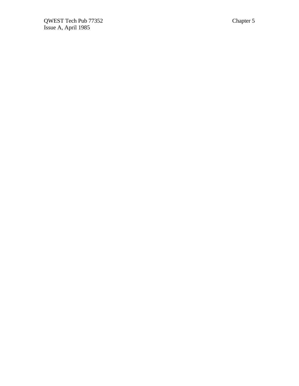QWEST Tech Pub 77352 Chapter 5 Issue A, April 1985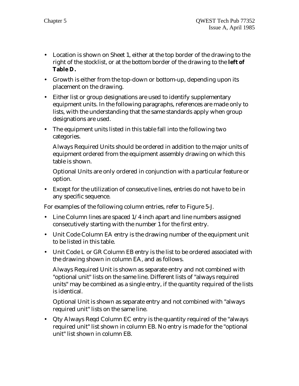- Location is shown on Sheet 1, either at the top border of the drawing to the right of the stocklist, or at the bottom border of the drawing to the **left of Table D.**
- Growth is either from the top-down or bottom-up, depending upon its placement on the drawing.
- Either list or group designations are used to identify supplementary equipment units. In the following paragraphs, references are made only to lists, with the understanding that the same standards apply when group designations are used.
- The equipment units listed in this table fall into the following two categories.

Always Required Units should be ordered in addition to the major units of equipment ordered from the equipment assembly drawing on which this table is shown.

Optional Units are only ordered in conjunction with a particular feature or option.

• Except for the utilization of consecutive lines, entries do not have to be in any specific sequence.

For examples of the following column entries, refer to Figure 5-J.

- Line Column lines are spaced  $1/4$  inch apart and line numbers assigned consecutively starting with the number 1 for the first entry.
- Unit Code Column EA entry is the drawing number of the equipment unit to be listed in this table.
- Unit Code L or GR Column EB entry is the list to be ordered associated with the drawing shown in column EA, and as follows.

Always Required Unit is shown as separate entry and not combined with "optional unit" lists on the same line. Different lists of "always required units" may be combined as a single entry, if the quantity required of the lists is identical.

Optional Unit is shown as separate entry and not combined with "always required unit" lists on the same line.

• Qty Always Reqd Column EC entry is the quantity required of the "always required unit" list shown in column EB. No entry is made for the "optional unit" list shown in column EB.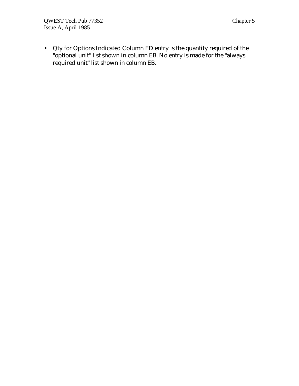• Qty for Options Indicated Column ED entry is the quantity required of the "optional unit" list shown in column EB. No entry is made for the "always required unit" list shown in column EB.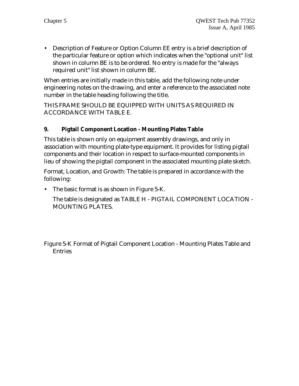• Description of Feature or Option Column EE entry is a brief description of the particular feature or option which indicates when the "optional unit" list shown in column BE is to be ordered. No entry is made for the "always required unit" list shown in column BE.

When entries are initially made in this table, add the following note under engineering notes on the drawing, and enter a reference to the associated note number in the table heading following the title.

THIS FRAME SHOULD BE EQUIPPED WITH UNITS AS REQUIRED IN ACCORDANCE WITH TABLE E.

### **9. Pigtail Component Location - Mounting Plates Table**

This table is shown only on equipment assembly drawings, and only in association with mounting plate-type equipment. It provides for listing pigtail components and their location in respect to surface-mounted components in lieu of showing the pigtail component in the associated mounting plate sketch.

Format, Location, and Growth: The table is prepared in accordance with the following:

• The basic format is as shown in Figure 5-K.

The table is designated as TABLE H - PIGTAIL COMPONENT LOCATION - MOUNTING PLATES.

Figure 5-K Format of Pigtail Component Location - Mounting Plates Table and Entries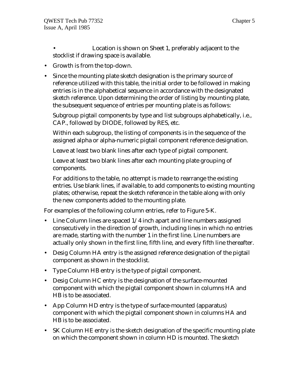• Location is shown on Sheet 1, preferably adjacent to the stocklist if drawing space is available.

- Growth is from the top-down.
- Since the mounting plate sketch designation is the primary source of reference utilized with this table, the initial order to be followed in making entries is in the alphabetical sequence in accordance with the designated sketch reference. Upon determining the order of listing by mounting plate, the subsequent sequence of entries per mounting plate is as follows:

Subgroup pigtail components by type and list subgroups alphabetically, i.e., CAP., followed by DIODE, followed by RES, etc.

Within each subgroup, the listing of components is in the sequence of the assigned alpha or alpha-numeric pigtail component reference designation.

Leave at least two blank lines after each type of pigtail component.

Leave at least two blank lines after each mounting plate grouping of components.

For additions to the table, no attempt is made to rearrange the existing entries. Use blank lines, if available, to add components to existing mounting plates; otherwise, repeat the sketch reference in the table along with only the new components added to the mounting plate.

For examples of the following column entries, refer to Figure 5-K.

- Line Column lines are spaced  $1/4$  inch apart and line numbers assigned consecutively in the direction of growth, including lines in which no entries are made, starting with the number 1 in the first line. Line numbers are actually only shown in the first line, fifth line, and every fifth line thereafter.
- Desig Column HA entry is the assigned reference designation of the pigtail component as shown in the stocklist.
- Type Column HB entry is the type of pigtail component.
- Desig Column HC entry is the designation of the surface-mounted component with which the pigtail component shown in columns HA and HB is to be associated.
- App Column HD entry is the type of surface-mounted (apparatus) component with which the pigtail component shown in columns HA and HB is to be associated.
- SK Column HE entry is the sketch designation of the specific mounting plate on which the component shown in column HD is mounted. The sketch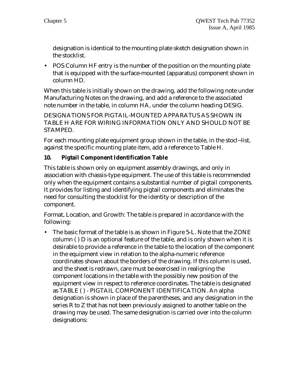designation is identical to the mounting plate sketch designation shown in the stocklist.

• POS Column HF entry is the number of the position on the mounting plate that is equipped with the surface-mounted (apparatus) component shown in column HD.

When this table is initially shown on the drawing, add the following note under Manufacturing Notes on the drawing, and add a reference to the associated note number in the table, in column HA, under the column heading DESIG.

DESIGNATIONS FOR PIGTAIL-MOUNTED APPARATUS AS SHOWN IN TABLE H ARE FOR WIRING INFORMATION ONLY AND SHOULD NOT BE STAMPED.

For each mounting plate equipment group shown in the table, in the stocl~list, against the specific mounting plate item, add a reference to Table H.

## **10. Pigtail Component Identification Table**

This table is shown only on equipment assembly drawings, and only in association with chassis-type equipment. The use of this table is recommended only when the equipment contains a substantial number of pigtail components. It provides for listing and identifying pigtail components and eliminates the need for consulting the stocklist for the identity or description of the component.

Format, Location, and Growth: The table is prepared in accordance with the following:

• The basic format of the table is as shown in Figure 5-L. Note that the ZONE column ( ) D is an optional feature of the table, and is only shown when it is desirable to provide a reference in the table to the location of the component in the equipment view in relation to the alpha-numeric reference coordinates shown about the borders of the drawing. If this column is used, and the sheet is redrawn, care must be exercised in realigning the component locations in the table with the possibly new position of the equipment view in respect to reference coordinates. The table is designated as TABLE ( ) - PIGTAIL COMPONENT IDENTIFICATION. An alpha designation is shown in place of the parentheses, and any designation in the series R to Z that has not been previously assigned to another table on the drawing may be used. The same designation is carried over into the column designations: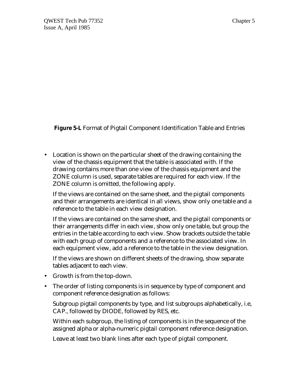**Figure 5-L** Format of Pigtail Component Identification Table and Entries

• Location is shown on the particular sheet of the drawing containing the view of the chassis equipment that the table is associated with. If the drawing contains more than one view of the chassis equipment and the ZONE column is used, separate tables are required for each view. If the ZONE column is omitted, the following apply.

If the views are contained on the same sheet, and the pigtail components and their arrangements are identical in all views, show only one table and a reference to the table in each view designation.

If the views are contained on the same sheet, and the pigtail components or their arrangements differ in each view, show only one table, but group the entries in the table according to each view. Show brackets outside the table with each group of components and a reference to the associated view. In each equipment view, add a reference to the table in the view designation.

If the views are shown on different sheets of the drawing, show separate tables adjacent to each view.

- Growth is from the top-down.
- The order of listing components is in sequence by type of component and component reference designation as follows:

Subgroup pigtail components by type, and list subgroups alphabetically, i.e, CAP., followed by DIODE, followed by RES, etc.

Within each subgroup, the listing of components is in the sequence of the assigned alpha or alpha-numeric pigtail component reference designation.

Leave at least two blank lines after each type of pigtail component.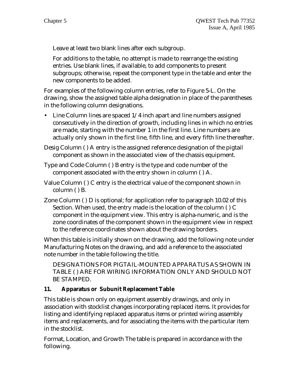Leave at least two blank lines after each subgroup.

For additions to the table, no attempt is made to rearrange the existing entries. Use blank lines, if available, to add components to present subgroups; otherwise, repeat the component type in the table and enter the new components to be added.

For examples of the following column entries, refer to Figure 5-L. On the drawing, show the assigned table alpha designation in place of the parentheses in the following column designations.

• Line Column lines are spaced  $1/4$  inch apart and line numbers assigned consecutively in the direction of growth, including lines in which no entries are made, starting with the number 1 in the first line. Line numbers are actually only shown in the first line, fifth line, and every fifth line thereafter.

Desig Column ( ) A entry is the assigned reference designation of the pigtail component as shown in the associated view of the chassis equipment.

Type and Code Column ( ) B entry is the type and code number of the component associated with the entry shown in column ( ) A.

- Value Column ( ) C entry is the electrical value of the component shown in column ( ) B.
- Zone Column ( ) D is optional; for application refer to paragraph 10.02 of this Section. When used, the entry made is the location of the column ( ) C component in the equipment view. This entry is alpha-numeric, and is the zone coordinates of the component shown in the equipment view in respect to the reference coordinates shown about the drawing borders.

When this table is initially shown on the drawing, add the following note under Manufacturing Notes on the drawing, and add a reference to the associated note number in the table following the title.

DESIGNATIONS FOR PIGTAIL-MOUNTED APPARATUS AS SHOWN IN TABLE ( ) ARE FOR WIRING INFORMATION ONLY AND SHOULD NOT BE STAMPED.

## **11. Apparatus or Subunit Replacement Table**

This table is shown only on equipment assembly drawings, and only in association with stocklist changes incorporating replaced items. It provides for listing and identifying replaced apparatus items or printed wiring assembly items and replacements, and for associating the items with the particular item in the stocklist.

Format, Location, and Growth The table is prepared in accordance with the following.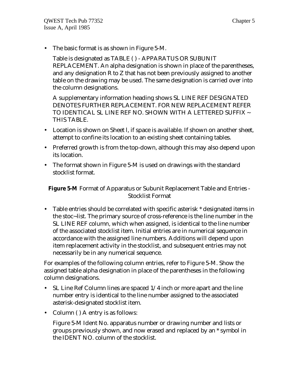• The basic format is as shown in Figure 5-M.

Table is designated as TABLE ( ) - APPARATUS OR SUBUNIT REPLACEMENT. An alpha designation is shown in place of the parentheses, and any designation R to Z that has not been previously assigned to another table on the drawing may be used. The same designation is carried over into the column designations.

A supplementary information heading shows SL LINE REF DESIGNATED DENOTES FURTHER REPLACEMENT. FOR NEW REPLACEMENT REFER TO IDENTICAL SL LINE REF NO. SHOWN WITH A LETTERED SUFFIX ~ THIS TABLE.

- Location is shown on Sheet l, if space is available. If shown on another sheet, attempt to confine its location to an existing sheet containing tables.
- Preferred growth is from the top-down, although this may also depend upon its location.
- The format shown in Figure 5-M is used on drawings with the standard stocklist format.

**Figure 5-M** Format of Apparatus or Subunit Replacement Table and Entries - Stocklist Format

• Table entries should be correlated with specific asterisk \* designated items in the stoc~list. The primary source of cross-reference is the line number in the SL LINE REF column, which when assigned, is identical to the line number of the associated stocklist item. Initial entries are in numerical sequence in accordance with the assigned line numbers. Additions will depend upon item replacement activity in the stocklist, and subsequent entries may not necessarily be in any numerical sequence.

For examples of the following column entries, refer to Figure 5-M. Show the assigned table alpha designation in place of the parentheses in the following column designations.

- SL Line Ref Column lines are spaced 1/4 inch or more apart and the line number entry is identical to the line number assigned to the associated asterisk-designated stocklist item.
- Column () A entry is as follows:

Figure 5-M Ident No. apparatus number or drawing number and lists or groups previously shown, and now erased and replaced by an \* symbol in the IDENT NO. column of the stocklist.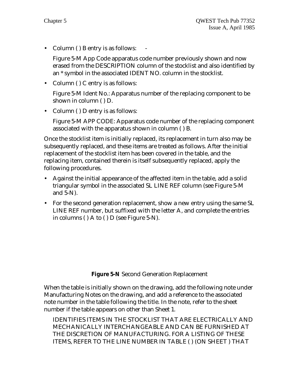• Column () B entry is as follows:

Figure 5-M App Code apparatus code number previously shown and now erased from the DESCRIPTION column of the stocklist and also identified by an \* symbol in the associated IDENT NO. column in the stocklist.

• Column () C entry is as follows:

Figure 5-M Ident No.: Apparatus number of the replacing component to be shown in column ( ) D.

• Column () D entry is as follows:

Figure 5-M APP CODE: Apparatus code number of the replacing component associated with the apparatus shown in column ( ) B.

Once the stocklist item is initially replaced, its replacement in turn also may be subsequently replaced, and these items are treated as follows. After the initial replacement of the stocklist item has been covered in the table, and the replacing item, contained therein is itself subsequently replaced, apply the following procedures.

- Against the initial appearance of the affected item in the table, add a solid triangular symbol in the associated SL LINE REF column (see Figure 5-M and 5-N).
- For the second generation replacement, show a new entry using the same SL LINE REF number, but suffixed with the letter A, and complete the entries in columns ( ) A to ( ) D (see Figure 5-N).

# **Figure 5-N** Second Generation Replacement

When the table is initially shown on the drawing, add the following note under Manufacturing Notes on the drawing, and add a reference to the associated note number in the table following the title. In the note, refer to the sheet number if the table appears on other than Sheet 1.

IDENTIFIES ITEMS IN THE STOCKLIST THAT ARE ELECTRICALLY AND MECHANICALLY INTERCHANGEABLE AND CAN BE FURNISHED AT THE DISCRETION OF MANUFACTURING. FOR A LISTING OF THESE ITEMS, REFER TO THE LINE NUMBER IN TABLE ( ) (ON SHEET ) THAT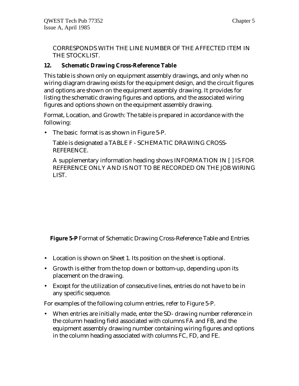### CORRESPONDS WITH THE LINE NUMBER OF THE AFFECTED ITEM IN THE STOCKLIST.

### **12. Schematic Drawing Cross-Reference Table**

This table is shown only on equipment assembly drawings, and only when no wiring diagram drawing exists for the equipment design, and the circuit figures and options are shown on the equipment assembly drawing. It provides for listing the schematic drawing figures and options, and the associated wiring figures and options shown on the equipment assembly drawing.

Format, Location, and Growth: The table is prepared in accordance with the following:

• The basic format is as shown in Figure 5-P.

Table is designated a TABLE F - SCHEMATIC DRAWING CROSS-REFERENCE.

A supplementary information heading shows INFORMATION IN [ ] IS FOR REFERENCE ONLY AND IS NOT TO BE RECORDED ON THE JOB WIRING LIST.

**Figure 5-P** Format of Schematic Drawing Cross-Reference Table and Entries

- Location is shown on Sheet 1. Its position on the sheet is optional.
- Growth is either from the top down or bottom-up, depending upon its placement on the drawing.
- Except for the utilization of consecutive lines, entries do not have to be in any specific sequence.

For examples of the following column entries, refer to Figure 5-P.

• When entries are initially made, enter the SD- drawing number reference in the column heading field associated with columns FA and FB, and the equipment assembly drawing number containing wiring figures and options in the column heading associated with columns FC, FD, and FE.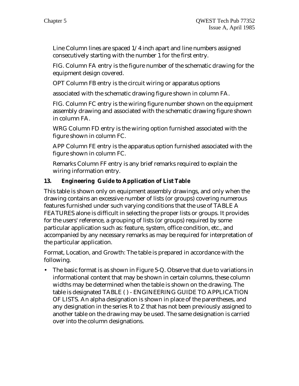Line Column lines are spaced 1/4 inch apart and line numbers assigned consecutively starting with the number 1 for the first entry.

FIG. Column FA entry is the figure number of the schematic drawing for the equipment design covered.

OPT Column FB entry is the circuit wiring or apparatus options

associated with the schematic drawing figure shown in column FA.

FIG. Column FC entry is the wiring figure number shown on the equipment assembly drawing and associated with the schematic drawing figure shown in column FA.

WRG Column FD entry is the wiring option furnished associated with the figure shown in column FC.

APP Column FE entry is the apparatus option furnished associated with the figure shown in column FC.

Remarks Column FF entry is any brief remarks required to explain the wiring information entry.

# **13. Engineering Guide to Application of List Table**

This table is shown only on equipment assembly drawings, and only when the drawing contains an excessive number of lists (or groups) covering numerous features furnished under such varying conditions that the use of TABLE A FEATURES alone is difficult in selecting the proper lists or groups. It provides for the users' reference, a grouping of lists (or groups) required by some particular application such as: feature, system, office condition, etc., and accompanied by any necessary remarks as may be required for interpretation of the particular application.

Format, Location, and Growth: The table is prepared in accordance with the following.

• The basic format is as shown in Figure 5-Q. Observe that due to variations in informational content that may be shown in certain columns, these column widths may be determined when the table is shown on the drawing. The table is designated TABLE ( ) - ENGINEERING GUIDE TO APPLICATION OF LISTS. An alpha designation is shown in place of the parentheses, and any designation in the series R to Z that has not been previously assigned to another table on the drawing may be used. The same designation is carried over into the column designations.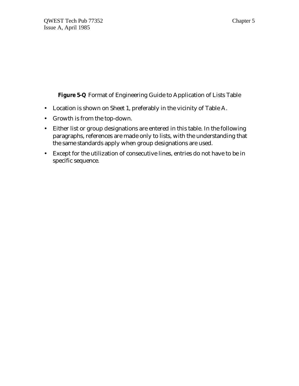**Figure 5-Q** Format of Engineering Guide to Application of Lists Table

- Location is shown on Sheet 1, preferably in the vicinity of Table A.
- Growth is from the top-down.
- Either list or group designations are entered in this table. In the following paragraphs, references are made only to lists, with the understanding that the same standards apply when group designations are used.
- Except for the utilization of consecutive lines, entries do not have to be in specific sequence.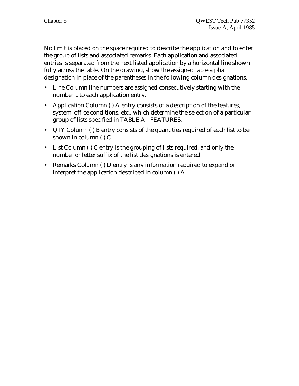No limit is placed on the space required to describe the application and to enter the group of lists and associated remarks. Each application and associated entries is separated from the next listed application by a horizontal line shown fully across the table. On the drawing, show the assigned table alpha designation in place of the parentheses in the following column designations.

- Line Column line numbers are assigned consecutively starting with the number 1 to each application entry.
- Application Column () A entry consists of a description of the features, system, office conditions, etc., which determine the selection of a particular group of lists specified in TABLE A - FEATURES.
- QTY Column () B entry consists of the quantities required of each list to be shown in column ( ) C.
- List Column () C entry is the grouping of lists required, and only the number or letter suffix of the list designations is entered.
- Remarks Column ( ) D entry is any information required to expand or interpret the application described in column ( ) A.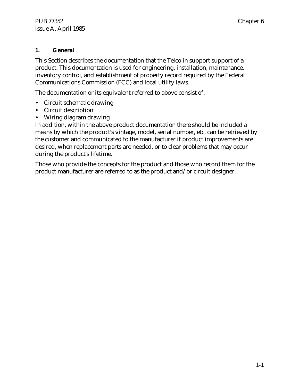### **1. General**

This Section describes the documentation that the Telco in support support of a product. This documentation is used for engineering, installation, maintenance, inventory control, and establishment of property record required by the Federal Communications Commission (FCC) and local utility laws.

The documentation or its equivalent referred to above consist of:

- Circuit schematic drawing
- Circuit description
- Wiring diagram drawing

In addition, within the above product documentation there should be included a means by which the product's vintage, model, serial number, etc. can be retrieved by the customer and communicated to the manufacturer if product improvements are desired, when replacement parts are needed, or to clear problems that may occur during the product's lifetime.

Those who provide the concepts for the product and those who record them for the product manufacturer are referred to as the product and/or circuit designer.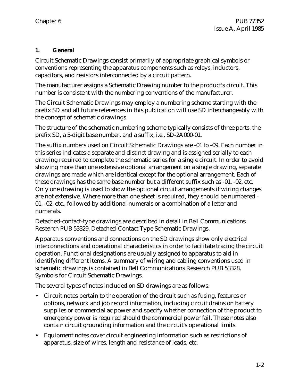### **1. General**

Circuit Schematic Drawings consist primarily of appropriate graphical symbols or conventions representing the apparatus components such as relays, inductors, capacitors, and resistors interconnected by a circuit pattern.

The manufacturer assigns a Schematic Drawing number to the product's circuit. This number is consistent with the numbering conventions of the manufacturer.

The Circuit Schematic Drawings may employ a numbering scheme starting with the prefix SD and all future references in this publication will use SD interchangeably with the concept of schematic drawings.

The structure of the schematic numbering scheme typically consists of three parts: the prefix SD, a 5-digit base number, and a suffix, i.e., SD-2A000-01.

The suffix numbers used on Circuit Schematic Drawings are -01 to -09. Each number in this series indicates a separate and distinct drawing and is assigned serially to each drawing required to complete the schematic series for a single circuit. In order to avoid showing more than one extensive optional arrangement on a single drawing, separate drawings are made which are identical except for the optional arrangement. Each of these drawings has the same base number but a different suffix such as -01, -02, etc. Only one drawing is used to show the optional circuit arrangements if wiring changes are not extensive. Where more than one sheet is required, they should be numbered - 01, -02, etc., followed by additional numerals or a combination of a letter and numerals.

Detached-contact-type drawings are described in detail in Bell Communications Research PUB 53329, Detached-Contact Type Schematic Drawings.

Apparatus conventions and connections on the SD drawings show only electrical interconnections and operational characteristics in order to facilitate tracing the circuit operation. Functional designations are usually assigned to apparatus to aid in identifying different items. A summary of wiring and cabling conventions used in schematic drawings is contained in Bell Communications Research PUB 53328, Symbols for Circuit Schematic Drawings.

The several types of notes included on SD drawings are as follows:

- Circuit notes pertain to the operation of the circuit such as fusing, features or options, network and job record information, including circuit drains on battery supplies or commercial ac power and specify whether connection of the product to emergency power is required should the commercial power fail. These notes also contain circuit grounding information and the circuit's operational limits.
- Equipment notes cover circuit engineering information such as restrictions of apparatus, size of wires, length and resistance of leads, etc.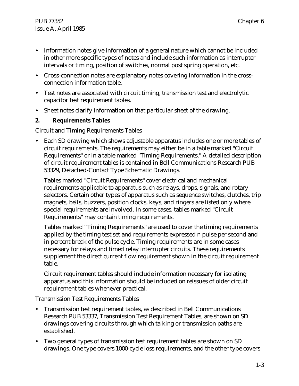- Cross-connection notes are explanatory notes covering information in the crossconnection information table.
- Test notes are associated with circuit timing, transmission test and electrolytic capacitor test requirement tables.
- Sheet notes clarify information on that particular sheet of the drawing.

# **2. Requirements Tables**

Circuit and Timing Requirements Tables

• Each SD drawing which shows adjustable apparatus includes one or more tables of circuit requirements. The requirements may either be in a table marked "Circuit Requirements" or in a table marked "Timing Requirements." A detailed description of circuit requirement tables is contained in Bell Communications Research PUB 53329, Detached-Contact Type Schematic Drawings.

Tables marked "Circuit Requirements" cover electrical and mechanical requirements applicable to apparatus such as relays, drops, signals, and rotary selectors. Certain other types of apparatus such as sequence switches, clutches, trip magnets, bells, buzzers, position clocks, keys, and ringers are listed only where special requirements are involved. In some cases, tables marked "Circuit Requirements" may contain timing requirements.

Tables marked "Timing Requirements" are used to cover the timing requirements applied by the timing test set and requirements expressed n pulse per second and in percent break of the pulse cycle. Timing requirements are in some cases necessary for relays and timed relay interrupter circuits. These requirements supplement the direct current flow requirement shown in the circuit requirement table.

Circuit requirement tables should include information necessary for isolating apparatus and this information should be included on reissues of older circuit requirement tables whenever practical.

Transmission Test Requirements Tables

- Transmission test requirement tables, as described in Bell Communications Research PUB 53337, Transmission Test Requirement Tables, are shown on SD drawings covering circuits through which talking or transmission paths are established.
- Two general types of transmission test requirement tables are shown on SD drawings. One type covers 1000-cycle loss requirements, and the other type covers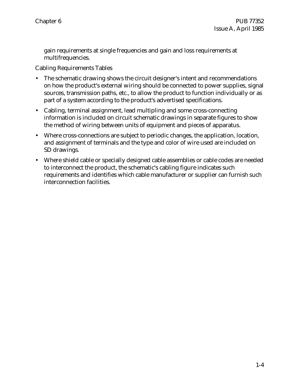gain requirements at single frequencies and gain and loss requirements at multifrequencies.

Cabling Requirements Tables

- The schematic drawing shows the circuit designer's intent and recommendations on how the product's external wiring should be connected to power supplies, signal sources, transmission paths, etc., to allow the product to function individually or as part of a system according to the product's advertised specifications.
- Cabling, terminal assignment, lead multipling and some cross-connecting information is included on circuit schematic drawings in separate figures to show the method of wiring between units of equipment and pieces of apparatus.
- Where cross-connections are subject to periodic changes, the application, location, and assignment of terminals and the type and color of wire used are included on SD drawings.
- Where shield cable or specially designed cable assemblies or cable codes are needed to interconnect the product, the schematic's cabling figure indicates such requirements and identifies which cable manufacturer or supplier can furnish such interconnection facilities.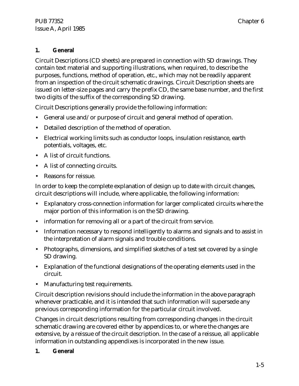# **1. General**

Circuit Descriptions (CD sheets) are prepared in connection with SD drawings. They contain text material and supporting illustrations, when required, to describe the purposes, functions, method of operation, etc., which may not be readily apparent from an inspection of the circuit schematic drawings. Circuit Description sheets are issued on letter-size pages and carry the prefix CD, the same base number, and the first two digits of the suffix of the corresponding SD drawing.

Circuit Descriptions generally provide the following information:

- General use and/or purpose of circuit and general method of operation.
- Detailed description of the method of operation.
- Electrical working limits such as conductor loops, insulation resistance, earth potentials, voltages, etc.
- A list of circuit functions.
- A list of connecting circuits.
- Reasons for reissue.

In order to keep the complete explanation of design up to date with circuit changes, circuit descriptions will include, where applicable, the following information:

- Explanatory cross-connection information for larger complicated circuits where the major portion of this information is on the SD drawing.
- information for removing all or a part of the circuit from service.
- Information necessary to respond intelligently to alarms and signals and to assist in the interpretation of alarm signals and trouble conditions.
- Photographs, dimensions, and simplified sketches of a test set covered by a single SD drawing.
- Explanation of the functional designations of the operating elements used in the circuit.
- Manufacturing test requirements.

Circuit description revisions should include the information in the above paragraph whenever practicable, and it is intended that such information will supersede any previous corresponding information for the particular circuit involved.

Changes in circuit descriptions resulting from corresponding changes in the circuit schematic drawing are covered either by appendices to, or where the changes are extensive, by a reissue of the circuit description. In the case of a reissue, all applicable information in outstanding appendixes is incorporated in the new issue.

# **1. General**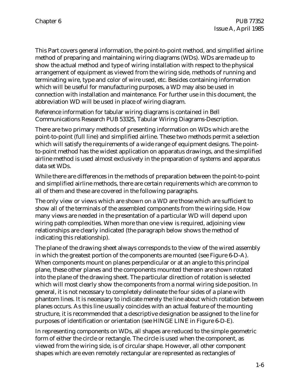This Part covers general information, the point-to-point method, and simplified airline method of preparing and maintaining wiring diagrams (WDs). WDs are made up to show the actual method and type of wiring installation with respect to the physical arrangement of equipment as viewed from the wiring side, methods of running and terminating wire, type and color of wire used, etc. Besides containing information which will be useful for manufacturing purposes, a WD may also be used in connection with installation and maintenance. For further use in this document, the abbreviation WD will be used in place of wiring diagram.

Reference information for tabular wiring diagrams is contained in Bell Communications Research PUB 53325, Tabular Wiring Diagrams-Description.

There are two primary methods of presenting information on WDs which are the point-to-point (full line) and simplified airline. These two methods permit a selection which will satisfy the requirements of a wide range of equipment designs. The pointto-point method has the widest application on apparatus drawings, and the simplified airline method is used almost exclusively in the preparation of systems and apparatus data set WDs.

While there are differences in the methods of preparation between the point-to-point and simplified airline methods, there are certain requirements which are common to all of them and these are covered in the following paragraphs.

The only view or views which are shown on a WD are those which are sufficient to show all of the terminals of the assembled components from the wiring side. How many views are needed in the presentation of a particular WD will depend upon wiring path complexities. When more than one view is required, adjoining view relationships are clearly indicated (the paragraph below shows the method of indicating this relationship).

The plane of the drawing sheet always corresponds to the view of the wired assembly in which the greatest portion of the components are mounted (see Figure 6-D-A). When components mount on planes perpendicular or at an angle to this principal plane, these other planes and the components mounted thereon are shown rotated into the plane of the drawing sheet. The particular direction of rotation is selected which will most clearly show the components from a normal wiring side position. In general, it is not necessary to completely delineate the four sides of a plane with phantom lines. It is necessary to indicate merely the line about which rotation between planes occurs. As this line usually coincides with an actual feature of the mounting structure, it is recommended that a descriptive designation be assigned to the line for purposes of identification or orientation (see HlNGE LINE in Figure 6-D-E).

In representing components on WDs, all shapes are reduced to the simple geometric form of either the circle or rectangle. The circle is used when the component, as viewed from the wiring side, is of circular shape. However, all other component shapes which are even remotely rectangular are represented as rectangles of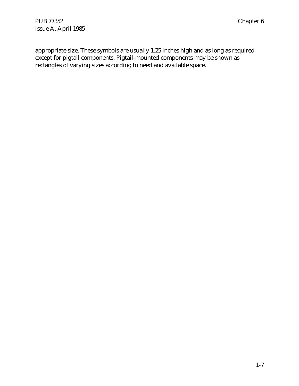appropriate size. These symbols are usually 1.25 inches high and as long as required except for pigtail components. Pigtail-mounted components may be shown as rectangles of varying sizes according to need and available space.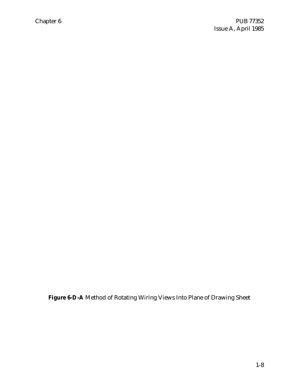**Figure 6-D-A** Method of Rotating Wiring Views Into Plane of Drawing Sheet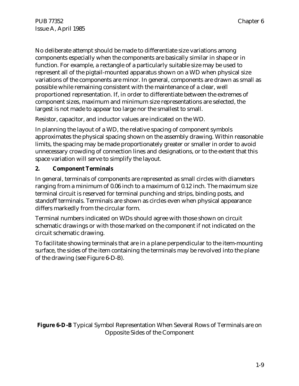No deliberate attempt should be made to differentiate size variations among components especially when the components are basically similar in shape or in function. For example, a rectangle of a particularly suitable size may be used to represent all of the pigtail-mounted apparatus shown on a WD when physical size variations of the components are minor. In general, components are drawn as small as possible while remaining consistent with the maintenance of a clear, well proportioned representation. If, in order to differentiate between the extremes of component sizes, maximum and minimum size representations are selected, the largest is not made to appear too large nor the smallest to small.

Resistor, capacitor, and inductor values are indicated on the WD.

In planning the layout of a WD, the relative spacing of component symbols approximates the physical spacing shown on the assembly drawing. Within reasonable limits, the spacing may be made proportionately greater or smaller in order to avoid unnecessary crowding of connection lines and designations, or to the extent that this space variation will serve to simplify the layout.

### **2. Component Terminals**

In general, terminals of components are represented as small circles with diameters ranging from a minimum of 0.06 inch to a maximum of 0.12 inch. The maximum size terminal circuit is reserved for terminal punching and strips, binding posts, and standoff terminals. Terminals are shown as circles even when physical appearance differs markedly from the circular form.

Terminal numbers indicated on WDs should agree with those shown on circuit schematic drawings or with those marked on the component if not indicated on the circuit schematic drawing.

To facilitate showing terminals that are in a plane perpendicular to the item-mounting surface, the sides of the item containing the terminals may be revolved into the plane of the drawing (see Figure 6-D-B).

**Figure 6-D-B** Typical Symbol Representation When Several Rows of Terminals are on Opposite Sides of the Component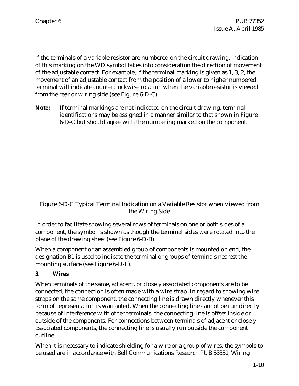If the terminals of a variable resistor are numbered on the circuit drawing, indication of this marking on the WD symbol takes into consideration the direction of movement of the adjustable contact. For example, if the terminal marking is given as 1, 3, 2, the movement of an adjustable contact from the position of a lower to higher numbered terminal will indicate counterclockwise rotation when the variable resistor is viewed from the rear or wiring side (see Figure 6-D-C).

**Note:** If terminal markings are not indicated on the circuit drawing, terminal identifications may be assigned in a manner similar to that shown in Figure 6-D-C but should agree with the numbering marked on the component.

### Figure 6-D-C Typical Terminal Indication on a Variable Resistor when Viewed from the Wiring Side

In order to facilitate showing several rows of terminals on one or both sides of a component, the symbol is shown as though the terminal sides were rotated into the plane of the drawing sheet (see Figure 6-D-B).

When a component or an assembled group of components is mounted on end, the designation B1 is used to indicate the terminal or groups of terminals nearest the mounting surface (see Figure 6-D-E).

#### **3. Wires**

When terminals of the same, adjacent, or closely associated components are to be connected, the connection is often made with a wire strap. In regard to showing wire straps on the same component, the connecting line is drawn directly whenever this form of representation is warranted. When the connecting line cannot be run directly because of interference with other terminals, the connecting line is offset inside or outside of the components. For connections between terminals of adjacent or closely associated components, the connecting line is usually run outside the component outline.

When it is necessary to indicate shielding for a wire or a group of wires, the symbols to be used are in accordance with Bell Communications Research PUB 53351, Wiring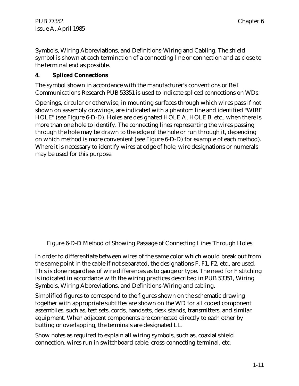Symbols, Wiring Abbreviations, and Definitions-Wiring and Cabling. The shield symbol is shown at each termination of a connecting line or connection and as close to the terminal end as possible.

### **4. Spliced Connections**

The symbol shown in accordance with the manufacturer's conventions or Bell Communications Research PUB 53351 is used to indicate spliced connections on WDs.

Openings, circular or otherwise, in mounting surfaces through which wires pass if not shown on assembly drawings, are indicated with a phantom line and identified "WIRE HOLE" (see Figure 6-D-D). Holes are designated HOLE A, HOLE B, etc., when there is more than one hole to identify. The connecting lines representing the wires passing through the hole may be drawn to the edge of the hole or run through it, depending on which method is more convenient (see Figure 6-D-D) for example of each method). Where it is necessary to identify wires at edge of hole, wire designations or numerals may be used for this purpose.

Figure 6-D-D Method of Showing Passage of Connecting Lines Through Holes

In order to differentiate between wires of the same color which would break out from the same point in the cable if not separated, the designations F, F1, F2, etc., are used. This is done regardless of wire differences as to gauge or type. The need for F stitching is indicated in accordance with the wiring practices described in PUB 53351, Wiring Symbols, Wiring Abbreviations, and Definitions-Wiring and cabling.

Simplified figures to correspond to the figures shown on the schematic drawing together with appropriate subtitles are shown on the WD for all coded component assemblies, such as, test sets, cords, handsets, desk stands, transmitters, and similar equipment. When adjacent components are connected directly to each other by butting or overlapping, the terminals are designated LL.

Show notes as required to explain all wiring symbols, such as, coaxial shield connection, wires run in switchboard cable, cross-connecting terminal, etc.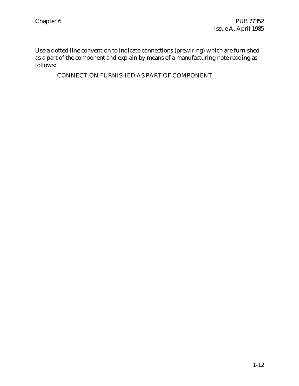Use a dotted line convention to indicate connections (prewiring) which are furnished as a part of the component and explain by means of a manufacturing note reading as follows:

CONNECTION FURNISHED AS PART OF COMPONENT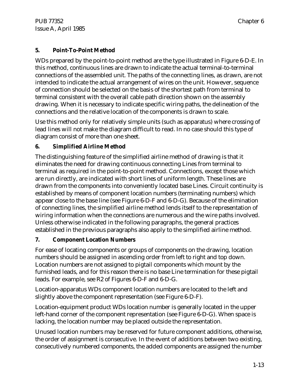# **5. Point-To-Point Method**

WDs prepared by the point-to-point method are the type illustrated in Figure 6-D-E. In this method, continuous lines are drawn to indicate the actual terminal-to-terminal connections of the assembled unit. The paths of the connecting lines, as drawn, are not intended to indicate the actual arrangement of wires on the unit. However, sequence of connection should be selected on the basis of the shortest path from terminal to terminal consistent with the overall cable path direction shown on the assembly drawing. When it is necessary to indicate specific wiring paths, the delineation of the connections and the relative location of the components is drawn to scale.

Use this method only for relatively simple units (such as apparatus) where crossing of lead lines will not make the diagram difficult to read. In no case should this type of diagram consist of more than one sheet.

# **6. Simplified Airline Method**

The distinguishing feature of the simplified airline method of drawing is that it eliminates the need for drawing continuous connecting Lines from terminal to terminal as required in the point-to-point method. Connections, except those which are run directly, are indicated with short lines of uniform length. These lines are drawn from the components into conveniently located base Lines. Circuit continuity is established by means of component location numbers (terminating numbers) which appear close to the base line (see Figure 6-D-F and 6-D-G). Because of the elimination of connecting lines, the simplified airline method lends itself to the representation of wiring information when the connections are numerous and the wire paths involved. Unless otherwise indicated in the following paragraphs, the general practices established in the previous paragraphs also apply to the simplified airline method.

#### **7. Component Location Numbers**

For ease of locating components or groups of components on the drawing, location numbers should be assigned in ascending order from left to right and top down. Location numbers are not assigned to pigtail components which mount by the furnished leads, and for this reason there is no base Line termination for these pigtail leads. For example, see R2 of Figures 6-D-F and 6-D-G.

Location-apparatus WDs component location numbers are located to the left and slightly above the component representation (see Figure 6-D-F).

Location-equipment product WDs location number is generally located in the upper left-hand corner of the component representation (see Figure 6-D-G). When space is lacking, the location number may be placed outside the representation.

Unused location numbers may be reserved for future component additions, otherwise, the order of assignment is consecutive. In the event of additions between two existing, consecutively numbered components, the added components are assigned the number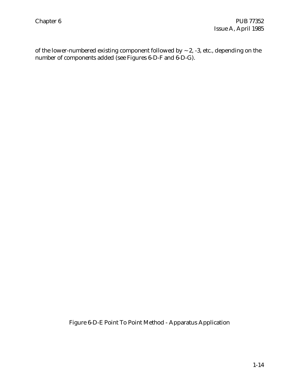of the lower-numbered existing component followed by ~ 2, -3, etc., depending on the number of components added (see Figures 6-D-F and 6-D-G).

Figure 6-D-E Point To Point Method - Apparatus Application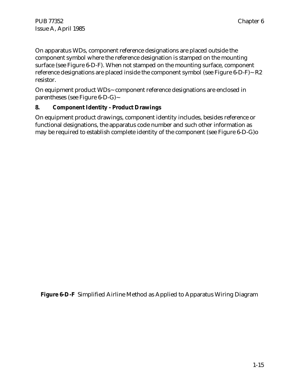On apparatus WDs, component reference designations are placed outside the component symbol where the reference designation is stamped on the mounting surface (see Figure 6-D-F). When not stamped on the mounting surface, component reference designations are placed inside the component symbol (see Figure 6-D-F) $\sim$  R2 resistor.

On equipment product WDs~ component reference designations are enclosed in parentheses (see Figure 6-D-G)~

### **8. Component Identity - Product Drawings**

On equipment product drawings, component identity includes, besides reference or functional designations, the apparatus code number and such other information as may be required to establish complete identity of the component (see Figure 6-D-G)o

**Figure 6-D-F** Simplified Airline Method as Applied to Apparatus Wiring Diagram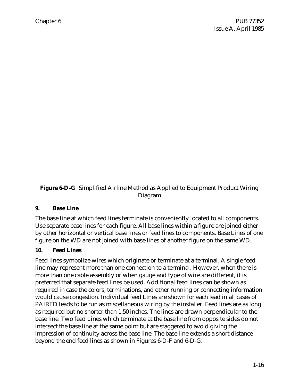## **Figure 6-D-G** Simplified Airline Method as Applied to Equipment Product Wiring Diagram

#### **9. Base Line**

The base line at which feed lines terminate is conveniently located to all components. Use separate base lines for each figure. All base lines within a figure are joined either by other horizontal or vertical base lines or feed lines to components. Base Lines of one figure on the WD are not joined with base lines of another figure on the same WD.

#### **10. Feed Lines**

Feed lines symbolize wires which originate or terminate at a terminal. A single feed line may represent more than one connection to a terminal. However, when there is more than one cable assembly or when gauge and type of wire are different, it is preferred that separate feed lines be used. Additional feed lines can be shown as required in case the colors, terminations, and other running or connecting information would cause congestion. Individual feed Lines are shown for each lead in all cases of PAIRED leads to be run as miscellaneous wiring by the installer. Feed lines are as long as required but no shorter than 1.50 inches. The lines are drawn perpendicular to the base line. Two feed Lines which terminate at the base line from opposite sides do not intersect the base line at the same point but are staggered to avoid giving the impression of continuity across the base line. The base line extends a short distance beyond the end feed lines as shown in Figures 6-D-F and 6-D-G.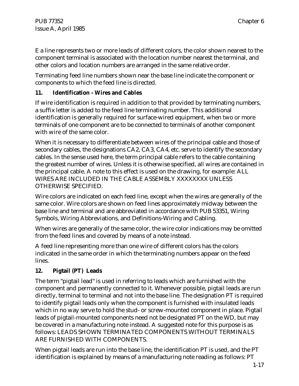E a line represents two or more leads of different colors, the color shown nearest to the component terminal is associated with the location number nearest the terminal, and other colors and location numbers are arranged in the same relative order.

Terminating feed line numbers shown near the base line indicate the component or components to which the feed line is directed.

# **11. Identification - Wires and Cables**

If wire identification is required in addition to that provided by terminating numbers, a suffix letter is added to the feed line terminating number. This additional identification is generally required for surface-wired equipment, when two or more terminals of one component are to be connected to terminals of another component with wire of the same color.

When it is necessary to differentiate between wires of the principal cable and those of secondary cables, the designations CA2, CA3, CA4, etc. serve to identify the secondary cables. In the sense used here, the term principal cable refers to the cable containing the greatest number of wires. Unless it is otherwise specified, all wires are contained in the principal cable. A note to this effect is used on the drawing, for example: ALL WIRES ARE INCLUDED IN THE CABLE ASSEMBLY XXXXXXXX UNLESS OTHERWISE SPECIFIED.

Wire colors are indicated on each feed line, except when the wires are generally of the same color. Wire colors are shown on feed lines approximately midway between the base line and terminal and are abbreviated in accordance with PUB 53351, Wiring Symbols, Wiring Abbreviations, and Definitions-Wiring and Cabling.

When wires are generally of the same color, the wire color indications may be omitted from the feed lines and covered by means of a note instead.

A feed line representing more than one wire of different colors has the colors indicated in the same order in which the terminating numbers appear on the feed lines.

# **12. Pigtail (PT) Leads**

The term "pigtail lead" is used in referring to leads which are furnished with the component and permanently connected to it. Whenever possible, pigtail leads are run directly, terminal to terminal and not into the base line. The designation PT is required to identify pigtail leads only when the component is furnished with insulated leads which in no way serve to hold the stud- or screw-mounted component in place. Pigtail leads of pigtail-mounted components need not be designated PT on the WD, but may be covered in a manufacturing note instead. A suggested note for this purpose is as follows: LEADS SHOWN TERMINATED COMPONENTS WITHOUT TERMINALS ARE FURNISHED WITH COMPONENTS.

When pigtail leads are run into the base line, the identification PT is used, and the PT identification is explained by means of a manufacturing note reading as follows: PT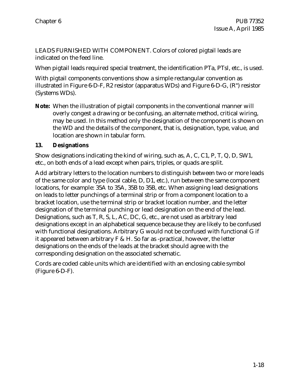LEADS FURNISHED WITH COMPONENT. Colors of colored pigtail leads are indicated on the feed line.

When pigtail leads required special treatment, the identification PTa, PTsl, etc., is used.

With pigtail components conventions show a simple rectangular convention as illustrated in Figure 6-D-F, R2 resistor (apparatus WDs) and Figure 6-D-G, (R") resistor (Systems WDs).

**Note:** When the illustration of pigtail components in the conventional manner will overly congest a drawing or be confusing, an alternate method, critical wiring, may be used. In this method only the designation of the component is shown on the WD and the details of the component, that is, designation, type, value, and location are shown in tabular form.

#### **13. Designations**

Show designations indicating the kind of wiring, such as, A, C, C1, P, T, Q, D, SW1, etc., on both ends of a lead except when pairs, triples, or quads are split.

Add arbitrary letters to the location numbers to distinguish between two or more leads of the same color and type (local cable, D, D1, etc.), run between the same component locations, for example: 35A to 35A, 35B to 35B, etc. When assigning lead designations on leads to letter punchings of a terminal strip or from a component location to a bracket location, use the terminal strip or bracket location number, and the letter designation of the terminal punching or lead designation on the end of the lead. Designations, such as T, R, S, L, AC, DC, G, etc., are not used as arbitrary lead designations except in an alphabetical sequence because they are likely to be confused with functional designations. Arbitrary G would not be confused with functional G if it appeared between arbitrary F & H. So far as -practical, however, the letter designations on the ends of the leads at the bracket should agree with the corresponding designation on the associated schematic.

Cords are coded cable units which are identified with an enclosing cable symbol (Figure 6-D-F).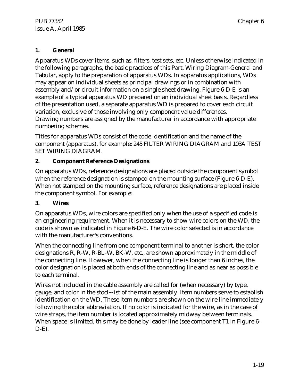# **1. General**

Apparatus WDs cover items, such as, filters, test sets, etc. Unless otherwise indicated in the following paragraphs, the basic practices of this Part, Wiring Diagram-General and Tabular, apply to the preparation of apparatus WDs. In apparatus applications, WDs may appear on individual sheets as principal drawings or in combination with assembly and/or circuit information on a single sheet drawing. Figure 6-D-E is an example of a typical apparatus WD prepared on an individual sheet basis. Regardless of the presentation used, a separate apparatus WD is prepared to cover each circuit variation, exclusive of those involving only component value differences. Drawing numbers are assigned by the manufacturer in accordance with appropriate numbering schemes.

Titles for apparatus WDs consist of the code identification and the name of the component (apparatus), for example: 245 FILTER WIRING DIAGRAM and 103A TEST SET WIRING DIAGRAM.

# **2. Component Reference Designations**

On apparatus WDs, reference designations are placed outside the component symbol when the reference designation is stamped on the mounting surface (Figure 6-D-E). When not stamped on the mounting surface, reference designations are placed inside the component symbol. For example:

# **3. Wires**

On apparatus WDs, wire colors are specified only when the use of a specified code is an engineering requirement. When it is necessary to show wire colors on the WD, the code is shown as indicated in Figure 6-D-E. The wire color selected is in accordance with the manufacturer's conventions.

When the connecting line from one component terminal to another is short, the color designations R, R-W, R-BL-W, BK-W, etc., are shown approximately in the middle of the connecting line. However, when the connecting line is longer than 6 inches, the color designation is placed at both ends of the connecting line and as near as possible to each terminal.

Wires not included in the cable assembly are called for (when necessary) by type, gauge, and color in the stocl~list of the main assembly. Item numbers serve to establish identification on the WD. These item numbers are shown on the wire line immediately following the color abbreviation. If no color is indicated for the wire, as in the case of wire straps, the item number is located approximately midway between terminals. When space is limited, this may be done by leader line (see component T1 in Figure 6- D-E).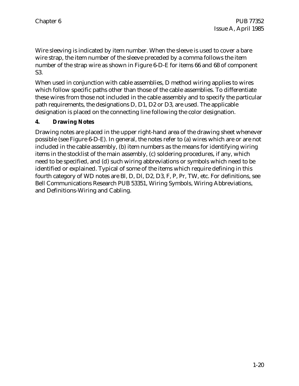Wire sleeving is indicated by item number. When the sleeve is used to cover a bare wire strap, the item number of the sleeve preceded by a comma follows the item number of the strap wire as shown in Figure 6-D-E for items 66 and 68 of component S3.

When used in conjunction with cable assemblies, D method wiring applies to wires which follow specific paths other than those of the cable assemblies. To differentiate these wires from those not included in the cable assembly and to specify the particular path requirements, the designations D, D1, D2 or D3, are used. The applicable designation is placed on the connecting line following the color designation.

#### **4. Drawing Notes**

Drawing notes are placed in the upper right-hand area of the drawing sheet whenever possible (see Figure 6-D-E). In general, the notes refer to (a) wires which are or are not included in the cable assembly, (b) item numbers as the means for identifying wiring items in the stocklist of the main assembly, (c) soldering procedures, if any, which need to be specified, and (d) such wiring abbreviations or symbols which need to be identified or explained. Typical of some of the items which require defining in this fourth category of WD notes are Bl, D, Dl, D2, D3, F, P, Pr, TW, etc. For definitions, see Bell Communications Research PUB 53351, Wiring Symbols, Wiring Abbreviations, and Definitions-Wiring and Cabling.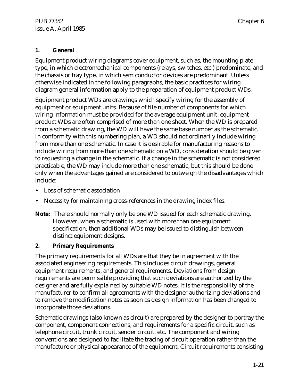### **1. General**

Equipment product wiring diagrams cover equipment, such as, the mounting plate type, in which electromechanical components (relays, switches, etc.) predominate, and the chassis or tray type, in which semiconductor devices are predominant. Unless otherwise indicated in the following paragraphs, the basic practices for wiring diagram general information apply to the preparation of equipment product WDs.

Equipment product WDs are drawings which specify wiring for the assembly of equipment or equipment units. Because of tile number of components for which wiring information must be provided for the average equipment unit, equipment product WDs are often comprised of more than one sheet. When the WD is prepared from a schematic drawing, the WD will have the same base number as the schematic. In conformity with this numbering plan, a WD should not ordinarily include wiring from more than one schematic. In case it is desirable for manufacturing reasons to include wiring from more than one schematic on a WD, consideration should be given to requesting a change in the schematic. If a change in the schematic is not considered practicable, the WD may include more than one schematic, but this should be done only when the advantages gained are considered to outweigh the disadvantages which include:

- Loss of schematic association
- Necessity for maintaining cross-references in the drawing index files.
- **Note:** There should normally only be one WD issued for each schematic drawing. However, when a schematic is used with more than one equipment specification, then additional WDs may be issued to distinguish between distinct equipment designs.

#### **2. Primary Requirements**

The primary requirements for all WDs are that they be in agreement with the associated engineering requirements. This includes circuit drawings, general equipment requirements, and general requirements. Deviations from design requirements are permissible providing that such deviations are authorized by the designer and are fully explained by suitable WD notes. It is the responsibility of the manufacturer to confirm all agreements with the designer authorizing deviations and to remove the modification notes as soon as design information has been changed to incorporate those deviations.

Schematic drawings (also known as circuit) are prepared by the designer to portray the component, component connections, and requirements for a specific circuit, such as telephone circuit, trunk circuit, sender circuit, etc. The component and wiring conventions are designed to facilitate the tracing of circuit operation rather than the manufacture or physical appearance of the equipment. Circuit requirements consisting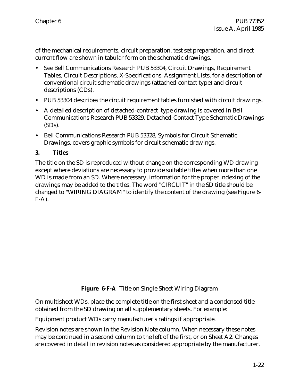of the mechanical requirements, circuit preparation, test set preparation, and direct current flow are shown in tabular form on the schematic drawings.

- See Bell Communications Research PUB 53304, Circuit Drawings, Requirement Tables, Circuit Descriptions, X-Specifications, Assignment Lists, for a description of conventional circuit schematic drawings (attached-contact type) and circuit descriptions (CDs).
- PUB 53304 describes the circuit requirement tables furnished with circuit drawings.
- A detailed description of detached-contract type drawing is covered in Bell Communications Research PUB 53329, Detached-Contact Type Schematic Drawings (SDs).
- Bell Communications Research PUB 53328, Symbols for Circuit Schematic Drawings, covers graphic symbols for circuit schematic drawings.

# **3. Titles**

The title on the SD is reproduced without change on the corresponding WD drawing except where deviations are necessary to provide suitable titles when more than one WD is made from an SD. Where necessary, information for the proper indexing of the drawings may be added to the titles. The word "CIRCUIT" in the SD title should be changed to "WIRING DIAGRAM" to identify the content of the drawing (see Figure 6-  $F-A$ ).

#### **Figure 6-F-A** Title on Single Sheet Wiring Diagram

On multisheet WDs, place the complete title on the first sheet and a condensed title obtained from the SD drawing on all supplementary sheets. For example:

Equipment product WDs carry manufacturer's ratings if appropriate.

Revision notes are shown in the Revision Note column. When necessary these notes may be continued in a second column to the left of the first, or on Sheet A2. Changes are covered in detail in revision notes as considered appropriate by the manufacturer.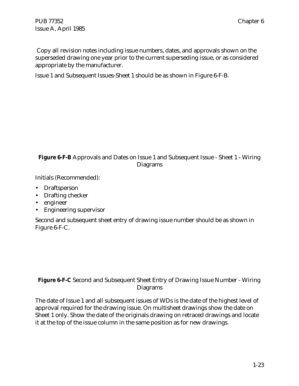Copy all revision notes including issue numbers, dates, and approvals shown on the superseded drawing one year prior to the current superseding issue, or as considered appropriate by the manufacturer.

Issue 1 and Subsequent Issues-Sheet 1 should be as shown in Figure 6-F-B.

# **Figure 6-F-B** Approvals and Dates on Issue 1 and Subsequent Issue - Sheet 1 - Wiring Diagrams

Initials (Recommended):

- Draftsperson
- Drafting checker
- engineer
- Engineering supervisor

Second and subsequent sheet entry of drawing issue number should be as shown in Figure 6-F-C.

### **Figure 6-F-C** Second and Subsequent Sheet Entry of Drawing Issue Number - Wiring Diagrams

The date of Issue 1 and all subsequent issues of WDs is the date of the highest level of approval required for the drawing issue. On multisheet drawings show the date on Sheet 1 only. Show the date of the originals drawing on retraced drawings and locate it at the top of the issue column in the same position as for new drawings.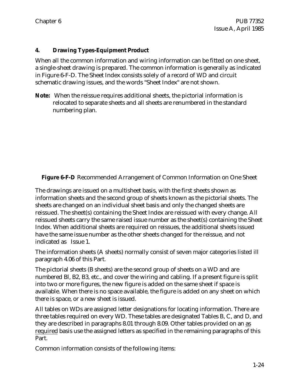### **4. Drawing Types-Equipment Product**

When all the common information and wiring information can be fitted on one sheet, a single-sheet drawing is prepared. The common information is generally as indicated in Figure 6-F-D. The Sheet Index consists solely of a record of WD and circuit schematic drawing issues, and the words "Sheet Index" are not shown.

**Note:** When the reissue requires additional sheets, the pictorial information is relocated to separate sheets and all sheets are renumbered in the standard numbering plan.

#### **Figure 6-F-D** Recommended Arrangement of Common Information on One Sheet

The drawings are issued on a multisheet basis, with the first sheets shown as information sheets and the second group of sheets known as the pictorial sheets. The sheets are changed on an individual sheet basis and only the changed sheets are reissued. The sheet(s) containing the Sheet Index are reissued with every change. All reissued sheets carry the same raised issue number as the sheet(s) containing the Sheet Index. When additional sheets are required on reissues, the additional sheets issued have the same issue number as the other sheets changed for the reissue, and not indicated as Issue 1.

The information sheets (A sheets) normally consist of seven major categories listed ill paragraph 4.06 of this Part.

The pictorial sheets (B sheets) are the second group of sheets on a WD and are numbered Bl, B2, B3, etc., and cover the wiring and cabling. If a present figure is split into two or more figures, the new figure is added on the same sheet if space is available. When there is no space available, the figure is added on any sheet on which there is space, or a new sheet is issued.

All tables on WDs are assigned letter designations for locating information. There are three tables required on every WD. These tables are designated Tables B, C, and D, and they are described in paragraphs 8.01 through 8.09. Other tables provided on an as required basis use the assigned letters as specified in the remaining paragraphs of this Part.

Common information consists of the following items: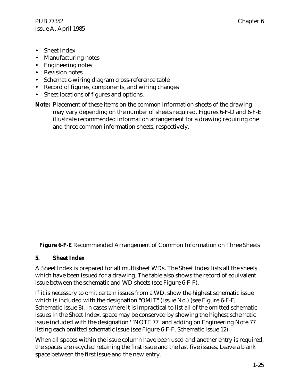- Sheet Index
- Manufacturing notes
- Engineering notes
- Revision notes
- Schematic-wiring diagram cross-reference table
- Record of figures, components, and wiring changes
- Sheet locations of figures and options.
- **Note:** Placement of these items on the common information sheets of the drawing may vary depending on the number of sheets required. Figures 6-F-D and 6-F-E illustrate recommended information arrangement for a drawing requiring one and three common information sheets, respectively.

**Figure 6-F-E** Recommended Arrangement of Common Information on Three Sheets

#### **5. Sheet Index**

A Sheet Index is prepared for all multisheet WDs. The Sheet Index lists all the sheets which have been issued for a drawing. The table also shows the record of equivalent issue between the schematic and WD sheets (see Figure 6-F-F).

If it is necessary to omit certain issues from a WD, show the highest schematic issue which is included with the designation "OMIT" (Issue No.) (see Figure 6-F-F, Schematic Issue 8). In cases where it is impractical to list all of the omitted schematic issues in the Sheet Index, space may be conserved by showing the highest schematic issue included with the designation '"NOTE 77" and adding on Engineering Note 77 listing each omitted schematic issue (see Figure 6-F-F, Schematic Issue 12).

When all spaces within the issue column have been used and another entry is required, the spaces are recycled retaining the first issue and the last five issues. Leave a blank space between the first issue and the new entry.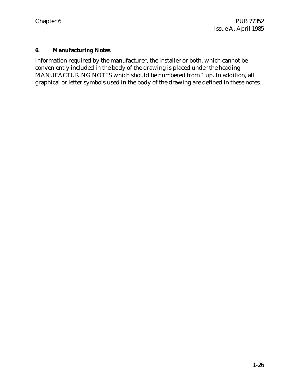# **6. Manufacturing Notes**

Information required by the manufacturer, the installer or both, which cannot be conveniently included in the body of the drawing is placed under the heading MANUFACTURING NOTES which should be numbered from 1 up. In addition, all graphical or letter symbols used in the body of the drawing are defined in these notes.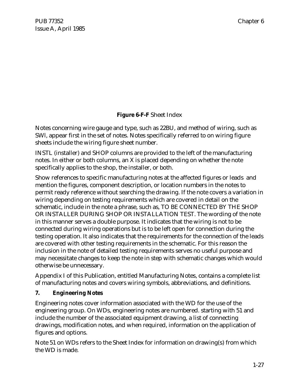# **Figure 6-F-F** Sheet Index

Notes concerning wire gauge and type, such as 22BU, and method of wiring, such as SWl, appear first in the set of notes. Notes specifically referred to on wiring figure sheets include the wiring figure sheet number.

INSTL (installer) and SHOP columns are provided to the left of the manufacturing notes. In either or both columns, an X is placed depending on whether the note specifically applies to the shop, the installer, or both.

Show references to specific manufacturing notes at the affected figures or leads and mention the figures, component description, or location numbers in the notes to permit ready reference without searching the drawing. If the note covers a variation in wiring depending on testing requirements which are covered in detail on the schematic, include in the note a phrase, such as, TO BE CONNECTED BY THE SHOP OR INSTALLER DURING SHOP OR INSTALLATION TEST. The wording of the note in this manner serves a double purpose. It indicates that the wiring is not to be connected during wiring operations but is to be left open for connection during the testing operation. It also indicates that the requirements for the connection of the leads are covered with other testing requirements in the schematic. For this reason the inclusion in the note of detailed testing requirements serves no useful purpose and may necessitate changes to keep the note in step with schematic changes which would otherwise be unnecessary.

Appendix I of this Publication, entitled Manufacturing Notes, contains a complete list of manufacturing notes and covers wiring symbols, abbreviations, and definitions.

# **7. Engineering Notes**

Engineering notes cover information associated with the WD for the use of the engineering group. On WDs, engineering notes are numbered. starting with 51 and include the number of the associated equipment drawing, a list of connecting drawings, modification notes, and when required, information on the application of figures and options.

Note 51 on WDs refers to the Sheet Index for information on drawing(s) from which the WD is made.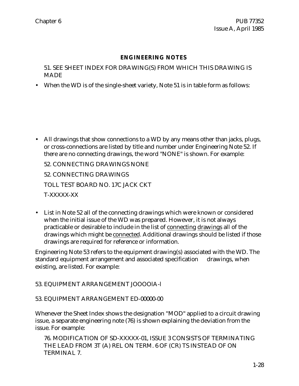### **ENGINEERING NOTES**

51. SEE SHEET INDEX FOR DRAWING(S) FROM WHICH THIS DRAWING IS **MADE** 

• When the WD is of the single-sheet variety, Note 51 is in table form as follows:

• All drawings that show connections to a WD by any means other than jacks, plugs, or cross-connections are listed by title and number under Engineering Note 52. If there are no connecting drawings, the word "NONE" is shown. For example: 52. CONNECTING DRAWINGS NONE

52. CONNECTING DRAWINGS TOLL TEST BOARD NO. 17C JACK CKT T-XXXXX-XX

• List in Note 52 all of the connecting drawings which were known or considered when the initial issue of the WD was prepared. However, it is not always practicable or desirable to include in the list of connecting drawings all of the drawings which might be connected. Additional drawings should be listed if those drawings are required for reference or information.

Engineering Note 53 refers to the equipment drawing(s) associated with the WD. The standard equipment arrangement and associated specification drawings, when existing, are listed. For example:

#### 53. EQUIPMENT ARRANGEMENT JOOOOlA-l

#### 53. EQUIPMENT ARRANGEMENT ED-00000-00

Whenever the Sheet Index shows the designation ''MOD" applied to a circuit drawing issue, a separate engineering note (76) is shown explaining the deviation from the issue. For example:

76. MODIFICATION OF SD-XXXXX-01, ISSUE 3 CONSISTS OF TERMINATING THE LEAD FROM 3T (A) REL ON TERM. 6 OF (CR) TS INSTEAD OF ON TERMINAL 7.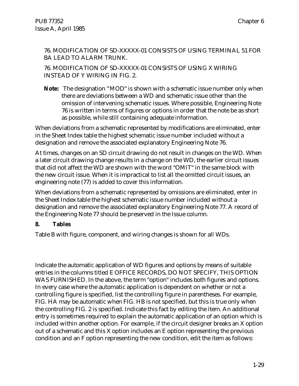### 76. MODIFICATION OF SD-XXXXX-01 CONSISTS OF USING TERMINAL 51 FOR BA LEAD TO ALARM TRUNK.

76. MODIFICATION OF SD-XXXXX-01 CONSISTS OF USING X WIRING INSTEAD OF Y WIRING IN FIG. 2.

**Note:** The designation "MOD" is shown with a schematic issue number only when there are deviations between a WD and schematic issue other than the omission of intervening schematic issues. Where possible, Engineering Note 76 is written in terms of figures or options in order that the note be as short as possible, while still containing adequate information.

When deviations from a schematic represented by modifications are eliminated, enter in the Sheet Index table the highest schematic issue number included without a designation and remove the associated explanatory Engineering Note 76.

At times, changes on an SD circuit drawing do not result in changes on the WD. When a later circuit drawing change results in a change on the WD, the earlier circuit issues that did not affect the WD are shown with the word "OMIT" in the same block with the new circuit issue. When it is impractical to list all the omitted circuit issues, an engineering note (77) is added to cover this information.

When deviations from a schematic represented by omissions are eliminated, enter in the Sheet Index table the highest schematic issue number included without a designation and remove the associated explanatory Engineering Note 77. A record of the Engineering Note 77 should be preserved in the Issue column.

# **8. Tables**

Table B with figure, component, and wiring changes is shown for all WDs.

Indicate the automatic application of WD figures and options by means of suitable entries in the columns titled E OFFICE RECORDS, DO NOT SPECIFY, THIS OPTION WAS FURNISHED. In the above, the term "option" includes both figures and options. In every case where the automatic application is dependent on whether or not a controlling figure is specified, list the controlling figure in parentheses. For example, FIG. HA may be automatic when FIG. HB is not specified, but this is true only when the controlling FIG. 2 is specified. Indicate this fact by editing the item. An additional entry is sometimes required to explain the automatic application of an option which is included within another option. For example, if the circuit designer breaks an X option out of a schematic and this X option includes an E option representing the previous condition and an F option representing the new condition, edit the item as follows: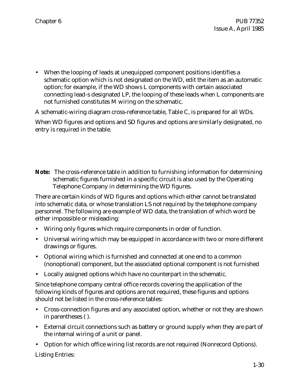• When the looping of leads at unequipped component positions identifies a schematic option which is not designated on the WD, edit the item as an automatic option; for example, if the WD shows L components with certain associated connecting lead-s designated LP, the looping of these leads when L components are not furnished constitutes M wiring on the schematic.

A schematic-wiring diagram cross-reference table, Table C, is prepared for all WDs.

When WD figures and options and SD figures and options are similarly designated, no entry is required in the table.

**Note:** The cross-reference table in addition to furnishing information for determining schematic figures furnished in a specific circuit is also used by the Operating Telephone Company in determining the WD figures.

There are certain kinds of WD figures and options which either cannot be translated into schematic data, or whose translation LS not required by the telephone company personnel. The following are example of WD data, the translation of which word be either impossible or misleading:

- Wiring only figures which require components in order of function.
- Universal wiring which may be equipped in accordance with two or more different drawings or figures.
- Optional wiring which is furnished and connected at one end to a common (nonoptional) component, but the associated optional component is not furnished
- Locally assigned options which have no counterpart in the schematic.

Since telephone company central office records covering the application of the following kinds of figures and options are not required, these figures and options should not be listed in the cross-reference tables:

- Cross-connection figures and any associated option, whether or not they are shown in parentheses ( ).
- External circuit connections such as battery or ground supply when they are part of the internal wiring of a unit or panel.
- Option for which office wiring list records are not required (Nonrecord Options).

Listing Entries: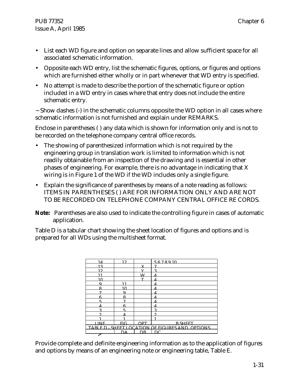- List each WD figure and option on separate lines and allow sufficient space for all associated schematic information.
- Opposite each WD entry, list the schematic figures, options, or figures and options which are furnished either wholly or in part whenever that WD entry is specified.
- No attempt is made to describe the portion of the schematic figure or option included in a WD entry in cases where that entry does not include the entire schematic entry.

~ Show dashes (-) in the schematic columns opposite the WD option in all cases where schematic information is not furnished and explain under REMARKS.

Enclose in parentheses ( ) any data which is shown for information only and is not to be recorded on the telephone company central office records.

- The showing of parenthesized information which is not required by the engineering group in translation work is limited to information which is not readily obtainable from an inspection of the drawing and is essential in other phases of engineering. For example, there is no advantage in indicating that X wiring is in Figure 1 of the WD if the WD includes only a single figure.
- Explain the significance of parentheses by means of a note reading as follows: ITEMS IN PARENTHESES ( ) ARE FOR INFORMATION ONLY AND ARE NOT TO BE RECORDED ON TELEPHONE COMPANY CENTRAL OFFICE RE CORDS.
- **Note:** Parentheses are also used to indicate the controlling figure in cases of automatic application.

Table D is a tabular chart showing the sheet location of figures and options and is prepared for all WDs using the multisheet format.



Provide complete and definite engineering information as to the application of figures and options by means of an engineering note or engineering table, Table E.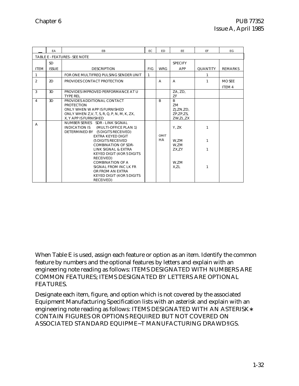|                               | EA           | EB.                                                                                                                                                                                                                                                                           | EC. | ED.                      | EE.                                           | EF                                | EG                      |  |  |  |
|-------------------------------|--------------|-------------------------------------------------------------------------------------------------------------------------------------------------------------------------------------------------------------------------------------------------------------------------------|-----|--------------------------|-----------------------------------------------|-----------------------------------|-------------------------|--|--|--|
| TABLE E - FEATURES - SEE NOTE |              |                                                                                                                                                                                                                                                                               |     |                          |                                               |                                   |                         |  |  |  |
|                               | <b>SD</b>    |                                                                                                                                                                                                                                                                               |     |                          | <b>SPECIFY</b>                                |                                   |                         |  |  |  |
| <b>ITEM</b>                   | <b>ISSUE</b> | <b>DESCRIPTION</b>                                                                                                                                                                                                                                                            | FIG | <b>WRG</b>               | APP                                           | <b>QUANTITY</b>                   | <b>REMARKS</b>          |  |  |  |
| $\mathbf{1}$                  |              | FOR ONE MULTIFREQ PULSING SENDER UNIT                                                                                                                                                                                                                                         |     |                          |                                               | 1                                 |                         |  |  |  |
| $\overline{c}$                | 2D           | PROVIDES CONTACT PROTECTION                                                                                                                                                                                                                                                   |     | $\mathsf{A}$             | $\mathsf{A}$                                  | $\mathbf{1}$                      | <b>MO SEE</b><br>ITEM 4 |  |  |  |
| 3                             | 3D           | PROVIDES IMPROVED PERFORMANCE AT U<br>TYPE REL                                                                                                                                                                                                                                |     |                          | ZA. ZD.<br>ZF                                 |                                   |                         |  |  |  |
| $\overline{4}$                | 3D           | PROVIDES ADDITIONAL CONTACT<br><b>PROTECTION</b><br>ONLY WHEN W APP IS FURNISHED<br>ONLY WHEN Z, V, T, S, R, Q, P, N, M, K, ZX,<br>X. Y APP IS FURNISHED                                                                                                                      |     | <sub>R</sub>             | B<br>ZM<br>ZJ,ZN,ZD,<br>ZP.ZP.ZS.<br>ZW.ZL.ZX |                                   |                         |  |  |  |
| $\mathsf{A}$                  |              | NUMBER SERIES SDR - LINK SIGNAL<br>INDICATION IS (MULTI-OFFICE PLAN 1)<br>DETERMINED BY (5 DIGITS RECEIVED)<br><b>EXTRA KEYED DIGIT</b><br><b>(5 DIGITS RECEIVED)</b><br><b>COMBINATION OF SDR-</b><br>LINK SIGNAL & EXTRA<br>KEYED DIGIT (4 OR 5 DIGITS<br><b>RECEIVED</b> ) |     | <b>OMIT</b><br><b>HA</b> | Y. ZK<br>W.ZM<br>W.ZM<br>ZX.ZY                | $\mathbf{1}$<br>1<br>$\mathbf{1}$ |                         |  |  |  |
|                               |              | <b>COMBINATION OF A</b><br>SIGNAL FROM INC LK FR<br>OR FROM AN EXTRA<br>KEYED DIGIT (4 OR 5 DIGITS<br><b>RECEIVED)</b>                                                                                                                                                        |     |                          | W.ZM<br>X.ZL                                  | 1                                 |                         |  |  |  |

When Table E is used, assign each feature or option as an item. Identify the common feature by numbers and the optional features by letters and explain with an engineering note reading as follows: ITEMS DESIGNATED WITH NUMBERS ARE COMMON FEATURES; ITEMS DESIGNATED BY LETTERS ARE OPTIONAL FEATURES.

Designate each item, figure, and option which is not covered by the associated Equipment Manufacturing Specification lists with an asterisk and explain with an engineering note reading as follows: ITEMS DESIGNATED WITH AN ASTERISK∗ CONTAIN FIGURES OR OPTIONS REQUIRED BUT NOT COVERED ON ASSOCIATED STANDARD EQUIPME~T MANUFACTURING DRAWD!IGS.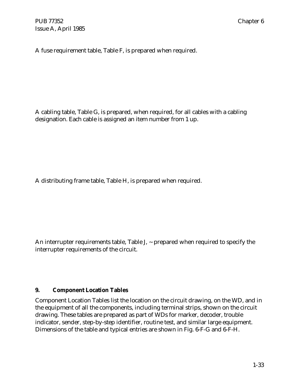A fuse requirement table, Table F, is prepared when required.

A cabling table, Table G, is prepared, when required, for all cables with a cabling designation. Each cable is assigned an item number from 1 up.

A distributing frame table, Table H, is prepared when required.

An interrupter requirements table, Table J,  $\sim$  prepared when required to specify the interrupter requirements of the circuit.

### **9. Component Location Tables**

Component Location Tables list the location on the circuit drawing, on the WD, and in the equipment of all the components, including terminal strips, shown on the circuit drawing. These tables are prepared as part of WDs for marker, decoder, trouble indicator, sender, step-by-step identifier, routine test, and similar large equipment. Dimensions of the table and typical entries are shown in Fig. 6-F-G and 6-F-H.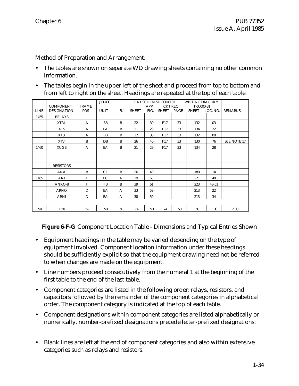Method of Preparation and Arrangement:

- The tables are shown on separate WD drawing sheets containing no other common information.
- The tables begin in the upper left of the sheet and proceed from top to bottom and from left to right on the sheet. Headings are repeated at the top of each table.

|             |                    |              | J 00000     |     | <b>WRITING DIAGRAM</b><br>CKT SCHEM SD-00000-01 |      |              |            |              |           |                    |
|-------------|--------------------|--------------|-------------|-----|-------------------------------------------------|------|--------------|------------|--------------|-----------|--------------------|
|             | <b>COMPONENT</b>   | <b>FRAME</b> |             |     | APP<br>CKT REQ                                  |      |              | T-00000-31 |              |           |                    |
| <b>LINE</b> | <b>DESIGNATION</b> | <b>POS</b>   | <b>UNIT</b> | SK  | <b>SHEET</b>                                    | FIG. | <b>SHEET</b> | PAGE       | <b>SHEET</b> | LOC. NO.  | <b>REMARKS</b>     |
| 1455        | RELAYS             |              |             |     |                                                 |      |              |            |              |           |                    |
|             | <b>XTRL</b>        | A            | BB          | B   | 22                                              | 30   | F17          | 33         | 132          | 03        |                    |
|             | <b>XTS</b>         | A            | BA          | B   | 21                                              | 29   | F17          | 33         | 134          | 22        |                    |
|             | <b>XTSI</b>        | A            | BB          | B   | 22                                              | 30   | F17          | 33         | 132          | 08        |                    |
|             | <b>XTV</b>         | B            | DB          | B   | 26                                              | 40   | F17          | 33         | 130          | 76        | <b>SEE NOTE 17</b> |
| 1460        | <b>XUGB</b>        | A            | BA          | B   | 21                                              | 29   | F17          | 33         | 134          | 28        |                    |
|             |                    |              |             |     |                                                 |      |              |            |              |           |                    |
|             |                    |              |             |     |                                                 |      |              |            |              |           |                    |
|             | <b>RESISTORS</b>   |              |             |     |                                                 |      |              |            |              |           |                    |
|             | ANA                | B            | C1          | B   | 26                                              | 40   |              |            | 180          | 14        |                    |
| 1465        | ANI                | F            | FC          | A   | 39                                              | 63   |              |            | 221          | 48        |                    |
|             | ANKO-8             | F            | FB          | B   | 39                                              | 61   |              |            | 223          | $43 - 51$ |                    |
|             | <b>ARNO</b>        | D            | EA          | A   | 33                                              | 59   |              |            | 213          | 22        |                    |
|             | <b>ARNI</b>        | D            | EA          | A   | 38                                              | 59   |              |            | 213          | 34        |                    |
|             |                    |              |             |     |                                                 |      |              |            |              |           |                    |
| .50         | 1.50               | .62          | .50         | .50 | .74                                             | .50  | .74          | .50        | .50          | 1.00      | 2.00               |

**Figure 6-F-G** Component Location Table - Dimensions and Typical Entries Shown

- Equipment headings in the table may be varied depending on the type of equipment involved. Component location information under these headings should be sufficiently explicit so that the equipment drawing need not be referred to when changes are made on the equipment.
- Line numbers proceed consecutively from the numeral 1 at the beginning of the first table to the end of the last table.
- Component categories are listed in the following order: relays, resistors, and capacitors followed by the remainder of the component categories in alphabetical order. The component category is indicated at the top of each table.
- Component designations within component categories are listed alphabetically or numerically. number-prefixed designations precede letter-prefixed designations.
- Blank lines are left at the end of component categories and also within extensive categories such as relays and resistors.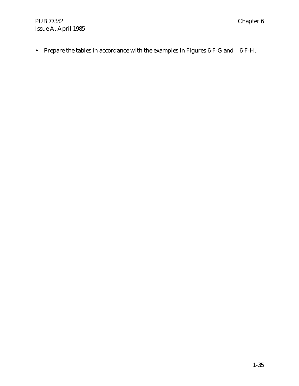PUB 77352 Chapter 6 Issue A, April 1985

• Prepare the tables in accordance with the examples in Figures 6-F-G and 6-F-H.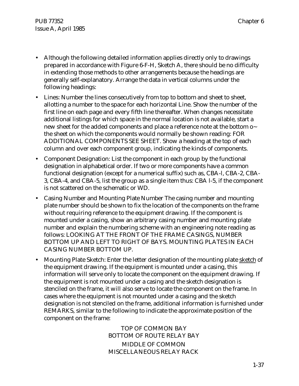- Although the following detailed information applies directly only to drawings prepared in accordance with Figure 6-F-H, Sketch A, there should be no difficulty in extending those methods to other arrangements because the headings are generally self-explanatory. Arrange the data in vertical columns under the following headings:
- Lines: Number the lines consecutively from top to bottom and sheet to sheet, allotting a number to the space for each horizontal Line. Show the number of the first line on each page and every fifth line thereafter. When changes necessitate additional listings for which space in the normal location is not available, start a new sheet for the added components and place a reference note at the bottom o~ the sheet on which the components would normally be shown reading: FOR ADDITIONAL COMPONENTS SEE SHEET. Show a heading at the top of each column and over each component group, indicating the kinds of components.
- Component Designation: List the component in each group by the functional designation in alphabetical order. If two or more components have a common functional designation (except for a numerical suffix) such as, CBA-l, CBA-2, CBA-3, CBA-4, and CBA-5, list the group as a single item thus: CBA l-5, if the component is not scattered on the schematic or WD.
- Casing Number and Mounting Plate Number The casing number and mounting plate number should be shown to fix the location of the components on the frame without requiring reference to the equipment drawing. If the component is mounted under a casing, show an arbitrary casing number and mounting plate number and explain the numbering scheme with an engineering note reading as follows: LOOKING AT THE FRONT OF THE FRAME CASINGS, NUMBER BOTTOM UP AND LEFT TO RIGHT OF BAYS. MOUNTING PLATES IN EACH CASING NUMBER BOTTOM UP.
- Mounting Plate Sketch: Enter the letter designation of the mounting plate sketch of the equipment drawing. If the equipment is mounted under a casing, this information will serve only to locate the component on the equipment drawing. If the equipment is not mounted under a casing and the sketch designation is stenciled on the frame, it will also serve to locate the component on the frame. In cases where the equipment is not mounted under a casing and the sketch designation is not stenciled on the frame, additional information is furnished under REMARKS, similar to the following to indicate the approximate position of the component on the frame:

TOP OF COMMON BAY BOTTOM OF ROUTE RELAY BAY MIDDLE OF COMMON MISCELLANEOUS RELAY RACK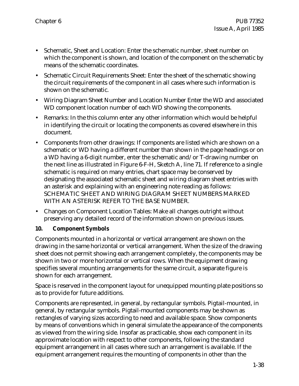- Schematic, Sheet and Location: Enter the schematic number, sheet number on which the component is shown, and location of the component on the schematic by means of the schematic coordinates.
- Schematic Circuit Requirements Sheet: Enter the sheet of the schematic showing the circuit requirements of the component in all cases where such information is shown on the schematic.
- Wiring Diagram Sheet Number and Location Number Enter the WD and associated WD component location number of each WD showing the components.
- Remarks: In the this column enter any other information which would be helpful in identifying the circuit or locating the components as covered elsewhere in this document.
- Components from other drawings: If components are listed which are shown on a schematic or WD having a different number than shown in the page headings or on a WD having a 6-digit number, enter the schematic and/or T-drawing number on the next line as illustrated in Figure 6-F-H, Sketch A, line 71. If reference to a single schematic is required on many entries, chart space may be conserved by designating the associated schematic sheet and wiring diagram sheet entries with an asterisk and explaining with an engineering note reading as follows: SCHEMATIC SHEET AND WIRING DIAGRAM SHEET NUMBERS MARKED WITH AN ASTERISK REFER TO THE BASE NUMBER.
- Changes on Component Location Tables: Make all changes outright without preserving any detailed record of the information shown on previous issues.

## **10. Component Symbols**

Components mounted in a horizontal or vertical arrangement are shown on the drawing in the same horizontal or vertical arrangement. When the size of the drawing sheet does not permit showing each arrangement completely, the components may be shown in two or more horizontal or vertical rows. When the equipment drawing specifies several mounting arrangements for the same circuit, a separate figure is shown for each arrangement.

Space is reserved in the component layout for unequipped mounting plate positions so as to provide for future additions.

Components are represented, in general, by rectangular symbols. Pigtail-mounted, in general, by rectangular symbols. Pigtail-mounted components may be shown as rectangles of varying sizes according to need and available space. Show components by means of conventions which in general simulate the appearance of the components as viewed from the wiring side. Insofar as practicable, show each component in its approximate location with respect to other components, following the standard equipment arrangement in all cases where such an arrangement is available. If the equipment arrangement requires the mounting of components in other than the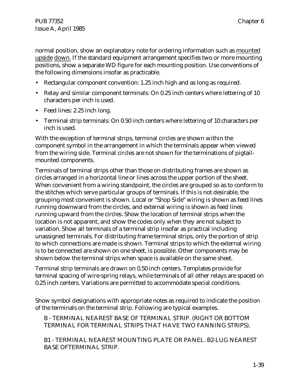normal position, show an explanatory note for ordering information such as mounted upside down. If the standard equipment arrangement specifies two or more mounting positions, show a separate WD figure for each mounting position. Use conventions of the following dimensions insofar as practicable.

- Rectangular component convention: 1.25 inch high and as long as required.
- Relay and similar component terminals: On 0.25 inch centers where lettering of 10 characters per inch is used.
- Feed lines: 2.25 inch long.
- Terminal strip terminals: On 0.50 inch centers where lettering of 10 characters per inch is used.

With the exception of terminal strips, terminal circles are shown within the component symbol in the arrangement in which the terminals appear when viewed from the wiring side. Terminal circles are not shown for the terminations of pigtailmounted components.

Terminals of terminal strips other than those on distributing frames are shown as circles arranged in a horizontal line or lines across the upper portion of the sheet. When convenient from a wiring standpoint, the circles are grouped so as to conform to the stitches which serve particular groups of terminals. If this is not desirable, the grouping most convenient is shown. Local or "Shop Side" wiring is shown as feed lines running downward from the circles, and external wiring is shown as feed lines running upward from the circles. Show the location of terminal strips when the location is not apparent, and show the codes only when they are not subject to variation. Show all terminals of a terminal strip insofar as practical including unassigned terminals. For distributing frame terminal strips, only the portion of strip to which connections are made is shown. Terminal strips to which the external wiring is to be connected are shown on one sheet, is possible. Other components may be shown below the terminal strips when space is available on the same sheet.

Terminal strip terminals are drawn on 0.50 inch centers. Templates provide for terminal spacing of wire-spring relays, while terminals of all other relays are spaced on 0.25 inch centers. Variations are permitted to accommodate special conditions.

Show symbol designations with appropriate notes as required to indicate the position of the terminals on the terminal strip. Following are typical examples.

B - TERMINAL NEAREST BASE OF TERMINAL STRIP. (RIGHT OR BOTTOM TERMINAL FOR TERMINAL STRIPS THAT HAVE TWO FANNING STRIPS).

B1 - TERMINAL NEAREST MOUNTING PLATE OR PANEL. B2-LUG NEAREST BASE OFTERMINAL STRIP.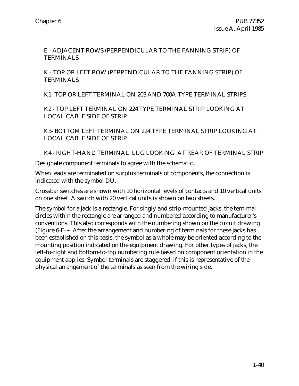E - ADJACENT ROWS (PERPENDICULAR TO THE FANNING STRIP) OF **TERMINALS** 

K - TOP OR LEFT ROW (PERPENDICULAR TO THE FANNING STRIP) OF **TERMINALS** 

K1- TOP OR LEFT TERMINAL ON 203 AND 700A TYPE TERMINAL STRIPS

K2 - TOP LEFT TERMINAL ON 224 TYPE TERMINAL STRIP LOOKING AT LOCAL CABLE SIDE OF STRIP

K3- BOTTOM LEFT TERMINAL ON 224 TYPE TERMINAL STRIP LOOKING AT LOCAL CABLE SIDE OF STRIP

### K4 - RIGHT-HAND TERMINAL LUG LOOKING AT REAR OF TERMINAL STRIP

Designate component terminals to agree with the schematic.

When leads are terminated on surplus terminals of components, the connection is indicated with the symbol DU.

Crossbar switches are shown with 10 horizontal levels of contacts and 10 vertical units on one sheet. A switch with 20 vertical units is shown on two sheets.

The symbol for a jack is a rectangle. For singly and strip-mounted jacks, the ternimal circles within the rectangle are arranged and numbered according to manufacturer's conventions. This also corresponds with the numbering shown on the circuit drawing (Figure 6-F-~. After the arrangement and numbering of terminals for these jacks has been established on this basis, the symbol as a whole may be oriented according to the mounting position indicated on the equipment drawing. For other types of jacks, the left-to-right and bottom-to-top numbering rule based on component orientation in the equipment applies. Symbol terminals are staggered, if this is representative of the physical arrangement of the terminals as seen from the wiring side.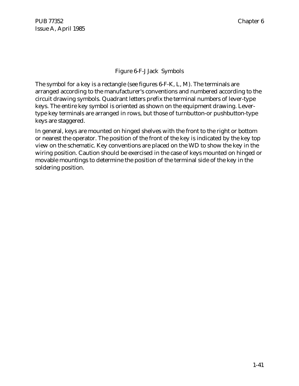# Figure 6-F-J Jack Symbols

The symbol for a key is a rectangle (see figures 6-F-K, L, M). The terminals are arranged according to the manufacturer's conventions and numbered according to the circuit drawing symbols. Quadrant letters prefix the terminal numbers of lever-type keys. The entire key symbol is oriented as shown on the equipment drawing. Levertype key terminals are arranged in rows, but those of turnbutton-or pushbutton-type keys are staggered.

In general, keys are mounted on hinged shelves with the front to the right or bottom or nearest the operator. The position of the front of the key is indicated by the key top view on the schematic. Key conventions are placed on the WD to show the key in the wiring position. Caution should be exercised in the case of keys mounted on hinged or movable mountings to determine the position of the terminal side of the key in the soldering position.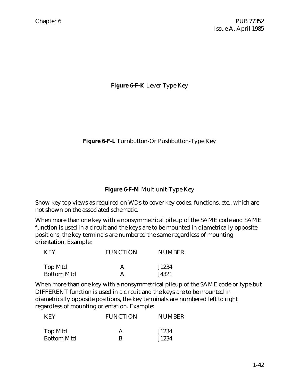**Figure 6-F-K** Lever Type Key

### **Figure 6-F-L** Turnbutton-Or Pushbutton-Type Key

### **Figure 6-F-M** Multiunit-Type Key

Show key top views as required on WDs to cover key codes, functions, etc., which are not shown on the associated schematic.

When more than one key with a nonsymmetrical pileup of the SAME code and SAME function is used in a circuit and the keys are to be mounted in diametrically opposite positions, the key terminals are numbered the same regardless of mounting orientation. Example:

| <b>KFY</b>        | <b>FUNCTION</b> | <b>NUMBER</b> |  |  |
|-------------------|-----------------|---------------|--|--|
| Top Mtd           | А               | J1234         |  |  |
| <b>Bottom Mtd</b> |                 | J4321         |  |  |

When more than one key with a nonsymmetrical pileup of the SAME code or type but DIFFERENT function is used in a circuit and the keys are to be mounted in diametrically opposite positions, the key terminals are numbered left to right regardless of mounting orientation. Example:

| KEY               | <b>FUNCTION</b> | <b>NUMBER</b> |  |  |
|-------------------|-----------------|---------------|--|--|
| Top Mtd           |                 | J1234         |  |  |
| <b>Bottom Mtd</b> | R               | J1234         |  |  |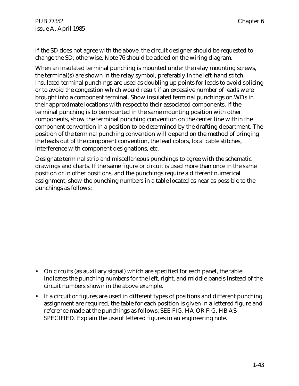If the SD does not agree with the above, the circuit designer should be requested to change the SD; otherwise, Note 76 should be added on the wiring diagram.

When an insulated terminal punching is mounted under the relay mounting screws, the terminal(s) are shown in the relay symbol, preferably in the left-hand stitch. Insulated terminal punchings are used as doubling up points for leads to avoid splicing or to avoid the congestion which would result if an excessive number of leads were brought into a component terminal. Show insulated terminal punchings on WDs in their approximate locations with respect to their associated components. If the terminal punching is to be mounted in the same mounting position with other components, show the terminal punching convention on the center line within the component convention in a position to be determined by the drafting department. The position of the terminal punching convention will depend on the method of bringing the leads out of the component convention, the lead colors, local cable stitches, interference with component designations, etc.

Designate terminal strip and miscellaneous punchings to agree with the schematic drawings and charts. If the same figure or circuit is used more than once in the same position or in other positions, and the punchings require a different numerical assignment, show the punching numbers in a table located as near as possible to the punchings as follows:

- On circuits (as auxiliary signal) which are specified for each panel, the table indicates the punching numbers for the left, right, and middle panels instead of the circuit numbers shown in the above example.
- If a circuit or figures are used in different types of positions and different punching assignment are required, the table for each position is given in a lettered figure and reference made at the punchings as follows: SEE FIG. HA OR FIG. HB AS SPECIFIED. Explain the use of lettered figures in an engineering note.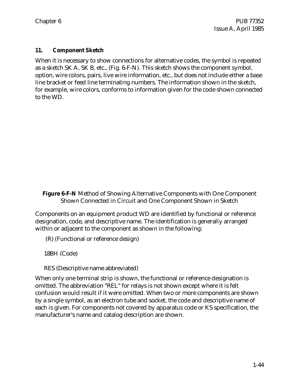### **11. Component Sketch**

When it is necessary to show connections for alternative codes, the symbol is repeated as a sketch SK A, SK B, etc., (Fig. 6-F-N). This sketch shows the component symbol, option, wire colors, pairs, live wire information, etc., but does not include either a base line bracket or feed line terminating numbers. The information shown in the sketch, for example, wire colors, conforms to information given for the code shown connected to the WD.

**Figure 6-F-N** Method of Showing Alternative Components with One Component Shown Connected in Circuit and One Component Shown in Sketch

Components on an equipment product WD are identified by functional or reference designation, code, and descriptive name. The identification is generally arranged within or adjacent to the component as shown in the following:

(R) (Functional or reference design)

18BH (Code)

RES (Descriptive name abbreviated)

When only one terminal strip is shown, the functional or reference designation is omitted. The abbreviation "REL" for relays is not shown except where it is felt confusion would result if it were omitted. When two or more components are shown by a single symbol, as an electron tube and socket, the code and descriptive name of each is given. For components not covered by apparatus code or KS specification, the manufacturer's name and catalog description are shown.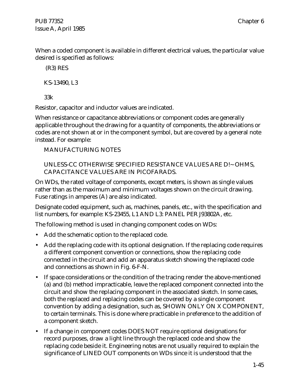When a coded component is available in different electrical values, the particular value desired is specified as follows:

(R3) RES

KS-13490, L3

33k

Resistor, capacitor and inductor values are indicated.

When resistance or capacitance abbreviations or component codes are generally applicable throughout the drawing for a quantity of components, the abbreviations or codes are not shown at or in the component symbol, but are covered by a general note instead. For example:

MANUFACTURING NOTES

UNLESS-CC OTHERWISE SPECIFIED RESISTANCE VALUES ARE D!~ OHMS, CAPACITANCE VALUES ARE IN PICOFARADS.

On WDs, the rated voltage of components, except meters, is shown as single values rather than as the maximum and minimum voltages shown on the circuit drawing. Fuse ratings in amperes (A) are also indicated.

Designate coded equipment, such as, machines, panels, etc., with the specification and list numbers, for example: KS-23455, L1 AND L3: PANEL PER J93802A, etc.

The following method is used in changing component codes on WDs:

- Add the schematic option to the replaced code.
- Add the replacing code with its optional designation. If the replacing code requires a different component convention or connections, show the replacing code connected in the circuit and add an apparatus sketch showing the replaced code and connections as shown in Fig. 6-F-N.
- If space considerations or the condition of the tracing render the above-mentioned (a) and (b) method impracticable, leave the replaced component connected into the circuit and show the replacing component in the associated sketch. In some cases, both the replaced and replacing codes can be covered by a single component convention by adding a designation, such as, SHOWN ONLY ON X COMPONENT, to certain terminals. This is done where practicable in preference to the addition of a component sketch.
- If a change in component codes DOES NOT require optional designations for record purposes, draw a light line through the replaced code and show the replacing code beside it. Engineering notes are not usually required to explain the significance of LINED OUT components on WDs since it is understood that the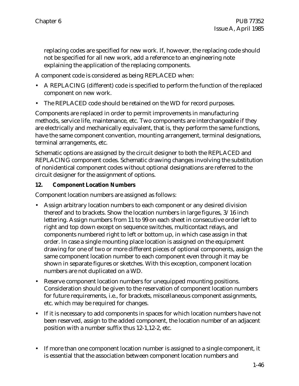replacing codes are specified for new work. If, however, the replacing code should not be specified for all new work, add a reference to an engineering note explaining the application of the replacing components.

A component code is considered as being REPLACED when:

- A REPLACING (different) code is specified to perform the function of the replaced component on new work.
- The REPLACED code should be retained on the WD for record purposes.

Components are replaced in order to permit improvements in manufacturing methods, service life, maintenance, etc. Two components are interchangeable if they are electrically and mechanically equivalent, that is, they perform the same functions, have the same component convention, mounting arrangement, terminal designations, terminal arrangements, etc.

Schematic options are assigned by the circuit designer to both the REPLACED and REPLACING component codes. Schematic drawing changes involving the substitution of nonidentical component codes without optional designations are referred to the circuit designer for the assignment of options.

## **12. Component Location Numbers**

Component location numbers are assigned as follows:

- Assign arbitrary location numbers to each component or any desired division thereof and to brackets. Show the location numbers in large figures, 3/16 inch lettering. Assign numbers from 11 to 99 on each sheet in consecutive order left to right and top down except on sequence switches, multicontact relays, and components numbered right to left or bottom up, in which case assign in that order. In case a single mounting place location is assigned on the equipment drawing for one of two or more different pieces of optional components, assign the same component location number to each component even through it may be shown in separate figures or sketches. With this exception, component location numbers are not duplicated on a WD.
- Reserve component location numbers for unequipped mounting positions. Consideration should be given to the reservation of component location numbers for future requirements, i.e., for brackets, miscellaneous component assignments, etc. which may be required for changes.
- If it is necessary to add components in spaces for which location numbers have not been reserved, assign to the added component, the location number of an adjacent position with a number suffix thus 12-1,12-2, etc.
- If more than one component location number is assigned to a single component, it is essential that the association between component location numbers and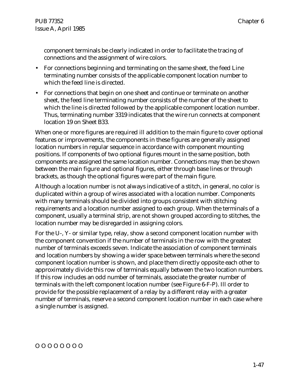component terminals be clearly indicated in order to facilitate the tracing of connections and the assignment of wire colors.

- For connections beginning and terminating on the same sheet, the feed Line terminating number consists of the applicable component location number to which the feed line is directed.
- For connections that begin on one sheet and continue or terminate on another sheet, the feed line terminating number consists of the number of the sheet to which the line is directed followed by the applicable component location number. Thus, terminating number 3319 indicates that the wire run connects at component location 19 on Sheet B33.

When one or more figures are required ill addition to the main figure to cover optional features or improvements, the components in these figures are generally assigned location numbers in regular sequence in accordance with component mounting positions. If components of two optional figures mount in the same position, both components are assigned the same location number. Connections may then be shown between the main figure and optional figures, either through base lines or through brackets, as though the optional figures were part of the main figure.

Although a location number is not always indicative of a stitch, in general, no color is duplicated within a group of wires associated with a location number. Components with many terminals should be divided into groups consistent with stitching requirements and a location number assigned to each group. When the terminals of a component, usually a terminal strip, are not shown grouped according to stitches, the location number may be disregarded in assigning colors.

For the U-, Y- or similar type, relay, show a second component location number with the component convention if the number of terminals in the row with the greatest number of terminals exceeds seven. Indicate the association of component terminals and location numbers by showing a wider space between terminals where the second component location number is shown, and place them directly opposite each other to approximately divide this row of terminals equally between the two location numbers. If this row includes an odd number of terminals, associate the greater number of terminals with the left component location number (see Figure 6-F-P). Ill order to provide for the possible replacement of a relay by a different relay with a greater number of terminals, reserve a second component location number in each case where a single number is assigned.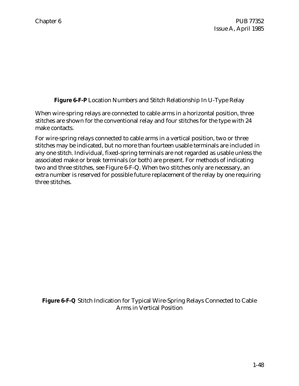**Figure 6-F-P** Location Numbers and Stitch Relationship In U-Type Relay

When wire-spring relays are connected to cable arms in a horizontal position, three stitches are shown for the conventional relay and four stitches for the type with 24 make contacts.

For wire-spring relays connected to cable arms in a vertical position, two or three stitches may be indicated, but no more than fourteen usable terminals are included in any one stitch. Individual, fixed-spring terminals are not regarded as usable unless the associated make or break terminals (or both) are present. For methods of indicating two and three stitches, see Figure 6-F-Q. When two stitches only are necessary, an extra number is reserved for possible future replacement of the relay by one requiring three stitches.

**Figure 6-F-Q** Stitch Indication for Typical Wire-Spring Relays Connected to Cable Arms in Vertical Position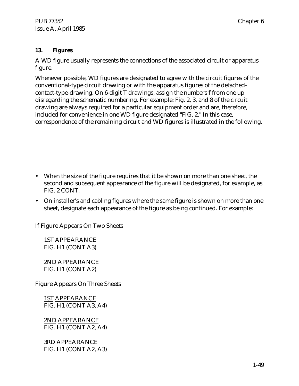# **13. Figures**

A WD figure usually represents the connections of the associated circuit or apparatus figure.

Whenever possible, WD figures are designated to agree with the circuit figures of the conventional-type circuit drawing or with the apparatus figures of the detachedcontact-type-drawing. On 6-digit T drawings, assign the numbers f from one up disregarding the schematic numbering. For example: Fig. 2, 3, and 8 of the circuit drawing are always required for a particular equipment order and are, therefore, included for convenience in one WD figure designated "FIG. 2." In this case, correspondence of the remaining circuit and WD figures is illustrated in the following.

- When the size of the figure requires that it be shown on more than one sheet, the second and subsequent appearance of the figure will be designated, for example, as FIG. 2 CONT.
- On installer's and cabling figures where the same figure is shown on more than one sheet, designate each appearance of the figure as being continued. For example:

If Figure Appears On Two Sheets

1ST APPEARANCE FIG. H1 (CONT A3)

2ND APPEARANCE FIG. H1 (CONT A2)

Figure Appears On Three Sheets

1ST APPEARANCE FIG. H1 (CONT A3, A4)

2ND APPEARANCE FIG. H1 (CONT A2, A4)

3RD APPEARANCE FIG. H1 (CONT A2, A3)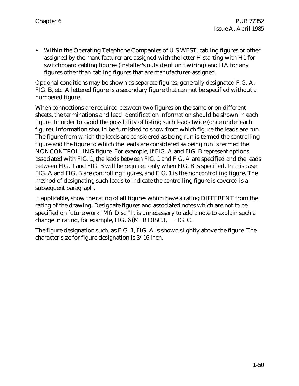• Within the Operating Telephone Companies of U S WEST, cabling figures or other assigned by the manufacturer are assigned with the letter H starting with H1 for switchboard cabling figures (installer's outside of unit wiring) and HA for any figures other than cabling figures that are manufacturer-assigned.

Optional conditions may be shown as separate figures, generally designated FIG. A, FIG. B, etc. A lettered figure is a secondary figure that can not be specified without a numbered figure.

When connections are required between two figures on the same or on different sheets, the terminations and lead identification information should be shown in each figure. In order to avoid the possibility of listing such leads twice (once under each figure), information should be furnished to show from which figure the leads are run. The figure from which the leads are considered as being run is termed the controlling figure and the figure to which the leads are considered as being run is termed the NONCONTROLLING figure. For example, if FIG. A and FIG. B represent options associated with FIG. 1, the leads between FIG. 1 and FIG. A are specified and the leads between FIG. 1 and FIG. B will be required only when FIG. B is specified. In this case FIG. A and FIG. B are controlling figures, and FIG. 1 is the noncontrolling figure. The method of designating such leads to indicate the controlling figure is covered is a subsequent paragraph.

If applicable, show the rating of all figures which have a rating DIFFERENT from the rating of the drawing. Designate figures and associated notes which are not to be specified on future work "Mfr Disc." It is unnecessary to add a note to explain such a change in rating, for example, FIG. 6 (MFR DISC.), FIG. C.

The figure designation such, as FIG. 1, FIG. A is shown slightly above the figure. The character size for figure designation is 3/16 inch.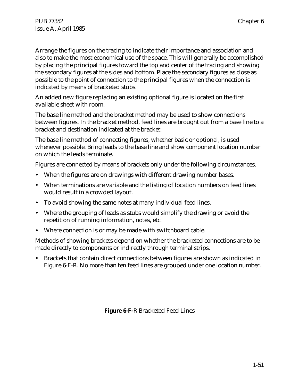Arrange the figures on the tracing to indicate their importance and association and also to make the most economical use of the space. This will generally be accomplished by placing the principal figures toward the top and center of the tracing and showing the secondary figures at the sides and bottom. Place the secondary figures as close as possible to the point of connection to the principal figures when the connection is indicated by means of bracketed stubs.

An added new figure replacing an existing optional figure is located on the first available sheet with room.

The base line method and the bracket method may be used to show connections between figures. In the bracket method, feed lines are brought out from a base line to a bracket and destination indicated at the bracket.

The base line method of connecting figures, whether basic or optional, is used whenever possible. Bring leads to the base line and show component location number on which the leads terminate.

Figures are connected by means of brackets only under the following circumstances.

- When the figures are on drawings with different drawing number bases.
- When terminations are variable and the listing of location numbers on feed lines would result in a crowded layout.
- To avoid showing the same notes at many individual feed lines.
- Where the grouping of leads as stubs would simplify the drawing or avoid the repetition of running information, notes, etc.
- Where connection is or may be made with switchboard cable.

Methods of showing brackets depend on whether the bracketed connections are to be made directly to components or indirectly through terminal strips.

• Brackets that contain direct connections between figures are shown as indicated in Figure 6-F-R. No more than ten feed lines are grouped under one location number.

**Figure 6-F-**R Bracketed Feed Lines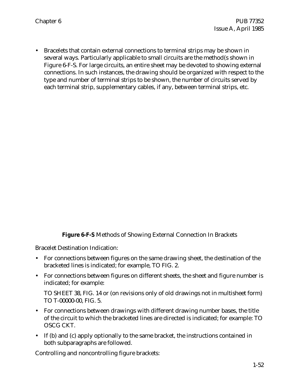• Bracelets that contain external connections to terminal strips may be shown in several ways. Particularly applicable to small circuits are the method(s shown in Figure 6-F-S. For large circuits, an entire sheet may be devoted to showing external connections. In such instances, the drawing should be organized with respect to the type and number of terminal strips to be shown, the number of circuits served by each terminal strip, supplementary cables, if any, between terminal strips, etc.

**Figure 6-F-S** Methods of Showing External Connection In Brackets

Bracelet Destination Indication:

- For connections between figures on the same drawing sheet, the destination of the bracketed lines is indicated; for example, TO FIG. 2.
- For connections between figures on different sheets, the sheet and figure number is indicated; for example:

TO SHEET 38, FIG. 14 or (on revisions only of old drawings not in multisheet form) TO T-00000-00, FIG. 5.

- For connections between drawings with different drawing number bases, the title of the circuit to which the bracketed lines are directed is indicated; for example: TO OSCG CKT.
- If (b) and (c) apply optionally to the same bracket, the instructions contained in both subparagraphs are followed.

Controlling and noncontrolling figure brackets: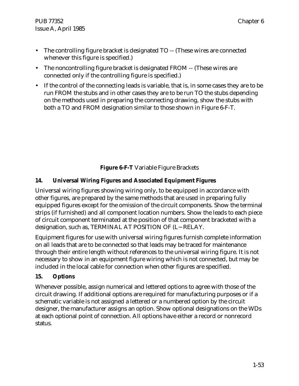- The controlling figure bracket is designated TO -- (These wires are connected whenever this figure is specified.)
- The noncontrolling figure bracket is designated FROM -- (These wires are connected only if the controlling figure is specified.)
- If the control of the connecting leads is variable, that is, in some cases they are to be run FROM the stubs and in other cases they are to be run TO the stubs depending on the methods used in preparing the connecting drawing, show the stubs with both a TO and FROM designation similar to those shown in Figure 6-F-T.

**Figure 6-F-T** Variable Figure Brackets

# **14. Universal Wiring Figures and Associated Equipment Figures**

Universal wiring figures showing wiring only, to be equipped in accordance with other figures, are prepared by the same methods that are used in preparing fully equipped figures except for the omission of the circuit components. Show the terminal strips (if furnished) and all component location numbers. Show the leads to each piece of circuit component terminated at the position of that component bracketed with a designation, such as, TERMINAL AT POSITION OF (L~ RELAY.

Equipment figures for use with universal wiring figures furnish complete information on all leads that are to be connected so that leads may be traced for maintenance through their entire length without references to the universal wiring figure. It is not necessary to show in an equipment figure wiring which is not connected, but may be included in the local cable for connection when other figures are specified.

## **15. Options**

Whenever possible, assign numerical and lettered options to agree with those of the circuit drawing. If additional options are required for manufacturing purposes or if a schematic variable is not assigned a lettered or a numbered option by the circuit designer, the manufacturer assigns an option. Show optional designations on the WDs at each optional point of connection. All options have either a record or nonrecord status.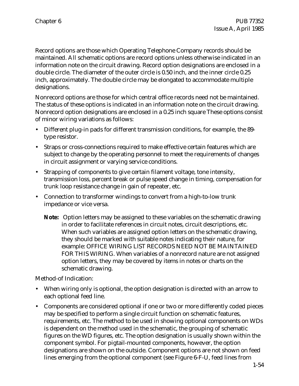Record options are those which Operating Telephone Company records should be maintained. All schematic options are record options unless otherwise indicated in an information note on the circuit drawing. Record option designations are enclosed in a double circle. The diameter of the outer circle is 0.50 inch, and the inner circle 0.25 inch, approximately. The double circle may be elongated to accommodate multiple designations.

Nonrecord options are those for which central office records need not be maintained. The status of these options is indicated in an information note on the circuit drawing. Nonrecord option designations are enclosed in a 0.25 inch square These options consist of minor wiring variations as follows:

- Different plug-in pads for different transmission conditions, for example, the 89 type resistor.
- Straps or cross-connections required to make effective certain features which are subject to change by the operating personnel to meet the requirements of changes in circuit assignment or varying service conditions.
- Strapping of components to give certain filament voltage, tone intensity, transmission loss, percent break or pulse speed change in timing, compensation for trunk loop resistance change in gain of repeater, etc.
- Connection to transformer windings to convert from a high-to-low trunk impedance or vice versa.
	- **Note:** Option letters may be assigned to these variables on the schematic drawing in order to facilitate references in circuit notes, circuit descriptions, etc. When such variables are assigned option letters on the schematic drawing, they should be marked with suitable notes indicating their nature, for example: OFFICE WIRING LlST RECORDS NEED NOT BE MAINTAINED FOR THIS WIRING. When variables of a nonrecord nature are not assigned option letters, they may be covered by items in notes or charts on the schematic drawing.

Method-of Indication:

- When wiring only is optional, the option designation is directed with an arrow to each optional feed line.
- Components are considered optional if one or two or more differently coded pieces may be specified to perform a single circuit function on schematic features, requirements, etc. The method to be used in showing optional components on WDs is dependent on the method used in the schematic, the grouping of schematic figures on the WD figures, etc. The option designation is usually shown within the component symbol. For pigtail-mounted components, however, the option designations are shown on the outside. Component options are not shown on feed lines emerging from the optional component (see Figure 6-F-U, feed lines from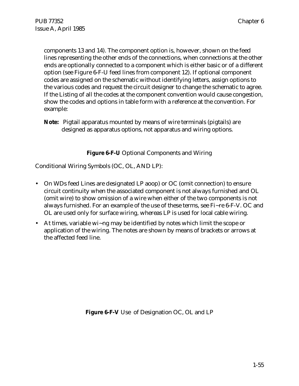components 13 and 14). The component option is, however, shown on the feed lines representing the other ends of the connections, when connections at the other ends are optionally connected to a component which is either basic or of a different option (see Figure 6-F-U feed lines from component 12). If optional component codes are assigned on the schematic without identifying letters, assign options to the various codes and request the circuit designer to change the schematic to agree. If the Listing of all the codes at the component convention would cause congestion, show the codes and options in table form with a reference at the convention. For example:

**Note:** Pigtail apparatus mounted by means of wire terminals (pigtails) are designed as apparatus options, not apparatus and wiring options.

**Figure 6-F-U** Optional Components and Wiring

Conditional Wiring Symbols (OC, OL, AND LP):

- On WDs feed Lines are designated LP aoop) or OC (omit connection) to ensure circuit continuity when the associated component is not always furnished and OL (omit wire) to show omission of a wire when either of the two components is not always furnished. For an example of the use of these terms, see Fi~re 6-F-V. OC and OL are used only for surface wiring, whereas LP is used for local cable wiring.
- At times, variable wi~ng may be identified by notes which limit the scope or application of the wiring. The notes are shown by means of brackets or arrows at the affected feed line.

**Figure 6-F-V** Use of Designation OC, OL and LP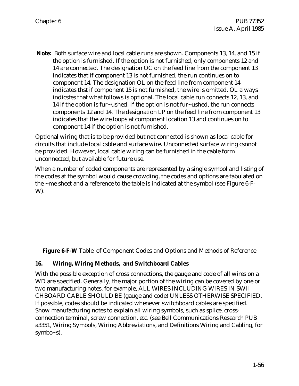**Note:** Both surface wire and locsl cable runs are shown. Components 13, 14, and 15 if the option is furnished. If the option is not furnished, only components 12 and 14 are connected. The designation OC on the feed line from the component 13 indicates that if component 13 is not furnished, the run continues on to component 14. The designation OL on the feed line from component 14 indicates thst if component 15 is not furnished, the wire is omitted. OL always indicstes that what follows is optional. The local cable run connects 12, 13, and 14 if the option is fur~ushed. If the option is not fur~ushed, the run connects components 12 and 14. The designation LP on the feed line from component 13 indicates that the wire loops at component location 13 and continues on to component 14 if the option is not furnished.

Optional wiring that is to be provided but not connected is shown as local cable for circuits that include local csble and surface wire. Unconnected surface wiring csnnot be provided. However, local cable wiring can be furnished in the cable form unconnected, but available for future use.

When a number of coded components are represented by a single symbol and listing of the codes at the syrnbol would cause crowding, the codes and options are tabulated on the ~me sheet and a reference to the table is indicated at the symbol (see Figure 6-F-W).

**Figure 6-F-W** Table of Component Codes and Options and Methods of Reference

### **16. Wiring, Wiring Methods, and Switchboard Cables**

With the possible exception of cross connections, the gauge and code of all wires on a WD are specified. Generally, the major portion of the wiring can be covered by one or two manufacturing notes, for example, ALL WIRES INCLUDlNG WIRES lN SWll CHBOARD CABLE SHOULD BE (gauge and code) UNLESS OTHERWISE SPECIFIED. If possible, codes should be indicated whenever switchboard cables are specified. Show manufacturing notes to explain all wiring symbols, such as splice, crossconnection terminal, screw connection, etc. (see Bell Communications Research PUB a3351, Wiring Symbols, Wiring Abbreviations, and Definitions Wiring and Cabling, for symbo~s).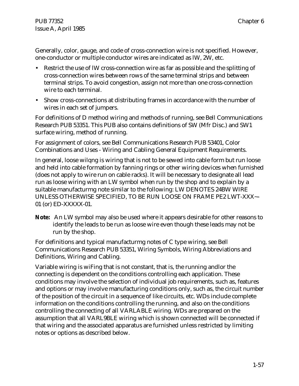Generally, color, gauge, and code of cross-connection wire is not specified. However, one-conductor or multiple conductor wires are indicated as lW, 2W, etc.

- Restrict the use of lW cross-connection wire as far as possible and the splitting of cross-connection wires between rows of the same terminal strips and between terminal strips. To avoid congestion, assign not more than one cross-connection wire to each terminal.
- Show cross-connections at distributing frames in accordance with the number of wires in each set of jumpers.

For definitions of D method wiring and methods of running, see Bell Communications Research PUB 53351. This PUB also contains definitions of SW (Mfr Disc.) and SW1 surface wiring, method of running.

For assignment of colors, see Bell Communications Research PUB 53401, Color Combinations and Uses - Wiring and Cabling General Equipment Requirements.

In general, loose wilqng is wiring that is not to be sewed into cable form but run loose and held into cable formation by fanning rings or other wiring devices when furnished (does not apply to wire run on cable racks). It will be necessary to designate all lead run as loose wiring with an LW symbol when run by the shop and to explain by a suitable manufacturmg note similar to the following: LW DENOTES 24BW WIRE UNLESS OTHERWlSE SPECIFIED, TO BE RUN LOOSE ON FRAME PE2 LWT-XXX~- 01 (or) ED-XXXXX-01.

**Note:** An LW symbol may also be used where it appears desirable for other reasons to identify the leads to be run as loose wire even though these leads may not be run by the shop.

For definitions and typical manufacturmg notes of C type wiring, see Bell Communications Research PUB 53351, Wiring Symbols, Wiring Abbreviations and Definitions, Wiring and Cabling.

Variable wiring is wiFing that is not constant, that is, the running andlor the connecting is dependent on the conditions controlling each application. These conditions may involve the selection of individual job requirements, such as, features and options or may involve manufacturing conditions only, such as, the circuit number of the position of the circuit in a sequence of like circuits, etc. WDs include complete information on the conditions controlling the running, and also on the conditions controlling the connecting of all VARLABLE wiring. WDs are prepared on the assumption that all VARL9BLE wiring which is shown connected will be connected if that wiring and the associated apparatus are furnished unless restricted by limiting notes or options as described below.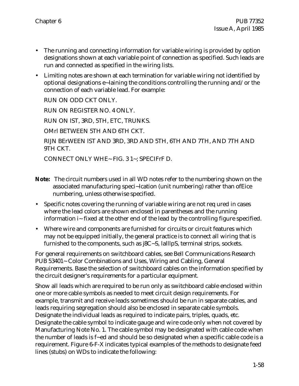- The running and connecting information for variable wiring is provided by option designations shown at each variable point of connection as specified. Such leads are run and connected as specified in the wiring lists.
- Limiting notes are shown at each termination for variable wiring not identified by optional designations e~laining the conditions controlling the running and/or the connection of each variable lead. For example:

RUN ON ODD CKT ONLY.

RUN ON REGISTER NO. 4 ONLY.

RUN ON lST, 3RD, 5TH, ETC, TRUNKS.

OMrl BETWEEN 5TH AND 6TH CKT.

RIJN BErWEEN lST AND 3RD, 3RD AND 5TH, 6TH AND 7TH, AND 7TH AND 9TH CKT.

CONNECT ONLY WHE~ FIG. 3 1~; SPECIFrF D.

- **Note:** The circuit numbers used in all WD notes refer to the numbering shown on the associated manufacturing speci~lcation (unit numbering) rather than ofEice numbering, unless otherwise specified.
- Specific notes covering the running of variable wiring are not req ured in cases where the lead colors are shown enclosed in parentheses and the running information i~ fixed at the other end of the lead by the controlling figure specified.
- Where wire and components are furnished for circuits or circuit features which may not be equipped initially, the general practice is to connect all wiring that is furnished to the components, such as j8C~S, lalllpS, terminal strips, sockets.

For general requirements on switchboard cables, see Bell Communications Research PUB 53401~ Color Combinations and Uses, Wiring and Cabling, General Requirements. Base the selection of switchboard cables on the information specified by the circuit designer's requirements for a particular equipment.

Show all leads which are required to be run only as switchboard cable enclosed within one or more cable symbols as needed to meet circuit design requirements. For example, transmit and receive leads sometimes should be run in separate cables, and leads requiring segregation should also be enclosed in separate cable symbols. Designate the individual leads as required to indicate pairs, triples, quads, etc. Designate the cable symbol to indicate gauge and wire code only when not covered by Manufacturing Note No. 1. The cable symbol may be designated with cable code when the number of leads is f~ed and should be so designated when a specific cable code is a requirement. Figure 6-F-X indicates typical examples of the methods to designate feed lines (stubs) on WDs to indicate the following: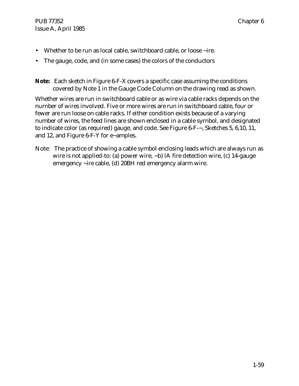- Whether to be run as local cable, switchboard cable, or loose ~ire.
- The gauge, code, and (in some cases) the colors of the conductors

**Note:** Each sketch in Figure 6-F-X covers a specific case assuming the conditions covered by Note 1 in the Gauge Code Column on the drawing read as shown.

Whether wires are run in switchboard cable or as wire via cable racks depends on the nurnber of wires involved. Five or more wires are run in switchboard cable, four or fewer are run loose on cable racks. If either condition exists because of a varying number of wires, the feed lines are shown enclosed in a cable syrnbol, and designated to indicate color (as required) gauge, and code. See Figure 6-F-~, Sketches 5, 6,10, 11, and 12, and Figure 6-F-Y for e~amples.

Note: The practice of showing a cable symbol enclosing leads which are always run as wire is not applied-to: (a) power wire, ~b) lA fire detection wire, (c) 14-gauge emergency ~ire cable, (d) 20BH red emergency alarm wire.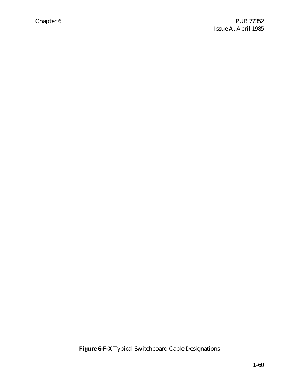**Figure 6-F-X** Typical Switchboard Cable Designations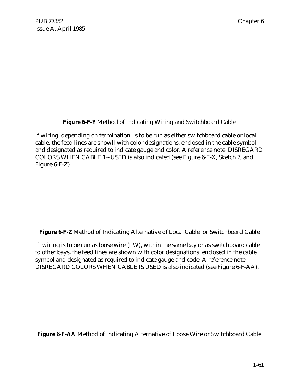**Figure 6-F-Y** Method of Indicating Wiring and Switchboard Cable

If wiring, depending on termination, is to be run as either switchboard cable or local cable, the feed lines are showll with color designations, enclosed in the cable symbol and designated as required to indicate gauge and color. A reference note: DISREGARD COLORS WHEN CABLE 1~ USED is also indicated (see Figure 6-F-X, Sketch 7, and Figure 6-F-Z).

**Figure 6-F-Z** Method of Indicating Alternative of Local Cable or Switchboard Cable

If wiring is to be run as loose wire (LW), within the same bay or as switchboard cable to other bays, the feed lines are shown with color designations, enclosed in the cable symbol and designated as required to indicate gauge and code. A reference note: DISREGARD COLORS WHEN CABLE IS USED is also indicated (see Figure 6-F-AA).

**Figure 6-F-AA** Method of Indicating Alternative of Loose Wire or Switchboard Cable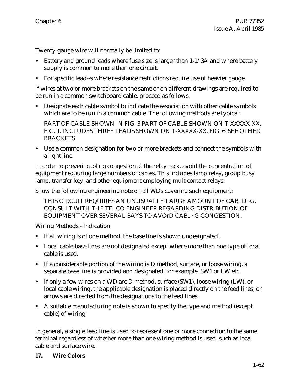Twenty-gauge wire will normally be limited to:

- Bsttery and ground leads where fuse size is larger than 1-1/3A and where battery supply is common to more than one circuit.
- For specific lead~s where resistance restrictions require use of heavier gauge.

If wires at two or more brackets on the same or on different drawings are required to be run in a common switchboard cable, proceed as follows.

• Designate each cable symbol to indicate the association with other cable symbols which are to be run in a common cable. The following methods are typical:

PART OF CABLE SHOWN IN FIG. 3 PART OF CABLE SHOWN ON T-XXXXX-XX, FIG. 1. INCLUDES THREE LEADS SHOWN ON T-XXXXX-XX, FIG. 6. SEE OTHER BRACKETS.

• Use a common designation for two or more brackets and connect the symbols with a light line.

In order to prevent cabling congestion at the relay rack, avoid the concentration of equipment requuring large numbers of cables. This includes lamp relay, group busy lamp, transfer key, and other equipment employing multicontact relays.

Show the following engineering note on all WDs covering such equipment:

THIS CIRCUIT REQUIRES AN UNUSUALLY LARGE AMOUNT OF CABLD~G. CONSULT WITH THE TELCO ENGINEER REGARDING DISTRIBUTION OF EQUIPMENT OVER SEVERAL BAYS TO AVOrD CABL~G CONGESTION.

Wiring Methods - Indication:

- If all wiring is of one method, the base line is shown undesignated.
- Local cable base lines are not designated except where more than one type of local cable is used.
- If a considerable portion of the wiring is D method, surface, or loose wiring, a separate base line is provided and designated; for example, SW1 or LW etc.
- If only a few wires on a WD are D method, surface (SW1), loose wiring (LW), or local cable wiring, the applicable designation is placed directly on the feed lines, or arrows are directed from the designations to the feed lines.
- A suitable manufacturing note is shown to specify the type and method (except cable) of wiring.

In general, a single feed line is used to represent one or more connection to the same terminal regardless of whether more than one wiring method is used, such as local cable and surface wire.

## **17. Wire Colors**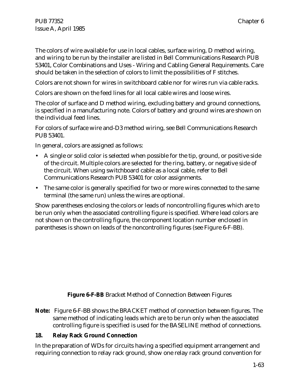The colors of wire available for use in local cables, surface wiring, D method wiring, and wiring to be run by the installer are listed in Bell Communications Research PUB 53401, Color Combinations and Uses - Wiring and Cabling General Requirements. Care should be taken in the selection of colors to limit the possibilities of F stitches.

Colors are not shown for wires in switchboard cable nor for wires run via cable racks.

Colors are shown on the feed lines for all local cable wires and loose wires.

The color of surface and D method wiring, excluding battery and ground connections, is specified in a manufacturing note. Colors of battery and ground wires are shown on the individual feed lines.

For colors of surface wire and-D3 method wiring, see Bell Communications Research PUB 53401.

In general, colors are assigned as follows:

- A single or solid color is selected when possible for the tip, ground, or positive side of the circuit. Multiple colors are selected for the ring, battery, or negative side of the circuit. When using switchboard cable as a local cable, refer to Bell Communications Research PUB 53401 for color assignments.
- The same color is generally specified for two or more wires connected to the same terminal (the same run) unless the wires are optional.

Show parentheses enclosing the colors or leads of noncontrolling figures which are to be run only when the associated controlling figure is specified. Where lead colors are not shown on the controlling figure, the component location number enclosed in parentheses is shown on leads of the noncontrolling figures (see Figure 6-F-BB).

## **Figure 6-F-BB** Bracket Method of Connection Between Figures

**Note:** Figure 6-F-BB shows the BRACKET method of connection between figures. The same method of indicating leads which are to be run only when the associated controlling figure is specified is used for the BASELINE method of connections.

## **18. Relay Rack Ground Connection**

In the preparation of WDs for circuits having a specified equipment arrangement and requiring connection to relay rack ground, show one relay rack ground convention for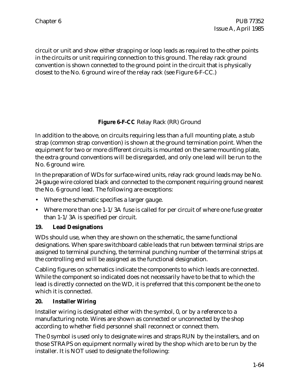circuit or unit and show either strapping or loop leads as required to the other points in the circuits or unit requiring connection to this ground. The relay rack ground convention is shown connected to the ground point in the circuit that is physically closest to the No. 6 ground wire of the relay rack (see Figure 6-F-CC.)

**Figure 6-F-CC** Relay Rack (RR) Ground

In addition to the above, on circuits requiring less than a full mounting plate, a stub strap (common strap convention) is shown at the ground termination point. When the equipment for two or more different circuits is mounted on the same mounting plate, the extra ground conventions will be disregarded, and only one lead will be run to the No. 6 ground wire.

In the preparation of WDs for surface-wired units, relay rack ground leads may be No. 24 gauge wire colored black and connected to the component requiring ground nearest the No. 6 ground lead. The following are exceptions:

- Where the schematic specifies a larger gauge.
- Where more than one 1-1/3A fuse is called for per circuit of where one fuse greater than 1-1/3A is specified per circuit.

## **19. Lead Designations**

WDs should use, when they are shown on the schematic, the same functional designations. When spare switchboard cable leads that run between terminal strips are assigned to terminal punching, the terminal punching number of the terminal strips at the controlling end will be assigned as the functional designation.

Cabling figures on schematics indicate the components to which leads are connected. While the component so indicated does not necessarily have to be that to which the lead is directly connected on the WD, it is preferred that this component be the one to which it is connected.

## **20. Installer Wiring**

Installer wiring is designated either with the symbol, 0, or by a reference to a manufacturing note. Wires are shown as connected or unconnected by the shop according to whether field personnel shall reconnect or connect them.

The 0 symbol is used only to designate wires and straps RUN by the installers, and on those STRAPS on equipment normally wired by the shop which are to be run by the installer. It is NOT used to designate the following: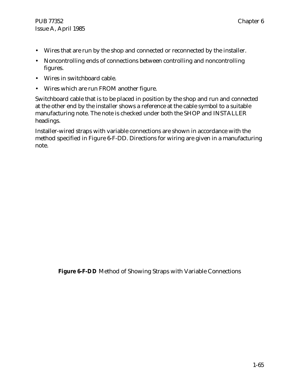- Wires that are run by the shop and connected or reconnected by the installer.
- Noncontrolling ends of connections between controlling and noncontrolling figures.
- Wires in switchboard cable.
- Wires which are run FROM another figure.

Switchboard cable that is to be placed in position by the shop and run and connected at the other end by the installer shows a reference at the cable symbol to a suitable manufacturing note. The note is checked under both the SHOP and INSTALLER headings.

Installer-wired straps with variable connections are shown in accordance with the method specified in Figure 6-F-DD. Directions for wiring are given in a manufacturing note.

**Figure 6-F-DD** Method of Showing Straps with Variable Connections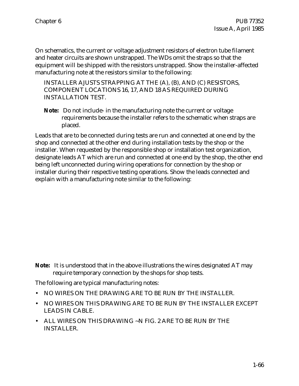On schematics, the current or voltage adjustment resistors of electron tube filament and heater circuits are shown unstrapped. The WDs omit the straps so that the equipment will be shipped with the resistors unstrapped. Show the installer-affected manufacturing note at the resistors similar to the following:

INSTALLER AJUSTS STRAPPING AT THE (A), (B), AND (C) RESISTORS, COMPONENT LOCATIONS 16, 17, AND 18 AS REQUIRED DURING INSTALLATION TEST.

**Note:** Do not include- in the manufacturing note the current or voltage requirements because the installer refers to the schematic when straps are placed.

Leads that are to be connected during tests are run and connected at one end by the shop and connected at the other end during installation tests by the shop or the installer. When requested by the responsible shop or installation test organization, designate leads AT which are run and connected at one end by the shop, the other end being left unconnected during wiring operations for connection by the shop or installer during their respective testing operations. Show the leads connected and explain with a manufacturing note similar to the following:

**Note:** It is understood that in the above illustrations the wires designated AT may require temporary connection by the shops for shop tests.

The following are typical manufacturing notes:

- NO WIRES ON THE DRAWING ARE TO BE RUN BY THE INSTALLER.
- NO WIRES ON THIS DRAWING ARE TO BE RUN BY THE INSTALLER EXCEPT LEADS IN CABLE.
- ALL WIRES ON THIS DRAWING ~N FIG. 2 ARE TO BE RUN BY THE INSTALLER.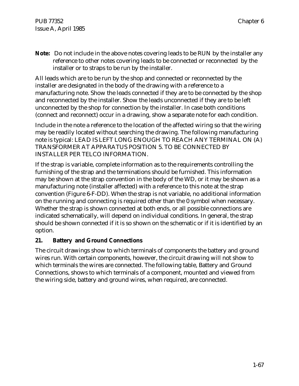**Note:** Do not include in the above notes covering leads to be RUN by the installer any reference to other notes covering leads to be connected or reconnected by the installer or to straps to be run by the installer.

All leads which are to be run by the shop and connected or reconnected by the installer are designated in the body of the drawing with a reference to a manufacturing note. Show the leads connected if they are to be connected by the shop and reconnected by the installer. Show the leads unconnected if they are to be left unconnected by the shop for connection by the installer. In case both conditions (connect and reconnect) occur in a drawing, show a separate note for each condition.

Include in the note a reference to the location of the affected wiring so that the wiring may be readily located without searching the drawing. The following manufacturing note is typical: LEAD IS LEFT LONG ENOUGH TO REACH ANY TERMINAL ON (A) TRANSFORMER AT APPARATUS POSITION 5. TO BE CONNECTED BY INSTALLER PER TELCO INFORMATION.

If the strap is variable, complete information as to the requirements controlling the furnishing of the strap and the terminations should be furnished. This information may be shown at the strap convention in the body of the WD, or it may be shown as a manufacturing note (installer affected) with a reference to this note at the strap convention (Figure 6-F-DD). When the strap is not variable, no additional information on the running and connecting is required other than the 0 symbol when necessary. Whether the strap is shown connected at both ends, or all possible connections are indicated schematically, will depend on individual conditions. In general, the strap should be shown connected if it is so shown on the schematic or if it is identified by an option.

## **21. Battery and Ground Connections**

The circuit drawings show to which terminals of components the battery and ground wires run. With certain components, however, the circuit drawing will not show to which terminals the wires are connected. The following table, Battery and Ground Connections, shows to which terminals of a component, mounted and viewed from the wiring side, battery and ground wires, when required, are connected.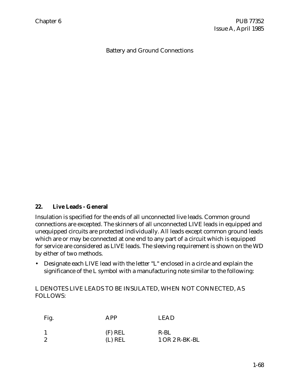## Battery and Ground Connections

#### **22. Live Leads - General**

Insulation is specified for the ends of all unconnected live leads. Common ground connections are excepted. The skinners of all unconnected LIVE leads in equipped and unequipped circuits are protected individually. All leads except common ground leads which are or may be connected at one end to any part of a circuit which is equipped for service are considered as LIVE leads. The sleeving requirement is shown on the WD by either of two methods.

• Designate each LIVE lead with the letter "L" enclosed in a circle and explain the significance of the L symbol with a manufacturing note similar to the following:

## L DENOTES LIVE LEADS TO BE INSULATED, WHEN NOT CONNECTED, AS FOLLOWS:

| Fig. | APP       | LEAD.          |
|------|-----------|----------------|
|      | $(F)$ REL | $R$ -BL        |
| - 2  | (L) REL   | 1 OR 2 R-BK-BL |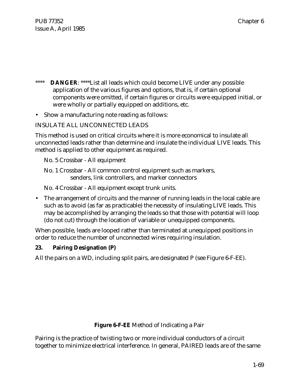- \*\*\*\* **DANGER:** \*\*\*\*List all leads which could become LIVE under any possible application of the various figures and options, that is, if certain optional components were omitted, if certain figures or circuits were equipped initial, or were wholly or partially equipped on additions, etc.
- Show a manufacturing note reading as follows:

# INSULATE ALL UNCONNECTED LEADS

This method is used on critical circuits where it is more economical to insulate all unconnected leads rather than determine and insulate the individual LIVE leads. This method is applied to other equipment as required.

No. 5 Crossbar - All equipment

No. 1 Crossbar - All common control equipment such as markers, senders, link controllers, and marker connectors

No. 4 Crossbar - All equipment except trunk units.

• The arrangement of circuits and the manner of running leads in the local cable are such as to avoid (as far as practicable) the necessity of insulating LIVE leads. This may be accomplished by arranging the leads so that those with potential will loop (do not cut) through the location of variable or unequipped components.

When possible, leads are looped rather than terminated at unequipped positions in order to reduce the number of unconnected wires requiring insulation.

#### **23. Pairing Designation (P)**

All the pairs on a WD, including split pairs, are designated P (see Figure 6-F-EE).

#### **Figure 6-F-EE** Method of Indicating a Pair

Pairing is the practice of twisting two or more individual conductors of a circuit together to minimize electrical interference. In general, PAIRED leads are of the same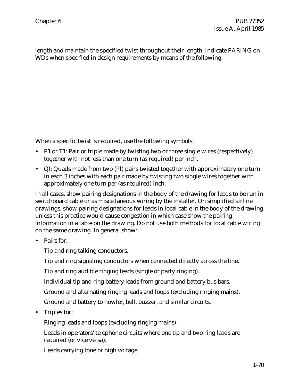length and maintain the specified twist throughout their length. Indicate PARING on WDs when specified in design requirements by means of the following:

When a specific twist is required, use the following symbols:

- P1 or T1: Pair or triple made by twisting two or three single wires (respectively) together with not less than one turn (as required) per inch.
- Ql: Quads made from two (Pl) pairs twisted together with approximately one turn in each 3 inches with each pair made by twisting two single wires together with approximately one turn per (as required) inch.

In all cases, show pairing designations in the body of the drawing for leads to be run in switchboard cable or as miscellaneous wiring by the installer. On simplified airline drawings, show pairing designations for leads in local cable in the body of the drawing unless this practice would cause congestion in which case show the pairing information in a table on the drawing. Do not use both methods for local cable wiring on the same drawing. In general show:

• Pairs for:

Tip and ring talking conductors.

Tip and ring signaling conductors when connected directly across the line.

Tip and ring audible ringing leads (single or party ringing).

Individual tip and ring battery leads from ground and battery bus bars.

Ground and alternating ringing leads and loops (excluding ringing mains).

Ground and battery to howler, bell, buzzer, and similar circuits.

• Triples for:

Ringing leads and loops (excluding ringing mains).

Leads in operators' telephone circuits where one tip and two ring leads are required (or vice versa).

Leads carrying tone or high voltage.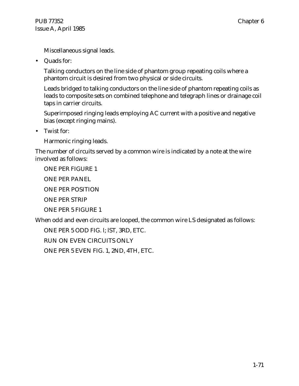Miscellaneous signal leads.

• Quads for:

Talking conductors on the line side of phantom group repeating coils where a phantom circuit is desired from two physical or side circuits.

Leads bridged to talking conductors on the line side of phantom repeating coils as leads to composite sets on combined telephone and telegraph lines or drainage coil taps in carrier circuits.

Superirnposed ringing leads employing AC current with a positive and negative bias (except ringing mains).

• Twist for:

Harmonic ringing leads.

The number of circuits served by a common wire is indicated by a note at the wire involved as follows:

ONE PER FIGURE 1

ONE PER PANEL

ONE PER POSITION

ONE PER STRIP

ONE PER 5 FIGURE 1

When odd and even circuits are looped, the common wire LS designated as follows:

ONE PER 5 ODD FIG. l; lST, 3RD, ETC.

RUN ON EVEN CIRCUITS ONLY

ONE PER 5 EVEN FIG. 1, 2ND, 4TH, ETC.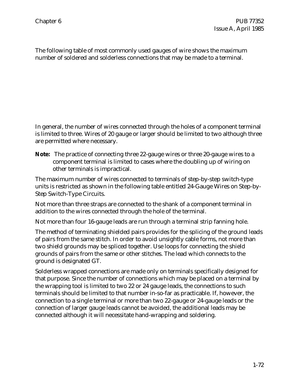The following table of most commonly used gauges of wire shows the maximum number of soldered and solderless connections that may be made to a terminal.

In general, the number of wires connected through the holes of a component terminal is limited to three. Wires of 20 gauge or larger should be limited to two although three are permitted where necessary.

**Note:** The practice of connecting three 22-gauge wires or three 20-gauge wires to a component terminal is limited to cases where the doubling up of wiring on other terminals is impractical.

The maximum number of wires connected to terminals of step-by-step switch-type units is restricted as shown in the following table entitled 24-Gauge Wires on Step-by-Step Switch-Type Circuits.

Not more than three straps are connected to the shank of a component terminal in addition to the wires connected through the hole of the terminal.

Not more than four 16-gauge leads are run through a terminal strip fanning hole.

The method of terminating shielded pairs provides for the splicing of the ground leads of pairs from the same stitch. In order to avoid unsightly cable forms, not more than two shield grounds may be spliced together. Use loops for connecting the shield grounds of pairs from the same or other stitches. The lead which connects to the ground is designated GT.

Solderless wrapped connections are made only on terminals specifically designed for that purpose. Since the number of connections which may be placed on a terminal by the wrapping tool is limited to two 22 or 24 gauge leads, the connections to such terminals should be limited to that number in-so-far as practicable. If, however, the connection to a single terminal or more than two 22-gauge or 24-gauge leads or the connection of larger gauge leads cannot be avoided, the additional leads may be connected although it will necessitate hand-wrapping and soldering.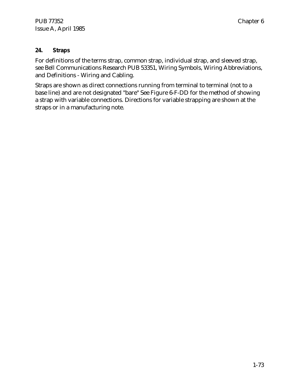## **24. Straps**

For definitions of the terms strap, common strap, individual strap, and sleeved strap, see Bell Communications Research PUB 53351, Wiring Symbols, Wiring Abbreviations, and Definitions - Wiring and Cabling.

Straps are shown as direct connections running from terminal to terminal (not to a base line) and are not designated "bare" See Figure 6-F-DD for the method of showing a strap with variable connections. Directions for variable strapping are shown at the straps or in a manufacturing note.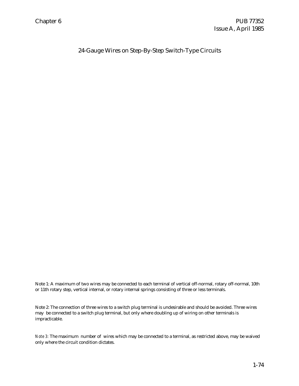24-Gauge Wires on Step-By-Step Switch-Type Circuits

Note 1: A maximum of two wires may be connected to each terminal of vertical off-normal, rotary off-normal, 10th or 11th rotary step, vertical internal, or rotary internal springs consisting of three or less terminals.

Note 2: The connection of three wires to a switch plug terminal is undesirable and should be avoided. Three wires may be connected to a switch plug terminal, but only where doubling up of wiring on other terminals is impracticable.

*Note 3:* The maximum number of wires which may be connected to a terminal, as restricted above, may be waived only where the circuit condition dictates.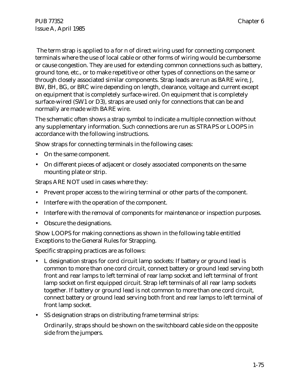The term strap is applied to a for n of direct wiring used for connecting component terminals where the use of local cable or other forms of wiring would be cumbersome or cause congestion. They are used for extending common connections such as battery, ground tone, etc., or to make repetitive or other types of connections on the same or through closely associated similar components. Strap leads are run as BARE wire, J, BW, BH, BG, or BRC wire depending on length, clearance, voltage and current except on equipment that is completely surface-wired. On equipment that is completely surface-wired (SW1 or D3), straps are used only for connections that can be and normally are made with BARE wire.

The schematic often shows a strap symbol to indicate a multiple connection without any supplementary information. Such connections are run as STRAPS or LOOPS in accordance with the following instructions.

Show straps for connecting terminals in the following cases:

- On the same component.
- On different pieces of adjacent or closely associated components on the same mounting plate or strip.

Straps ARE NOT used in cases where they:

- Prevent proper access to the wiring terminal or other parts of the component.
- Interfere with the operation of the component.
- Interfere with the removal of components for maintenance or inspection purposes.
- Obscure the designations.

Show LOOPS for making connections as shown in the following table entitled Exceptions to the General Rules for Strapping.

Specific strapping practices are as follows:

- L designation straps for cord circuit lamp sockets: If battery or ground lead is common to more than one cord circuit, connect battery or ground lead serving both front and rear lamps to left terminal of rear lamp socket and left terminal of front lamp socket on first equipped circuit. Strap left terminals of all rear lamp sockets together. If battery or ground lead is not common to more than one cord circuit, connect battery or ground lead serving both front and rear lamps to left terminal of front lamp socket.
- SS designation straps on distributing frame terminal strips:

Ordinarily, straps should be shown on the switchboard cable side on the opposite side from the jumpers.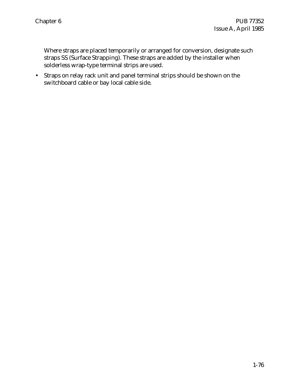Where straps are placed temporarily or arranged for conversion, designate such straps SS (Surface Strapping). These straps are added by the installer when solderless wrap-type terminal strips are used.

• Straps on relay rack unit and panel terminal strips should be shown on the switchboard cable or bay local cable side.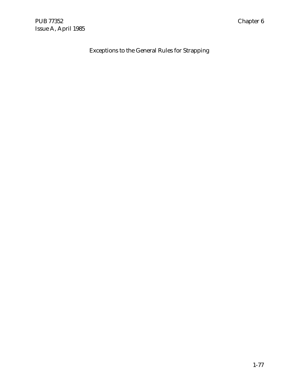Exceptions to the General Rules for Strapping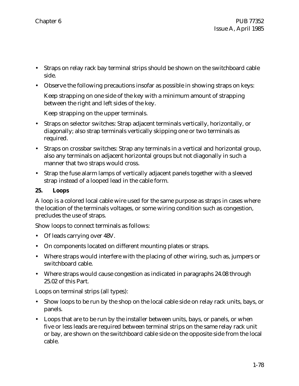- Straps on relay rack bay terminal strips should be shown on the switchboard cable side.
- Observe the following precautions insofar as possible in showing straps on keys: Keep strapping on one side of the key with a minimum amount of strapping between the right and left sides of the key.

Keep strapping on the upper terminals.

- Straps on selector switches: Strap adjacent terminals vertically, horizontally, or diagonally; also strap terminals vertically skipping one or two terminals as required.
- Straps on crossbar switches: Strap any terminals in a vertical and horizontal group, also any terminals on adjacent horizontal groups but not diagonally in such a manner that two straps would cross.
- Strap the fuse alarm lamps of vertically adjacent panels together with a sleeved strap instead of a looped lead in the cable form.

#### **25. Loops**

A loop is a colored local cable wire used for the same purpose as straps in cases where the location of the terminals voltages, or some wiring condition such as congestion, precludes the use of straps.

Show loops to connect terminals as follows:

- Of leads carrying over 48V.
- On components located on different mounting plates or straps.
- Where straps would interfere with the placing of other wiring, such as, jumpers or switchboard cable.
- Where straps would cause congestion as indicated in paragraphs 24.08 through 25.02 of this Part.

Loops on terminal strips (all types):

- Show loops to be run by the shop on the local cable side on relay rack units, bays, or panels.
- Loops that are to be run by the installer between units, bays, or panels, or when five or less leads are required between terminal strips on the same relay rack unit or bay, are shown on the switchboard cable side on the opposite side from the local cable.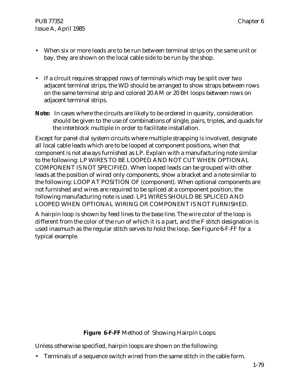- When six or more leads are to be run between terminal strips on the same unit or bay, they are shown on the local cable side to be run by the shop.
- If a circuit requires strapped rows of terminals which may be split over two adjacent terminal strips, the WD should be arranged to show straps between rows on the same terminal strip and colored 20 AM or 20 BH loops between rows on adjacent terminal strips.
- **Note:** In cases where the circuits are likely to be ordered in quanity, consideration should be given to the use of combinations of single, pairs, triples, and quads for the interblock multiple in order to facilitate installation.

Except for panel dial system circuits where multiple strapping is involved, designate all local cable leads which are to be looped at component positions, when that component is not always furnished as LP. Explain with a manufacturing note similar to the following: LP WIRES TO BE LOOPED AND NOT CUT WHEN OPTIONAL COMPONENT IS NOT SPECIFIED. When looped leads can be grouped with other leads at the position of wired only components, show a bracket and a note similar to the following: LOOP AT POSITION OF (component). When optional components are not furnished and wires are required to be spliced at a component position, the following manufacturing note is used. LP1 WIRES SHOULD BE SPLICED AND LOOPED WHEN OPTIONAL WIRING OR COMPONENT IS NOT FURNISHED.

A hairpin loop is shown by feed lines to the base line. The wire color of the loop is different from the color of the run of which it is a part, and the F stitch designation is used inasmuch as the regular stitch serves to hold the loop. See Figure 6-F-FF for a typical example.

## **Figure 6-F-FF** Method of Showing Hairpin Loops

Unless otherwise specified, hairpin loops are shown on the following:

• Terminals of a sequence switch wired from the same stitch in the cable form.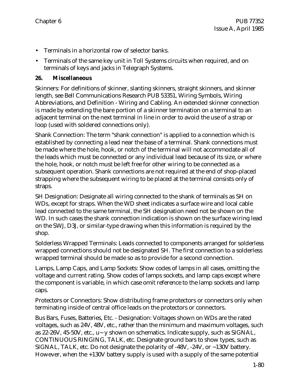- Terminals in a horizontal row of selector banks.
- Terminals of the same key unit in Toll Systems circuits when required, and on terminals of keys and jacks in Telegraph Systems.

#### **26. Miscellaneous**

Skinners: For definitions of skinner, slanting skinners, straight skinners, and skinner length, see Bell Communications Research PUB 53351, Wiring Symbols, Wiring Abbreviations, and Definition - Wiring and Cabling. An extended skinner connection is made by extending the bare portion of a skinner termination on a terminal to an adjacent terminal on the next terminal in line in order to avoid the use of a strap or loop (used with soldered connections only).

Shank Connection: The term "shank connection" is applied to a connection which is established by connecting a lead near the base of a terminal. Shank connections must be made where the hole, hook, or notch of the terminal will not accommodate all of the leads which must be connected or any individual lead because of its size, or where the hole, hook, or notch must be left free for other wiring to be connected as a subsequent operation. Shank connections are not required at the end of shop-placed strapping where the subsequent wiring to be placed at the terminal consists only of straps.

SH Designation: Designate all wiring connected to the shank of terminals as SH on WDs, except for straps. When the WD sheet indicates a surface wire and local cable lead connected to the same terminal, the SH designation need not be shown on the WD. In such cases the shank connection indication is shown on the surface wiring lead on the SWJ, D3J, or similar-type drawing when this information is required by the shop.

Solderless Wrapped Terminals: Leads connected to components arranged for solderless wrapped connections should not be designated SH. The first connection to a solderless wrapped terminal should be made so as to provide for a second connection.

Lamps, Lamp Caps, and Lamp Sockets: Show codes of lamps in all cases, omitting the voltage and current rating. Show codes of lamps sockets, and lamp caps except where the component is variable, in which case omit reference to the lamp sockets and lamp caps.

Protectors or Connectors: Show distributing frame protectors or connectors only when terminating inside of central office leads on the protectors or connectors.

Bus Bars, Fuses, Batteries, Etc. - Designation: Voltages shown on WDs are the rated voltages, such as 24V, 48V, etc., rather than the minimum and maximum voltages, such as 22-26V, 45-50V, etc., u~ y shown on schematics. Indicate supply, such as SIGNAL, CONTINUOUS RINGING, TALK, etc. Designate ground bars to show types, such as SIGNAL, TALK, etc. Do not designate the polarity of -48V, -24V, or ~130V battery. However, when the +130V battery supply is used with a supply of the same potential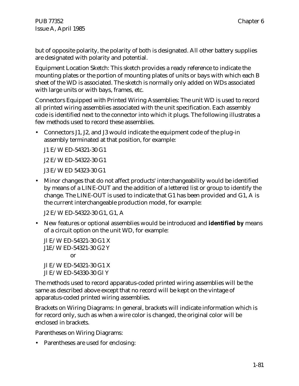but of opposite polarity, the polarity of both is designated. All other battery supplies are designated with polarity and potential.

Equipment Location Sketch: This sketch provides a ready reference to indicate the mounting plates or the portion of mounting plates of units or bays with which each B sheet of the WD is associated. The sketch is normally only added on WDs associated with large units or with bays, frames, etc.

Connectors Equipped with Printed Wiring Assemblies: The unit WD is used to record all printed wiring assemblies associated with the unit specification. Each assembly code is identified next to the connector into which it plugs. The following illustrates a few methods used to record these assemblies.

• Connectors J1, J2, and J3 would indicate the equipment code of the plug-in assembly terminated at that position, for example:

J1 E/W ED-54321-30 G1

J2 E/W ED-54322-30 G1

J3 E/W ED 54323-30 G1

• Minor changes that do not affect products' interchangeability would be identified by means of a LINE-OUT and the addition of a lettered list or group to identify the change. The LINE-OUT is used to indicate that G1 has been provided and G1, A is the current interchangeable production model, for example:

J2 E/W ED-54322-30 G1, G1, A

• New features or optional assemblies would be introduced and **identified by** means of a circuit option on the unit WD, for example:

Jl E/W ED-54321-30 G1 X J1E/W ED-54321-30 G2 Y or Jl E/W ED-54321-30 G1 X Jl E/W ED-54330-30 Gl Y

The methods used to record apparatus-coded printed wiring assemblies will be the same as described above except that no record will be kept on the vintage of apparatus-coded printed wiring assemblies.

Brackets on Wiring Diagrams: In general, brackets will indicate information which is for record only, such as when a wire color is changed, the original color will be enclosed in brackets.

Parentheses on Wiring Diagrams:

• Parentheses are used for enclosing: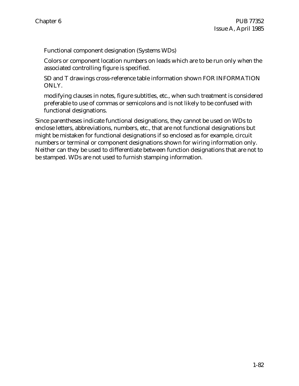Functional component designation (Systems WDs)

Colors or component location numbers on leads which are to be run only when the associated controlling figure is specified.

SD and T drawings cross-reference table information shown FOR INFORMATION ONLY.

modifying clauses in notes, figure subtitles, etc., when such treatment is considered preferable to use of commas or semicolons and is not likely to be confused with functional designations.

Since parentheses indicate functional designations, they cannot be used on WDs to enclose letters, abbreviations, numbers, etc., that are not functional designations but might be mistaken for functional designations if so enclosed as for example, circuit numbers or terminal or component designations shown for wiring information only. Neither can they be used to differentiate between function designations that are not to be stamped. WDs are not used to furnish stamping information.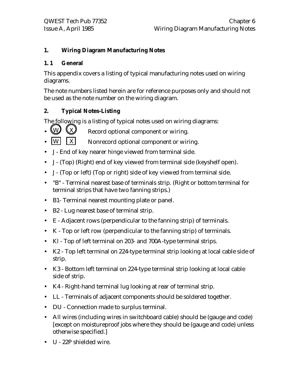# **1. Wiring Diagram Manufacturing Notes**

# **1. 1 General**

This appendix covers a listing of typical manufacturing notes used on wiring diagrams.

The note numbers listed herein are for reference purposes only and should not be used as the note number on the wiring diagram.

# **2. Typical Notes-Listing**

The following is a listing of typical notes used on wiring diagrams:

- Record optional component or wiring. .  $\omega$  $\left(\chi\right)$
- Nonrecord optional component or wiring. W X
- J End of key nearer hinge viewed from terminal side.
- J (Top) (Right) end of key viewed from terminal side (keyshelf open).
- J (Top or left) (Top or right) side of key viewed from terminal side.
- "B" Terminal nearest base of terminals strip. (Right or bottom terminal for terminal strips that have two fanning strips.)
- B1- Terminal nearest mounting plate or panel.
- B2 Lug nearest base of terminal strip.
- E Adjacent rows (perpendicular to the fanning strip) of terminals.
- K Top or left row (perpendicular to the fanning strip) of terminals.
- Kl Top of left terminal on 203- and 700A-type terminal strips.
- K2 Top left terminal on 224-type terminal strip looking at local cable side of strip.
- K3 Bottom left terminal on 224-type terminal strip looking at local cable side of strip.
- K4 Right-hand terminal lug looking at rear of terminal strip.
- LL Terminals of adjacent components should be soldered together.
- DU Connection made to surplus terminal.
- All wires (including wires in switchboard cable) should be (gauge and code) [except on moistureproof jobs where they should be (gauge and code) unless otherwise specified.]
- U 22P shielded wire.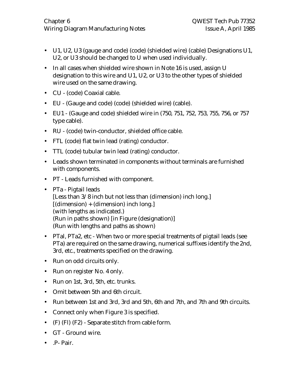- U1, U2, U3 (gauge and code) (code) (shielded wire) (cable) Designations U1, U2, or U3 should be changed to U when used individually.
- In all cases when shielded wire shown in Note 16 is used, assign U designation to this wire and U1, U2, or U3 to the other types of shielded wire used on the same drawing.
- CU (code) Coaxial cable.
- EU (Gauge and code) (code) (shielded wire) (cable).
- EU1 (Gauge and code) shielded wire in (750, 751, 752, 753, 755, 756, or 757 type cable).
- RU (code) twin-conductor, shielded office cable.
- FTL (code) flat twin lead (rating) conductor.
- TTL (code) tubular twin lead (rating) conductor.
- Leads shown terminated in components without terminals are furnished with components.
- PT Leads furnished with component.
- PTa Pigtail leads [Less than 3/8 inch but not less than (dimension) inch long.]  $[(dimension) + (dimension)$  inch  $long.]$ (with lengths as indicated.) (Run in paths shown) [in Figure (designation)] (Run with lengths and paths as shown)
- PTal, PTa2, etc When two or more special treatments of pigtail leads (see PTa) are required on the same drawing, numerical suffixes identify the 2nd, 3rd, etc., treatments specified on the drawing.
- Run on odd circuits only.
- Run on register No. 4 only.
- Run on 1st, 3rd, 5th, etc. trunks.
- Omit between 5th and 6th circuit.
- Run between 1st and 3rd, 3rd and 5th, 6th and 7th, and 7th and 9th circuits.
- Connect only when Figure 3 is specified.
- (F) (Fl) (F2) Separate stitch from cable form.
- GT Ground wire.
- .P- Pair.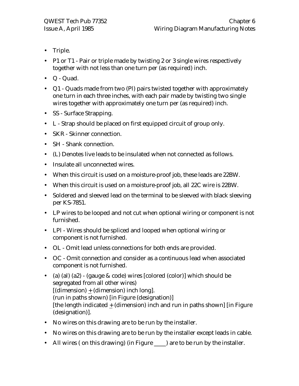- Triple.
- P1 or T1 Pair or triple made by twisting 2 or 3 single wires respectively together with not less than one turn per (as required) inch.
- Q Quad.
- Q1 Quads made from two (Pl) pairs twisted together with approximately one turn in each three inches, with each pair made by twisting two single wires together with approximately one turn per (as required) inch.
- SS Surface Strapping.
- L Strap should be placed on first equipped circuit of group only.
- SKR Skinner connection.
- SH Shank connection.
- (L) Denotes live leads to be insulated when not connected as follows.
- Insulate all unconnected wires.
- When this circuit is used on a moisture-proof job, these leads are 22BW.
- When this circuit is used on a moisture-proof job, all 22C wire is 22BW.
- Soldered and sleeved lead on the terminal to be sleeved with black sleeving per KS-7851.
- LP wires to be looped and not cut when optional wiring or component is not furnished.
- LPl Wires should be spliced and looped when optional wiring or component is not furnished.
- OL Omit lead unless connections for both ends are provided.
- OC Omit connection and consider as a continuous lead when associated component is not furnished.
- (a) (al) (a2) (gauge & code) wires [colored (color)] which should be segregated from all other wires)  $[(dimension) + (dimension)$  inch long]. (run in paths shown) [in Figure (designation)] [the length indicated + (dimension) inch and run in paths shown] [in Figure (designation)].
- No wires on this drawing are to be run by the installer.
- No wires on this drawing are to be run by the installer except leads in cable.
- All wires ( on this drawing) (in Figure \_\_\_\_) are to be run by the installer.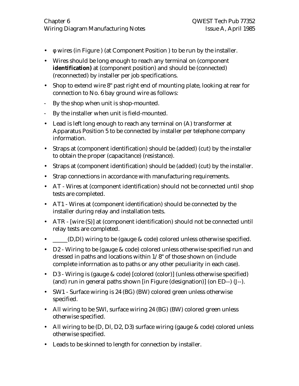- φ wires (in Figure ) (at Component Position ) to be run by the installer.
- Wires should be long enough to reach any terminal on (component **identification)** at (component position) and should be (connected) (reconnected) by installer per job specifications.
- Shop to extend wire 8" past right end of mounting plate, looking at rear for connection to No. 6 bay ground wire as follows:
- By the shop when unit is shop-mounted.
- By the installer when unit is field-mounted.
- Lead is left long enough to reach any terminal on (A) transformer at Apparatus Position 5 to be connected by installer per telephone company information.
- Straps at (component identification) should be (added) (cut) by the installer to obtain the proper (capacitance) (resistance).
- Straps at (component identification) should be (added) (cut) by the installer.
- Strap connections in accordance with manufacturing requirements.
- AT Wires at (component identification) should not be connected until shop tests are completed.
- AT1 Wires at (component identification) should be connected by the installer during relay and installation tests.
- ATR [wire (S)] at (component identification) should not be connected until relay tests are completed.
- \_\_\_\_(D,Dl) wiring to be (gauge & code) colored unless otherwise specified.
- D2 Wiring to be (gauge & code) colored unless otherwise specified run and dressed in paths and locations within 1/8" of those shown on (include complete inforrnation as to paths or any other peculiarity in each case).
- D3 Wiring is (gauge & code) [colored (color)] (unless otherwise specified) (and) run in general paths shown [in Figure (designation)] (on ED--) (J--).
- SW1 Surface wiring is 24 (BG) (BW) colored green unless otherwise specified.
- All wiring to be SWl, surface wiring 24 (BG) (BW) colored green unless otherwise specified.
- All wiring to be (D, Dl, D2, D3) surface wiring (gauge & code) colored unless otherwise specified.
- Leads to be skinned to length for connection by installer.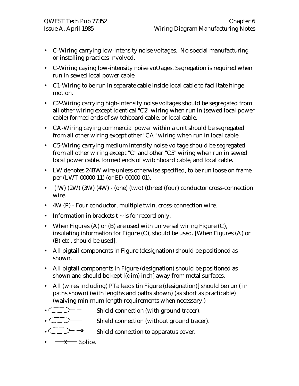- C-Wiring carrying low-intensity noise voltages. No special manufacturing or installing practices involved.
- C-Wiring caying low-intensity noise voUages. Segregation is required when run in sewed local power cable.
- C1-Wiring to be run in separate cable inside local cable to facilitate hinge motion.
- C2-Wiring carrying high-intensity noise voltages should be segregated from all other wiring except identical "C2" wiring when run in (sewed local power cable) formed ends of switchboard cable, or local cable.
- CA-Wiring caying commercial power within a unit should be segregated from all other wiring except other "CA" wiring when run in local cable.
- C5-Wiring carrying medium intensity noise voltage should be segregated from all other wiring except "C" and other "C5" wiring when run in sewed local power cable, formed ends of switchboard cable, and local cable.
- LW denotes 24BW wire unless otherwise specified, to be run loose on frame per (LWT-00000-11) (or ED-00000-01).
- (lW) (2W) (3W) (4W) (one) (two) (three) (four) conductor cross-connection wire.
- 4W (P) Four conductor, multiple twin, cross-connection wire.
- Information in brackets  $t \sim$  is for record only.
- When Figures (A) or (B) are used with universal wiring Figure (C), insulating information for Figure (C), should be used. [When Figures (A) or (B) etc., should be used].
- All pigtail components in Figure (designation) should be positioned as shown.
- All pigtail components in Figure (designation) should be positioned as shown and should be kept l(dim) inch] away from metal surfaces.
- All (wires including) PTa leads tin Figure (designation)] should be run ( in paths shown) (with lengths and paths shown) (as short as practicable) (waiving minimum length requirements when necessary.)
- 
- $\sqrt{2}$  Shield connection (with ground tracer).
- $\sqrt{2\pi}$  Shield connection (without ground tracer).
- 
- $\sqrt{2}$   $\rightarrow$   $\sqrt{2}$   $\rightarrow$  Shield connection to apparatus cover.
- $\bullet \quad \longrightarrow \quad$  Splice.